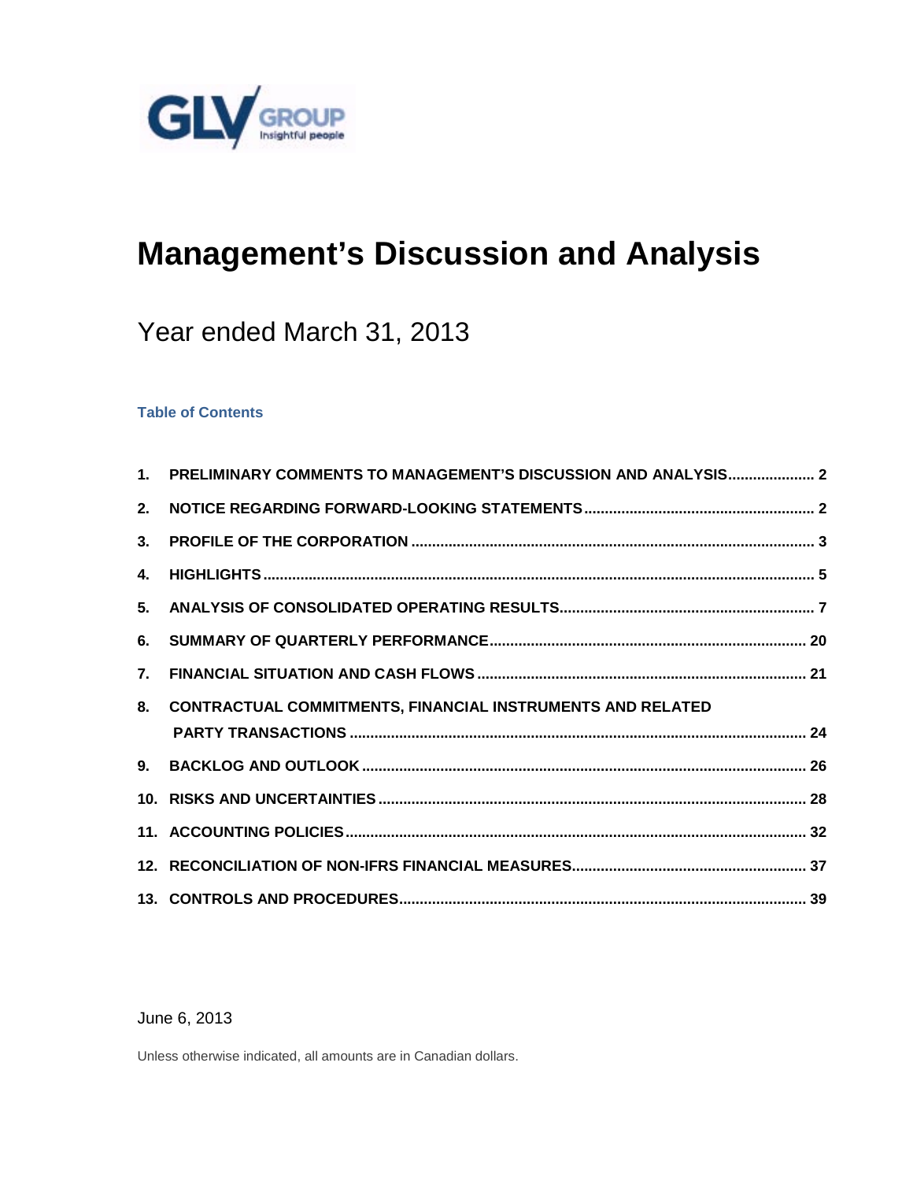

# **Management's Discussion and Analysis**

# Year ended March 31, 2013

# **Table of Contents**

| 1 <sub>1</sub> | PRELIMINARY COMMENTS TO MANAGEMENT'S DISCUSSION AND ANALYSIS 2    |  |
|----------------|-------------------------------------------------------------------|--|
| 2.             |                                                                   |  |
| 3.             |                                                                   |  |
| 4.             |                                                                   |  |
| 5.             |                                                                   |  |
| 6.             |                                                                   |  |
| $\mathbf{7}$   |                                                                   |  |
| 8.             | <b>CONTRACTUAL COMMITMENTS, FINANCIAL INSTRUMENTS AND RELATED</b> |  |
|                |                                                                   |  |
|                |                                                                   |  |
|                |                                                                   |  |
|                |                                                                   |  |
|                |                                                                   |  |

June 6, 2013

Unless otherwise indicated, all amounts are in Canadian dollars.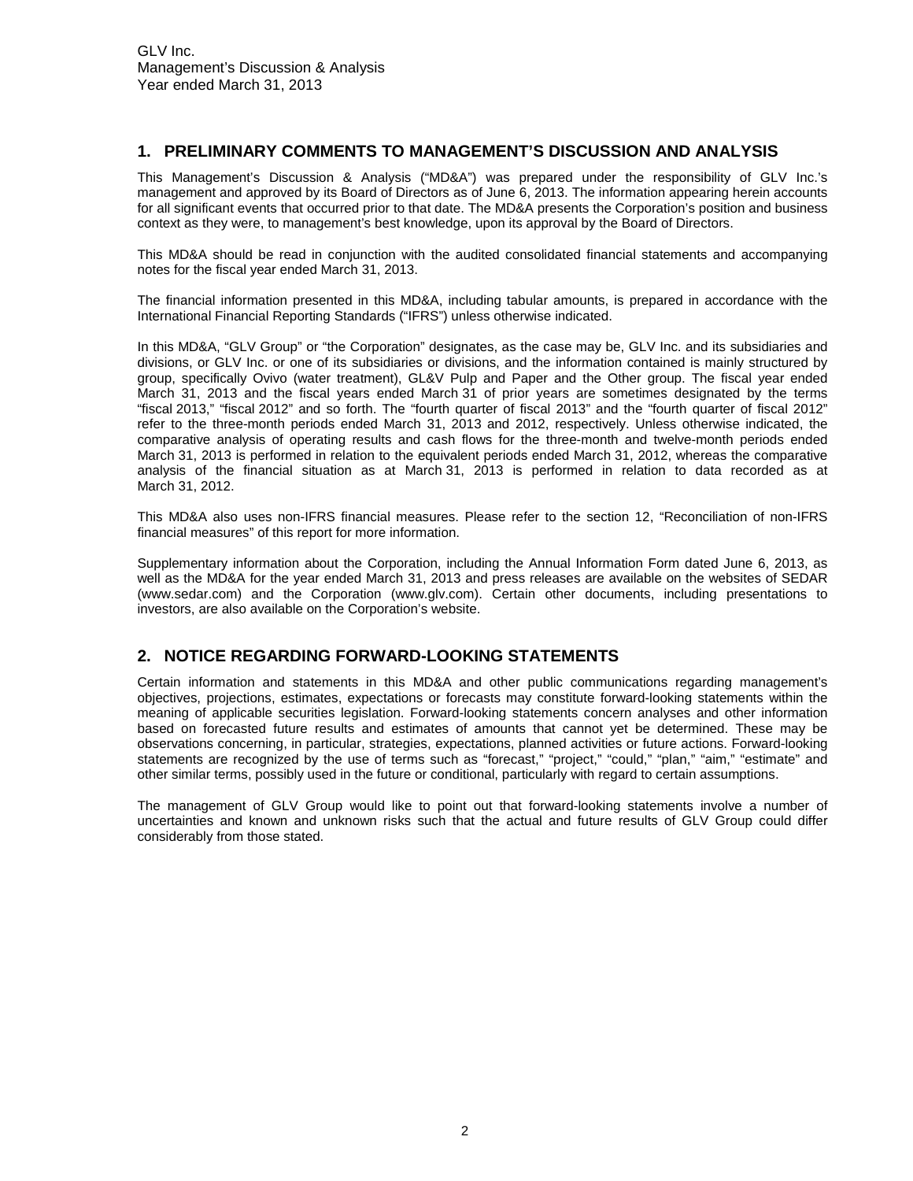# <span id="page-1-0"></span>**1. PRELIMINARY COMMENTS TO MANAGEMENT'S DISCUSSION AND ANALYSIS**

This Management's Discussion & Analysis ("MD&A") was prepared under the responsibility of GLV Inc.'s management and approved by its Board of Directors as of June 6, 2013. The information appearing herein accounts for all significant events that occurred prior to that date. The MD&A presents the Corporation's position and business context as they were, to management's best knowledge, upon its approval by the Board of Directors.

This MD&A should be read in conjunction with the audited consolidated financial statements and accompanying notes for the fiscal year ended March 31, 2013.

The financial information presented in this MD&A, including tabular amounts, is prepared in accordance with the International Financial Reporting Standards ("IFRS") unless otherwise indicated.

In this MD&A, "GLV Group" or "the Corporation" designates, as the case may be, GLV Inc. and its subsidiaries and divisions, or GLV Inc. or one of its subsidiaries or divisions, and the information contained is mainly structured by group, specifically Ovivo (water treatment), GL&V Pulp and Paper and the Other group. The fiscal year ended March 31, 2013 and the fiscal years ended March 31 of prior years are sometimes designated by the terms "fiscal 2013," "fiscal 2012" and so forth. The "fourth quarter of fiscal 2013" and the "fourth quarter of fiscal 2012" refer to the three-month periods ended March 31, 2013 and 2012, respectively. Unless otherwise indicated, the comparative analysis of operating results and cash flows for the three-month and twelve-month periods ended March 31, 2013 is performed in relation to the equivalent periods ended March 31, 2012, whereas the comparative analysis of the financial situation as at March 31, 2013 is performed in relation to data recorded as at March 31, 2012.

This MD&A also uses non-IFRS financial measures. Please refer to the section 12, "Reconciliation of non-IFRS financial measures" of this report for more information.

Supplementary information about the Corporation, including the Annual Information Form dated June 6, 2013, as well as the MD&A for the year ended March 31, 2013 and press releases are available on the websites of SEDAR [\(www.sedar.com\)](http://www.sedar.com/) and the Corporation [\(www.glv.com\)](http://www.glv.com/). Certain other documents, including presentations to investors, are also available on the Corporation's website.

# <span id="page-1-1"></span>**2. NOTICE REGARDING FORWARD-LOOKING STATEMENTS**

Certain information and statements in this MD&A and other public communications regarding management's objectives, projections, estimates, expectations or forecasts may constitute forward-looking statements within the meaning of applicable securities legislation. Forward-looking statements concern analyses and other information based on forecasted future results and estimates of amounts that cannot yet be determined. These may be observations concerning, in particular, strategies, expectations, planned activities or future actions. Forward-looking statements are recognized by the use of terms such as "forecast," "project," "could," "plan," "aim," "estimate" and other similar terms, possibly used in the future or conditional, particularly with regard to certain assumptions.

The management of GLV Group would like to point out that forward-looking statements involve a number of uncertainties and known and unknown risks such that the actual and future results of GLV Group could differ considerably from those stated.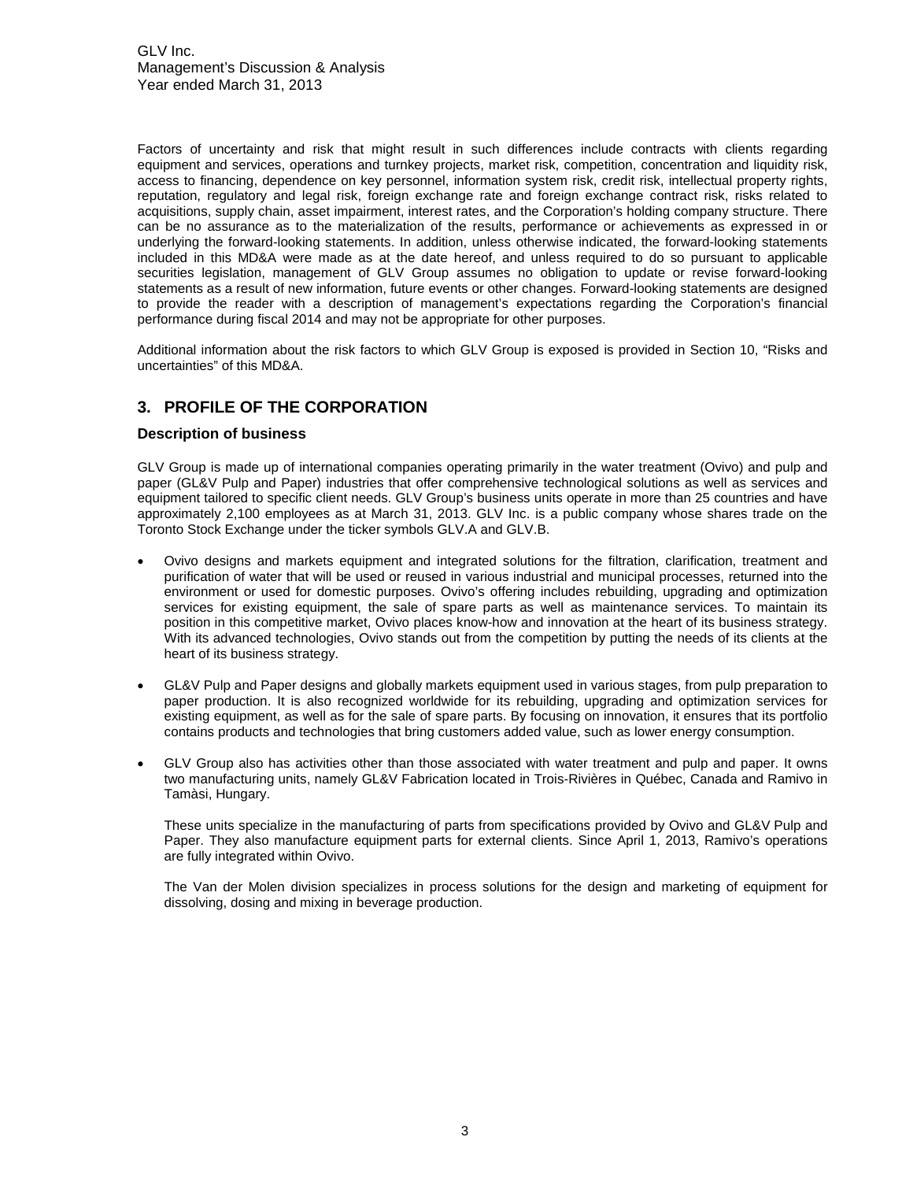Factors of uncertainty and risk that might result in such differences include contracts with clients regarding equipment and services, operations and turnkey projects, market risk, competition, concentration and liquidity risk, access to financing, dependence on key personnel, information system risk, credit risk, intellectual property rights, reputation, regulatory and legal risk, foreign exchange rate and foreign exchange contract risk, risks related to acquisitions, supply chain, asset impairment, interest rates, and the Corporation's holding company structure. There can be no assurance as to the materialization of the results, performance or achievements as expressed in or underlying the forward-looking statements. In addition, unless otherwise indicated, the forward-looking statements included in this MD&A were made as at the date hereof, and unless required to do so pursuant to applicable securities legislation, management of GLV Group assumes no obligation to update or revise forward-looking statements as a result of new information, future events or other changes. Forward-looking statements are designed to provide the reader with a description of management's expectations regarding the Corporation's financial performance during fiscal 2014 and may not be appropriate for other purposes.

Additional information about the risk factors to which GLV Group is exposed is provided in Section 10, "Risks and uncertainties" of this MD&A.

# <span id="page-2-0"></span>**3. PROFILE OF THE CORPORATION**

# **Description of business**

GLV Group is made up of international companies operating primarily in the water treatment (Ovivo) and pulp and paper (GL&V Pulp and Paper) industries that offer comprehensive technological solutions as well as services and equipment tailored to specific client needs. GLV Group's business units operate in more than 25 countries and have approximately 2,100 employees as at March 31, 2013. GLV Inc. is a public company whose shares trade on the Toronto Stock Exchange under the ticker symbols GLV.A and GLV.B.

- Ovivo designs and markets equipment and integrated solutions for the filtration, clarification, treatment and purification of water that will be used or reused in various industrial and municipal processes, returned into the environment or used for domestic purposes. Ovivo's offering includes rebuilding, upgrading and optimization services for existing equipment, the sale of spare parts as well as maintenance services. To maintain its position in this competitive market, Ovivo places know-how and innovation at the heart of its business strategy. With its advanced technologies, Ovivo stands out from the competition by putting the needs of its clients at the heart of its business strategy.
- GL&V Pulp and Paper designs and globally markets equipment used in various stages, from pulp preparation to paper production. It is also recognized worldwide for its rebuilding, upgrading and optimization services for existing equipment, as well as for the sale of spare parts. By focusing on innovation, it ensures that its portfolio contains products and technologies that bring customers added value, such as lower energy consumption.
- GLV Group also has activities other than those associated with water treatment and pulp and paper. It owns two manufacturing units, namely GL&V Fabrication located in Trois-Rivières in Québec, Canada and Ramivo in Tamàsi, Hungary.

These units specialize in the manufacturing of parts from specifications provided by Ovivo and GL&V Pulp and Paper. They also manufacture equipment parts for external clients. Since April 1, 2013, Ramivo's operations are fully integrated within Ovivo.

The Van der Molen division specializes in process solutions for the design and marketing of equipment for dissolving, dosing and mixing in beverage production.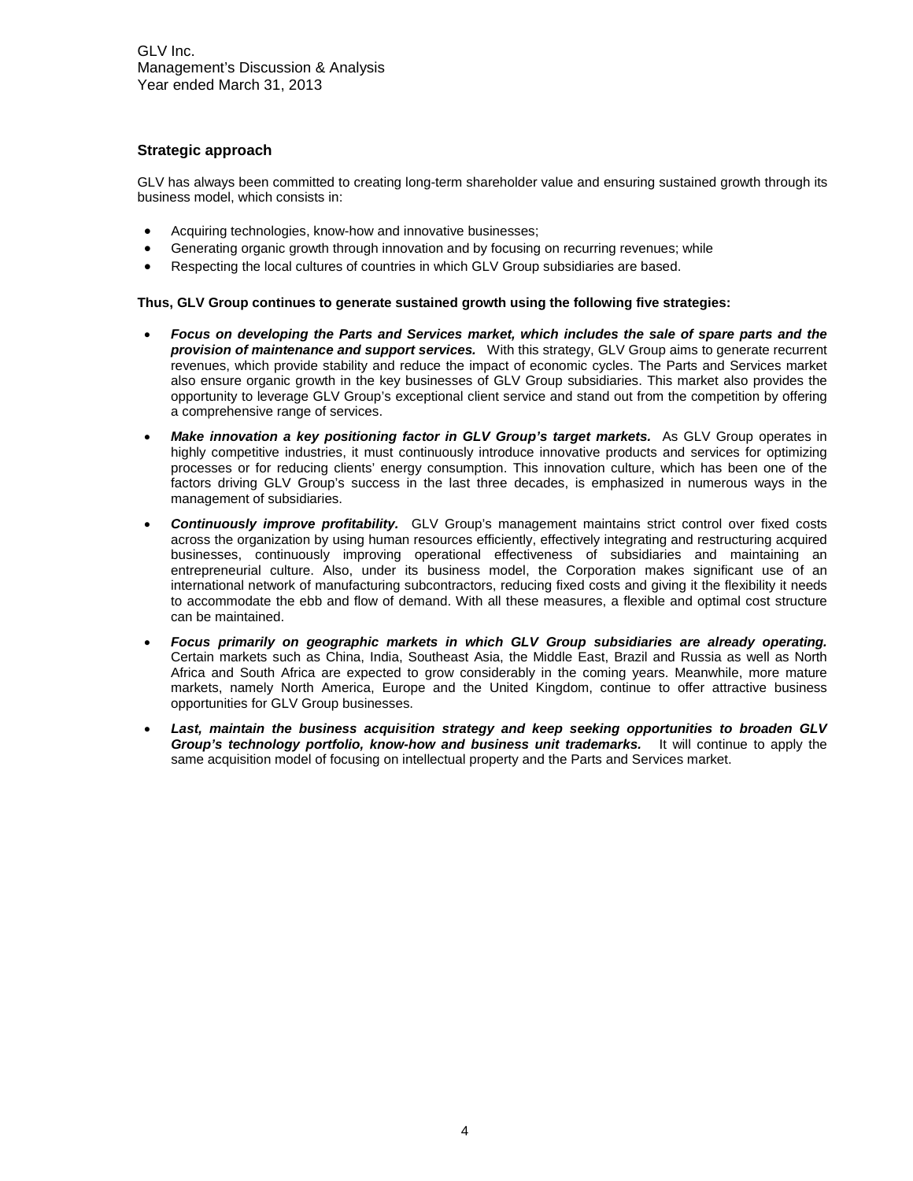# **Strategic approach**

GLV has always been committed to creating long-term shareholder value and ensuring sustained growth through its business model, which consists in:

- Acquiring technologies, know-how and innovative businesses;
- Generating organic growth through innovation and by focusing on recurring revenues; while
- Respecting the local cultures of countries in which GLV Group subsidiaries are based.

#### **Thus, GLV Group continues to generate sustained growth using the following five strategies:**

- *Focus on developing the Parts and Services market, which includes the sale of spare parts and the provision of maintenance and support services.* With this strategy, GLV Group aims to generate recurrent revenues, which provide stability and reduce the impact of economic cycles. The Parts and Services market also ensure organic growth in the key businesses of GLV Group subsidiaries. This market also provides the opportunity to leverage GLV Group's exceptional client service and stand out from the competition by offering a comprehensive range of services.
- Make *innovation a key positioning factor in GLV Group's target markets.* As GLV Group operates in highly competitive industries, it must continuously introduce innovative products and services for optimizing processes or for reducing clients' energy consumption. This innovation culture, which has been one of the factors driving GLV Group's success in the last three decades, is emphasized in numerous ways in the management of subsidiaries.
- *Continuously improve profitability.*GLV Group's management maintains strict control over fixed costs across the organization by using human resources efficiently, effectively integrating and restructuring acquired businesses, continuously improving operational effectiveness of subsidiaries and maintaining an entrepreneurial culture. Also, under its business model, the Corporation makes significant use of an international network of manufacturing subcontractors, reducing fixed costs and giving it the flexibility it needs to accommodate the ebb and flow of demand. With all these measures, a flexible and optimal cost structure can be maintained.
- *Focus primarily on geographic markets in which GLV Group subsidiaries are already operating.* Certain markets such as China, India, Southeast Asia, the Middle East, Brazil and Russia as well as North Africa and South Africa are expected to grow considerably in the coming years. Meanwhile, more mature markets, namely North America, Europe and the United Kingdom, continue to offer attractive business opportunities for GLV Group businesses.
- *Last, maintain the business acquisition strategy and keep seeking opportunities to broaden GLV Group's technology portfolio, know-how and business unit trademarks.* It will continue to apply the same acquisition model of focusing on intellectual property and the Parts and Services market.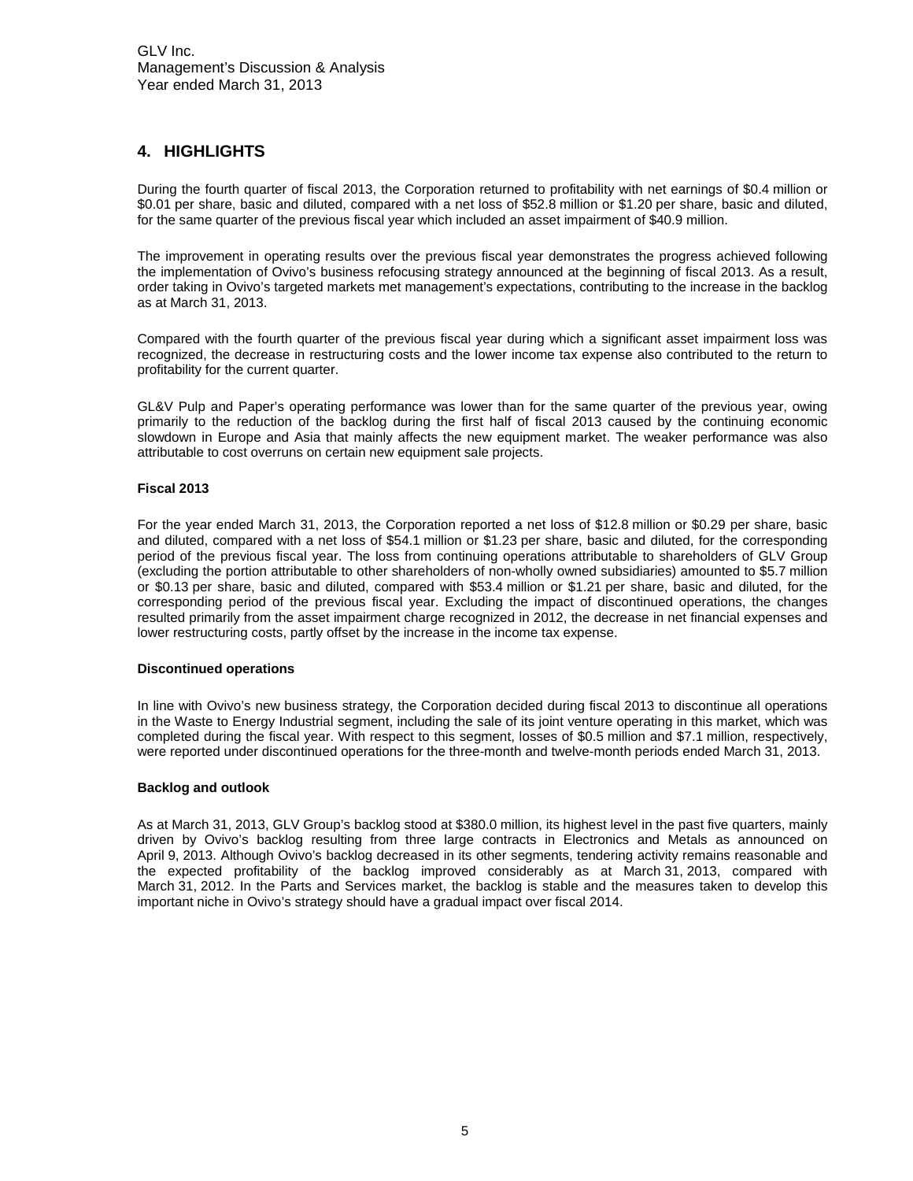# <span id="page-4-0"></span>**4. HIGHLIGHTS**

During the fourth quarter of fiscal 2013, the Corporation returned to profitability with net earnings of \$0.4 million or \$0.01 per share, basic and diluted, compared with a net loss of \$52.8 million or \$1.20 per share, basic and diluted, for the same quarter of the previous fiscal year which included an asset impairment of \$40.9 million.

The improvement in operating results over the previous fiscal year demonstrates the progress achieved following the implementation of Ovivo's business refocusing strategy announced at the beginning of fiscal 2013. As a result, order taking in Ovivo's targeted markets met management's expectations, contributing to the increase in the backlog as at March 31, 2013.

Compared with the fourth quarter of the previous fiscal year during which a significant asset impairment loss was recognized, the decrease in restructuring costs and the lower income tax expense also contributed to the return to profitability for the current quarter.

GL&V Pulp and Paper's operating performance was lower than for the same quarter of the previous year, owing primarily to the reduction of the backlog during the first half of fiscal 2013 caused by the continuing economic slowdown in Europe and Asia that mainly affects the new equipment market. The weaker performance was also attributable to cost overruns on certain new equipment sale projects.

#### **Fiscal 2013**

For the year ended March 31, 2013, the Corporation reported a net loss of \$12.8 million or \$0.29 per share, basic and diluted, compared with a net loss of \$54.1 million or \$1.23 per share, basic and diluted, for the corresponding period of the previous fiscal year. The loss from continuing operations attributable to shareholders of GLV Group (excluding the portion attributable to other shareholders of non-wholly owned subsidiaries) amounted to \$5.7 million or \$0.13 per share, basic and diluted, compared with \$53.4 million or \$1.21 per share, basic and diluted, for the corresponding period of the previous fiscal year. Excluding the impact of discontinued operations, the changes resulted primarily from the asset impairment charge recognized in 2012, the decrease in net financial expenses and lower restructuring costs, partly offset by the increase in the income tax expense.

#### **Discontinued operations**

In line with Ovivo's new business strategy, the Corporation decided during fiscal 2013 to discontinue all operations in the Waste to Energy Industrial segment, including the sale of its joint venture operating in this market, which was completed during the fiscal year. With respect to this segment, losses of \$0.5 million and \$7.1 million, respectively, were reported under discontinued operations for the three-month and twelve-month periods ended March 31, 2013.

#### **Backlog and outlook**

As at March 31, 2013, GLV Group's backlog stood at \$380.0 million, its highest level in the past five quarters, mainly driven by Ovivo's backlog resulting from three large contracts in Electronics and Metals as announced on April 9, 2013. Although Ovivo's backlog decreased in its other segments, tendering activity remains reasonable and the expected profitability of the backlog improved considerably as at March 31, 2013, compared with March 31, 2012. In the Parts and Services market, the backlog is stable and the measures taken to develop this important niche in Ovivo's strategy should have a gradual impact over fiscal 2014.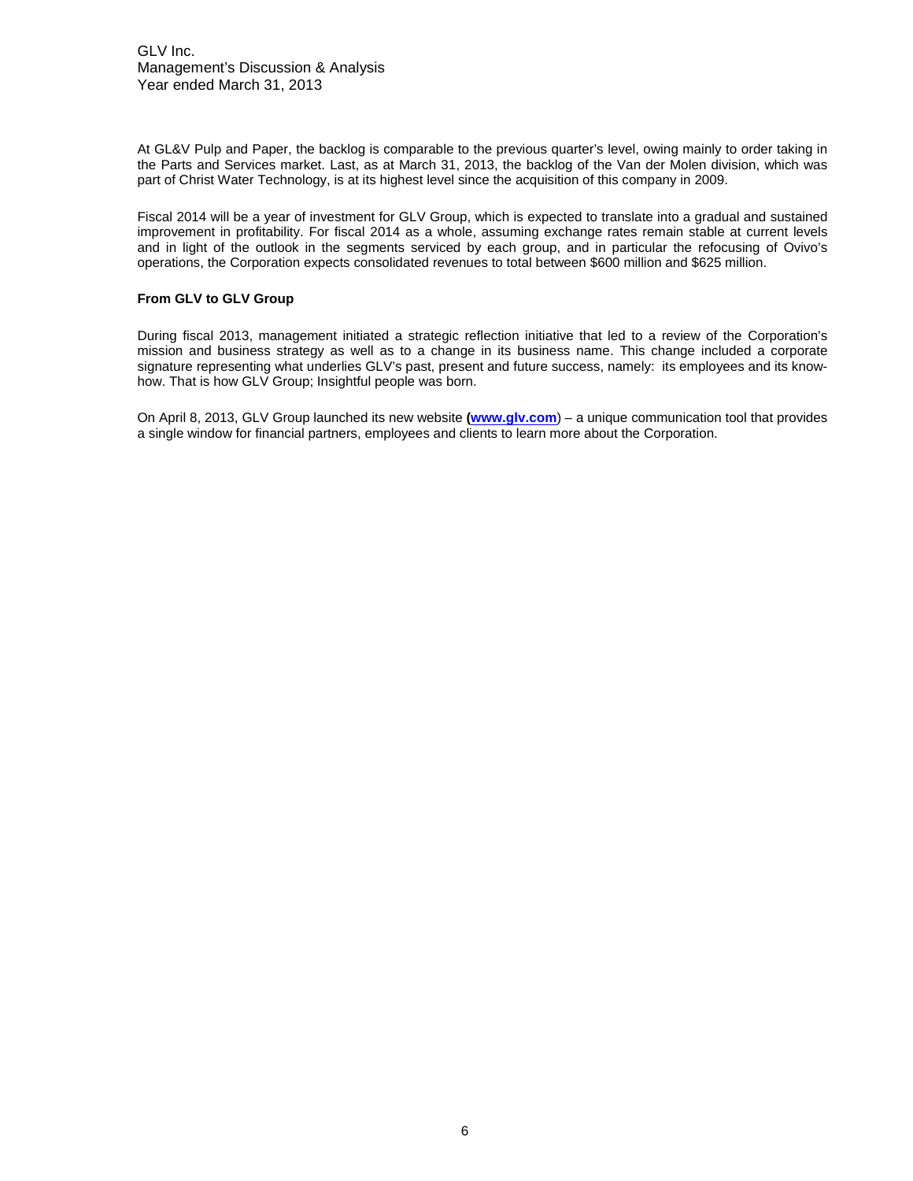GLV Inc. Management's Discussion & Analysis Year ended March 31, 2013

At GL&V Pulp and Paper, the backlog is comparable to the previous quarter's level, owing mainly to order taking in the Parts and Services market. Last, as at March 31, 2013, the backlog of the Van der Molen division, which was part of Christ Water Technology, is at its highest level since the acquisition of this company in 2009.

Fiscal 2014 will be a year of investment for GLV Group, which is expected to translate into a gradual and sustained improvement in profitability. For fiscal 2014 as a whole, assuming exchange rates remain stable at current levels and in light of the outlook in the segments serviced by each group, and in particular the refocusing of Ovivo's operations, the Corporation expects consolidated revenues to total between \$600 million and \$625 million.

#### **From GLV to GLV Group**

During fiscal 2013, management initiated a strategic reflection initiative that led to a review of the Corporation's mission and business strategy as well as to a change in its business name. This change included a corporate signature representing what underlies GLV's past, present and future success, namely: its employees and its knowhow. That is how GLV Group; Insightful people was born.

On April 8, 2013, GLV Group launched its new website **[\(www.glv.com](http://www.glv.com/)**) – a unique communication tool that provides a single window for financial partners, employees and clients to learn more about the Corporation.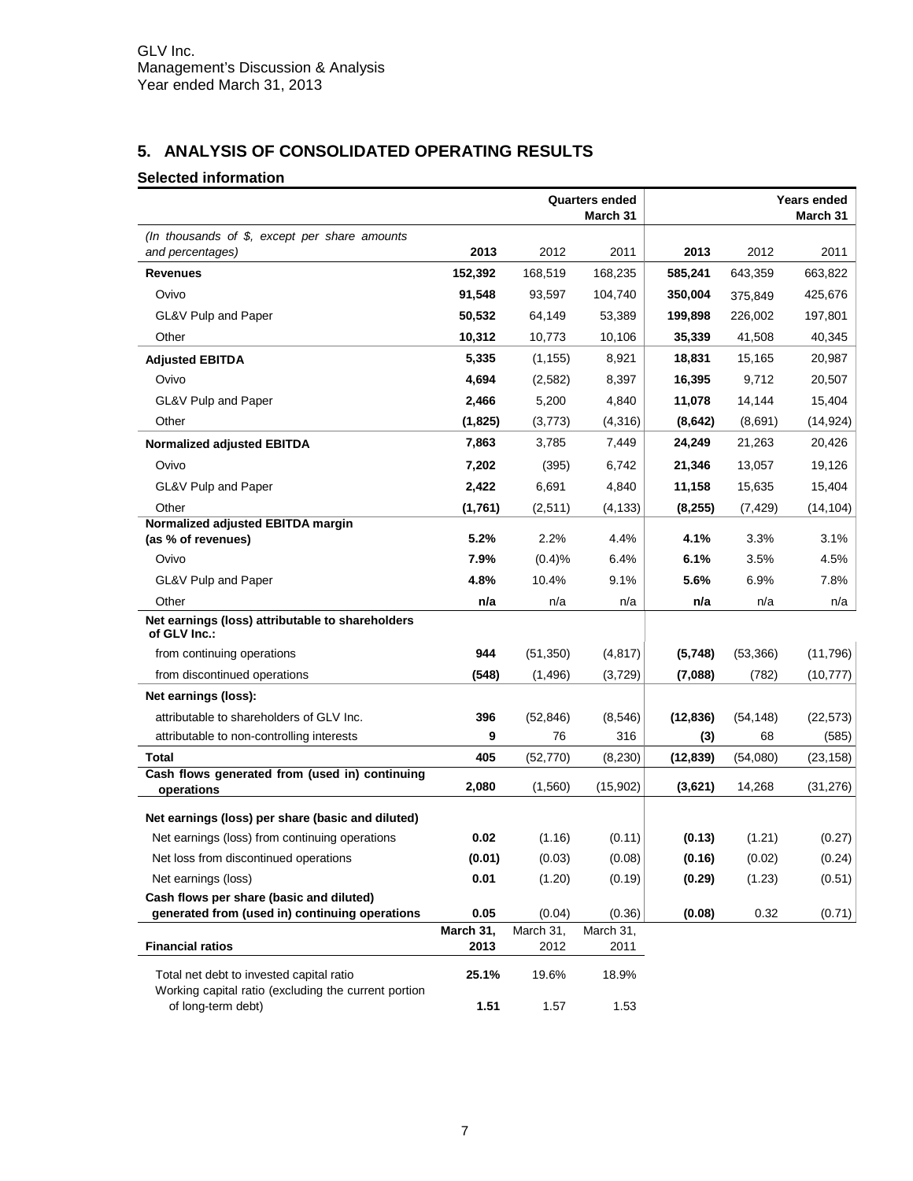# <span id="page-6-0"></span>**5. ANALYSIS OF CONSOLIDATED OPERATING RESULTS**

# **Selected information**

|                                                                                                  |                   |                   | <b>Quarters ended</b><br>March 31 |           |           | Years ended<br>March 31 |
|--------------------------------------------------------------------------------------------------|-------------------|-------------------|-----------------------------------|-----------|-----------|-------------------------|
| (In thousands of \$, except per share amounts<br>and percentages)                                | 2013              | 2012              | 2011                              | 2013      | 2012      | 2011                    |
| <b>Revenues</b>                                                                                  | 152,392           | 168,519           | 168,235                           | 585,241   | 643,359   | 663,822                 |
| Ovivo                                                                                            | 91,548            | 93.597            | 104,740                           | 350,004   | 375,849   | 425,676                 |
| GL&V Pulp and Paper                                                                              | 50,532            | 64,149            | 53,389                            | 199,898   | 226,002   | 197,801                 |
| Other                                                                                            | 10,312            | 10,773            | 10,106                            | 35,339    | 41,508    | 40,345                  |
| <b>Adjusted EBITDA</b>                                                                           | 5,335             | (1, 155)          | 8,921                             | 18,831    | 15,165    | 20,987                  |
| Ovivo                                                                                            | 4,694             | (2,582)           | 8,397                             | 16,395    | 9,712     | 20,507                  |
| GL&V Pulp and Paper                                                                              | 2,466             | 5,200             | 4,840                             | 11,078    | 14,144    | 15,404                  |
| Other                                                                                            | (1, 825)          | (3,773)           | (4,316)                           | (8,642)   | (8,691)   | (14, 924)               |
| <b>Normalized adjusted EBITDA</b>                                                                | 7,863             | 3,785             | 7,449                             | 24,249    | 21,263    | 20,426                  |
| Ovivo                                                                                            | 7,202             | (395)             | 6,742                             | 21,346    | 13,057    | 19,126                  |
| GL&V Pulp and Paper                                                                              | 2,422             | 6,691             | 4,840                             | 11,158    | 15,635    | 15,404                  |
| Other                                                                                            | (1,761)           | (2,511)           | (4, 133)                          | (8, 255)  | (7, 429)  | (14, 104)               |
| Normalized adjusted EBITDA margin<br>(as % of revenues)                                          | 5.2%              | 2.2%              | 4.4%                              | 4.1%      | 3.3%      | 3.1%                    |
| Ovivo                                                                                            | 7.9%              | (0.4)%            | 6.4%                              | 6.1%      | 3.5%      | 4.5%                    |
| GL&V Pulp and Paper                                                                              | 4.8%              | 10.4%             | 9.1%                              | 5.6%      | 6.9%      | 7.8%                    |
| Other                                                                                            | n/a               | n/a               | n/a                               | n/a       | n/a       | n/a                     |
| Net earnings (loss) attributable to shareholders<br>of GLV Inc.:                                 |                   |                   |                                   |           |           |                         |
| from continuing operations                                                                       | 944               | (51, 350)         | (4, 817)                          | (5,748)   | (53, 366) | (11,796)                |
| from discontinued operations                                                                     | (548)             | (1,496)           | (3,729)                           | (7,088)   | (782)     | (10, 777)               |
| Net earnings (loss):                                                                             |                   |                   |                                   |           |           |                         |
| attributable to shareholders of GLV Inc.                                                         | 396               | (52, 846)         | (8,546)                           | (12, 836) | (54, 148) | (22, 573)               |
| attributable to non-controlling interests                                                        | 9                 | 76                | 316                               | (3)       | 68        | (585)                   |
| Total                                                                                            | 405               | (52, 770)         | (8, 230)                          | (12, 839) | (54,080)  | (23, 158)               |
| Cash flows generated from (used in) continuing<br>operations                                     | 2,080             | (1,560)           | (15,902)                          | (3,621)   | 14,268    | (31, 276)               |
| Net earnings (loss) per share (basic and diluted)                                                |                   |                   |                                   |           |           |                         |
| Net earnings (loss) from continuing operations                                                   | 0.02              | (1.16)            | (0.11)                            | (0.13)    | (1.21)    | (0.27)                  |
| Net loss from discontinued operations                                                            | (0.01)            | (0.03)            | (0.08)                            | (0.16)    | (0.02)    | (0.24)                  |
| Net earnings (loss)                                                                              | 0.01              | (1.20)            | (0.19)                            | (0.29)    | (1.23)    | (0.51)                  |
| Cash flows per share (basic and diluted)                                                         |                   |                   |                                   |           |           |                         |
| generated from (used in) continuing operations                                                   | 0.05              | (0.04)            | (0.36)                            | (0.08)    | 0.32      | (0.71)                  |
| <b>Financial ratios</b>                                                                          | March 31,<br>2013 | March 31,<br>2012 | March 31,<br>2011                 |           |           |                         |
| Total net debt to invested capital ratio<br>Working capital ratio (excluding the current portion | 25.1%             | 19.6%             | 18.9%                             |           |           |                         |
| of long-term debt)                                                                               | 1.51              | 1.57              | 1.53                              |           |           |                         |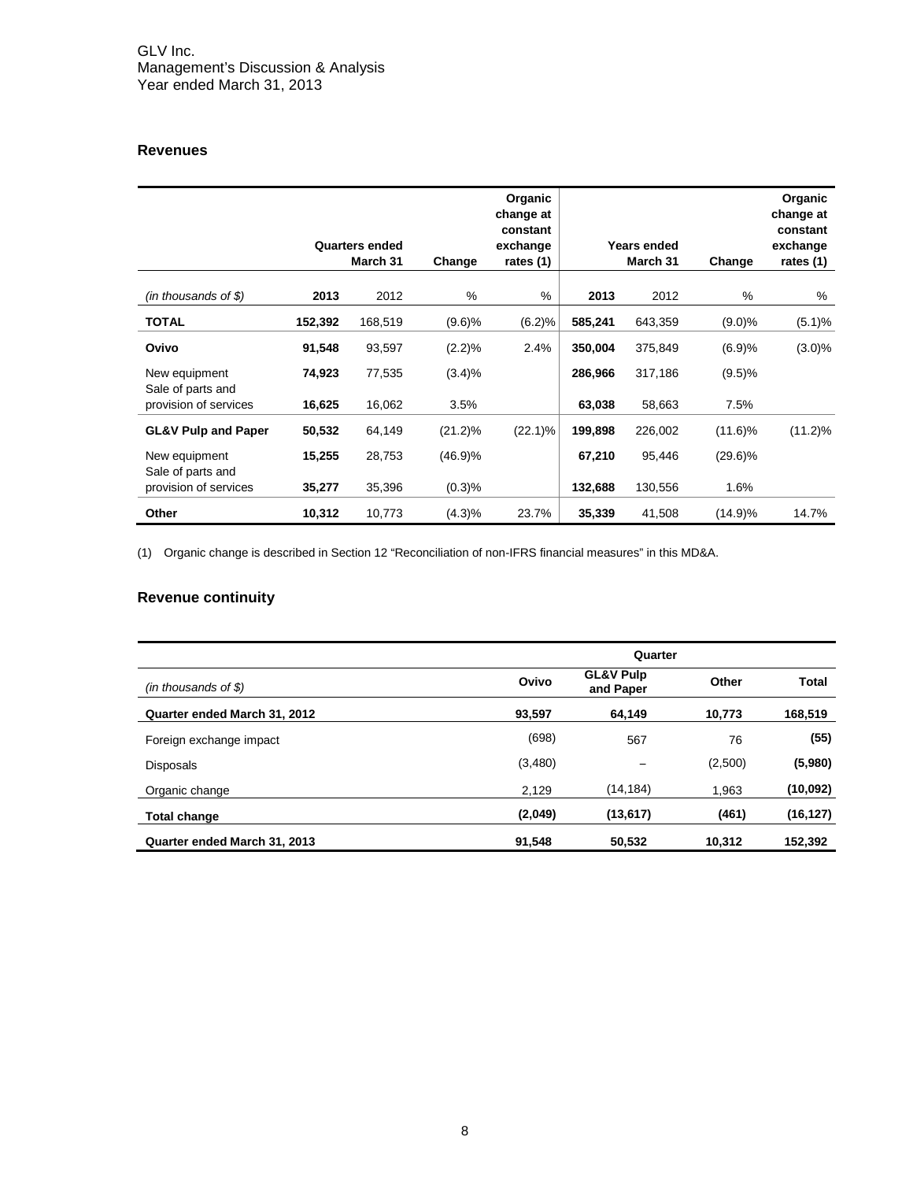# **Revenues**

|                                            |         | <b>Quarters ended</b><br>March 31 | Change     | Organic<br>change at<br>constant<br>exchange<br>rates (1) |         | Years ended<br>March 31 | Change     | Organic<br>change at<br>constant<br>exchange<br>rates (1) |
|--------------------------------------------|---------|-----------------------------------|------------|-----------------------------------------------------------|---------|-------------------------|------------|-----------------------------------------------------------|
| $(in$ thousands of \$)                     | 2013    | 2012                              | %          | $\%$                                                      | 2013    | 2012                    | $\%$       | %                                                         |
| <b>TOTAL</b>                               | 152,392 | 168,519                           | (9.6)%     | (6.2)%                                                    | 585,241 | 643,359                 | $(9.0)\%$  | (5.1)%                                                    |
| Ovivo                                      | 91,548  | 93,597                            | $(2.2)\%$  | 2.4%                                                      | 350,004 | 375,849                 | (6.9)%     | $(3.0)\%$                                                 |
| New equipment                              | 74,923  | 77,535                            | (3.4)%     |                                                           | 286,966 | 317,186                 | (9.5)%     |                                                           |
| Sale of parts and<br>provision of services | 16,625  | 16,062                            | 3.5%       |                                                           | 63,038  | 58,663                  | 7.5%       |                                                           |
| <b>GL&amp;V Pulp and Paper</b>             | 50,532  | 64,149                            | $(21.2)\%$ | $(22.1)\%$                                                | 199,898 | 226,002                 | $(11.6)\%$ | $(11.2)\%$                                                |
| New equipment                              | 15,255  | 28,753                            | (46.9)%    |                                                           | 67,210  | 95,446                  | $(29.6)\%$ |                                                           |
| Sale of parts and<br>provision of services | 35,277  | 35,396                            | (0.3)%     |                                                           | 132,688 | 130,556                 | 1.6%       |                                                           |
| Other                                      | 10,312  | 10,773                            | (4.3)%     | 23.7%                                                     | 35,339  | 41,508                  | (14.9)%    | 14.7%                                                     |

(1) Organic change is described in Section 12 "Reconciliation of non-IFRS financial measures" in this MD&A.

# **Revenue continuity**

|                              | Quarter |                                   |         |              |  |  |  |  |
|------------------------------|---------|-----------------------------------|---------|--------------|--|--|--|--|
| $(in$ thousands of \$)       | Ovivo   | <b>GL&amp;V Pulp</b><br>and Paper | Other   | <b>Total</b> |  |  |  |  |
| Quarter ended March 31, 2012 | 93,597  | 64,149                            | 10,773  | 168,519      |  |  |  |  |
| Foreign exchange impact      | (698)   | 567                               | 76      | (55)         |  |  |  |  |
| <b>Disposals</b>             | (3,480) |                                   | (2,500) | (5,980)      |  |  |  |  |
| Organic change               | 2.129   | (14, 184)                         | 1.963   | (10,092)     |  |  |  |  |
| Total change                 | (2,049) | (13, 617)                         | (461)   | (16, 127)    |  |  |  |  |
| Quarter ended March 31, 2013 | 91,548  | 50,532                            | 10,312  | 152,392      |  |  |  |  |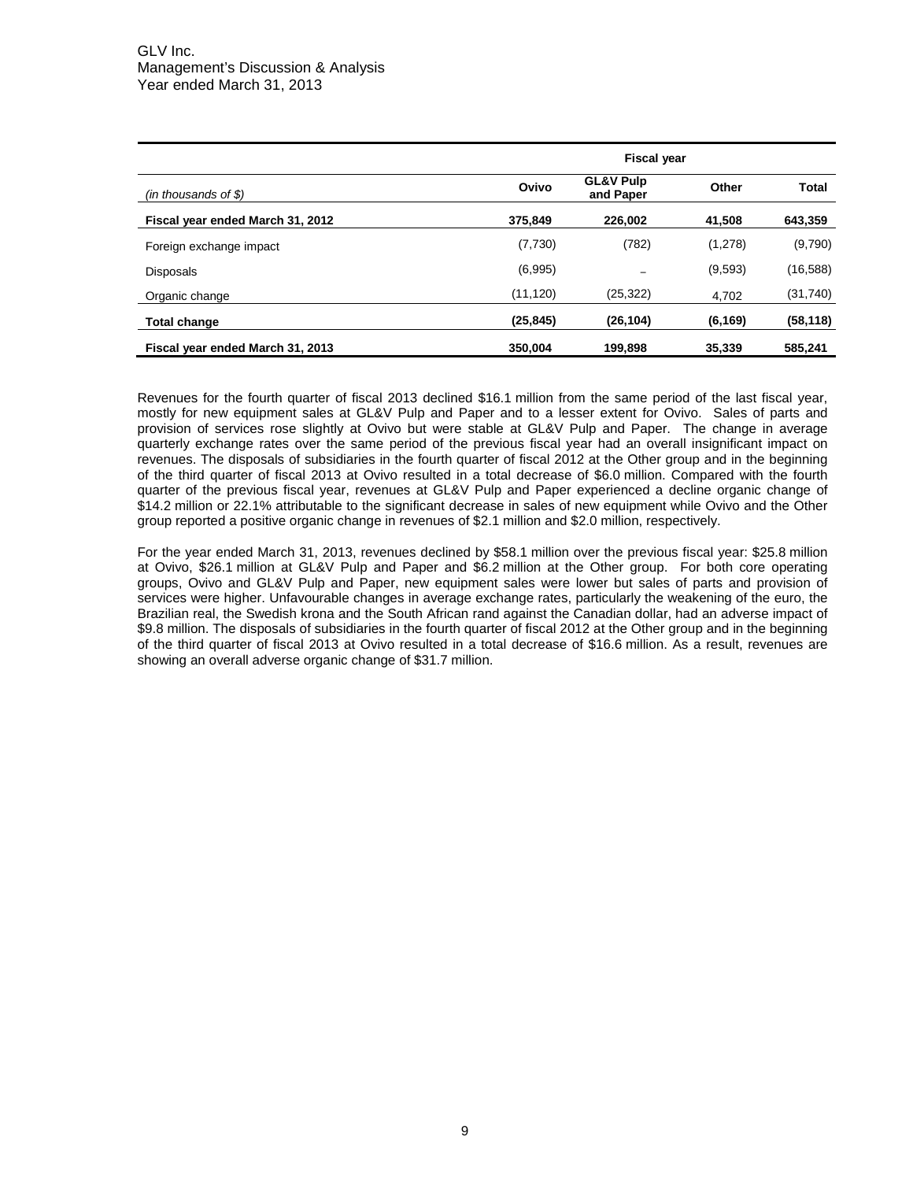|                                  | <b>Fiscal year</b> |                                   |          |              |  |  |  |  |
|----------------------------------|--------------------|-----------------------------------|----------|--------------|--|--|--|--|
| $(in$ thousands of \$)           | Ovivo              | <b>GL&amp;V Pulp</b><br>and Paper | Other    | <b>Total</b> |  |  |  |  |
| Fiscal year ended March 31, 2012 | 375.849            | 226,002                           | 41.508   | 643,359      |  |  |  |  |
| Foreign exchange impact          | (7,730)            | (782)                             | (1,278)  | (9,790)      |  |  |  |  |
| <b>Disposals</b>                 | (6,995)            |                                   | (9,593)  | (16,588)     |  |  |  |  |
| Organic change                   | (11, 120)          | (25, 322)                         | 4,702    | (31,740)     |  |  |  |  |
| <b>Total change</b>              | (25, 845)          | (26, 104)                         | (6, 169) | (58, 118)    |  |  |  |  |
| Fiscal year ended March 31, 2013 | 350.004            | 199,898                           | 35,339   | 585,241      |  |  |  |  |

Revenues for the fourth quarter of fiscal 2013 declined \$16.1 million from the same period of the last fiscal year, mostly for new equipment sales at GL&V Pulp and Paper and to a lesser extent for Ovivo. Sales of parts and provision of services rose slightly at Ovivo but were stable at GL&V Pulp and Paper. The change in average quarterly exchange rates over the same period of the previous fiscal year had an overall insignificant impact on revenues. The disposals of subsidiaries in the fourth quarter of fiscal 2012 at the Other group and in the beginning of the third quarter of fiscal 2013 at Ovivo resulted in a total decrease of \$6.0 million. Compared with the fourth quarter of the previous fiscal year, revenues at GL&V Pulp and Paper experienced a decline organic change of \$14.2 million or 22.1% attributable to the significant decrease in sales of new equipment while Ovivo and the Other group reported a positive organic change in revenues of \$2.1 million and \$2.0 million, respectively.

For the year ended March 31, 2013, revenues declined by \$58.1 million over the previous fiscal year: \$25.8 million at Ovivo, \$26.1 million at GL&V Pulp and Paper and \$6.2 million at the Other group. For both core operating groups, Ovivo and GL&V Pulp and Paper, new equipment sales were lower but sales of parts and provision of services were higher. Unfavourable changes in average exchange rates, particularly the weakening of the euro, the Brazilian real, the Swedish krona and the South African rand against the Canadian dollar, had an adverse impact of \$9.8 million. The disposals of subsidiaries in the fourth quarter of fiscal 2012 at the Other group and in the beginning of the third quarter of fiscal 2013 at Ovivo resulted in a total decrease of \$16.6 million. As a result, revenues are showing an overall adverse organic change of \$31.7 million.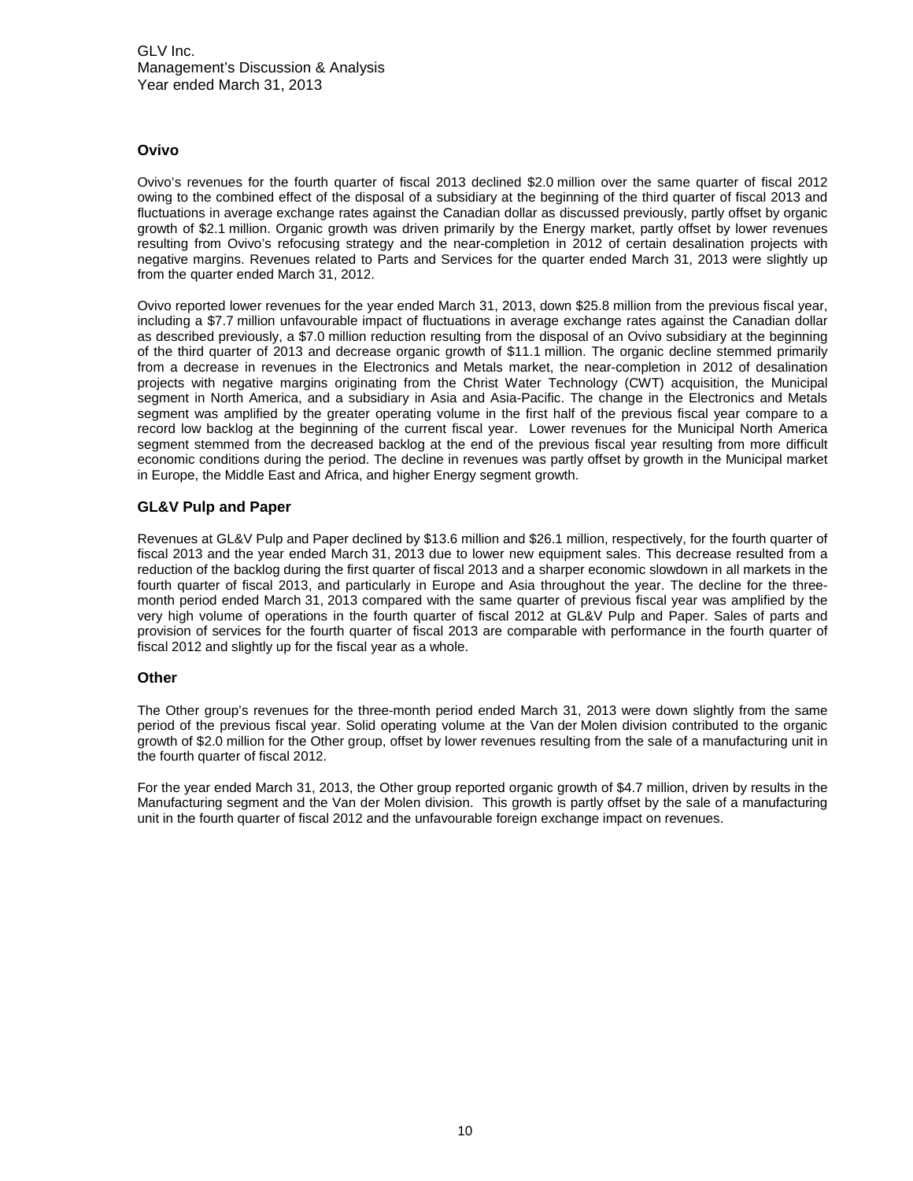# **Ovivo**

Ovivo's revenues for the fourth quarter of fiscal 2013 declined \$2.0 million over the same quarter of fiscal 2012 owing to the combined effect of the disposal of a subsidiary at the beginning of the third quarter of fiscal 2013 and fluctuations in average exchange rates against the Canadian dollar as discussed previously, partly offset by organic growth of \$2.1 million. Organic growth was driven primarily by the Energy market, partly offset by lower revenues resulting from Ovivo's refocusing strategy and the near-completion in 2012 of certain desalination projects with negative margins. Revenues related to Parts and Services for the quarter ended March 31, 2013 were slightly up from the quarter ended March 31, 2012.

Ovivo reported lower revenues for the year ended March 31, 2013, down \$25.8 million from the previous fiscal year, including a \$7.7 million unfavourable impact of fluctuations in average exchange rates against the Canadian dollar as described previously, a \$7.0 million reduction resulting from the disposal of an Ovivo subsidiary at the beginning of the third quarter of 2013 and decrease organic growth of \$11.1 million. The organic decline stemmed primarily from a decrease in revenues in the Electronics and Metals market, the near-completion in 2012 of desalination projects with negative margins originating from the Christ Water Technology (CWT) acquisition, the Municipal segment in North America, and a subsidiary in Asia and Asia-Pacific. The change in the Electronics and Metals segment was amplified by the greater operating volume in the first half of the previous fiscal year compare to a record low backlog at the beginning of the current fiscal year. Lower revenues for the Municipal North America segment stemmed from the decreased backlog at the end of the previous fiscal year resulting from more difficult economic conditions during the period. The decline in revenues was partly offset by growth in the Municipal market in Europe, the Middle East and Africa, and higher Energy segment growth.

# **GL&V Pulp and Paper**

Revenues at GL&V Pulp and Paper declined by \$13.6 million and \$26.1 million, respectively, for the fourth quarter of fiscal 2013 and the year ended March 31, 2013 due to lower new equipment sales. This decrease resulted from a reduction of the backlog during the first quarter of fiscal 2013 and a sharper economic slowdown in all markets in the fourth quarter of fiscal 2013, and particularly in Europe and Asia throughout the year. The decline for the threemonth period ended March 31, 2013 compared with the same quarter of previous fiscal year was amplified by the very high volume of operations in the fourth quarter of fiscal 2012 at GL&V Pulp and Paper. Sales of parts and provision of services for the fourth quarter of fiscal 2013 are comparable with performance in the fourth quarter of fiscal 2012 and slightly up for the fiscal year as a whole.

# **Other**

The Other group's revenues for the three-month period ended March 31, 2013 were down slightly from the same period of the previous fiscal year. Solid operating volume at the Van der Molen division contributed to the organic growth of \$2.0 million for the Other group, offset by lower revenues resulting from the sale of a manufacturing unit in the fourth quarter of fiscal 2012.

For the year ended March 31, 2013, the Other group reported organic growth of \$4.7 million, driven by results in the Manufacturing segment and the Van der Molen division. This growth is partly offset by the sale of a manufacturing unit in the fourth quarter of fiscal 2012 and the unfavourable foreign exchange impact on revenues.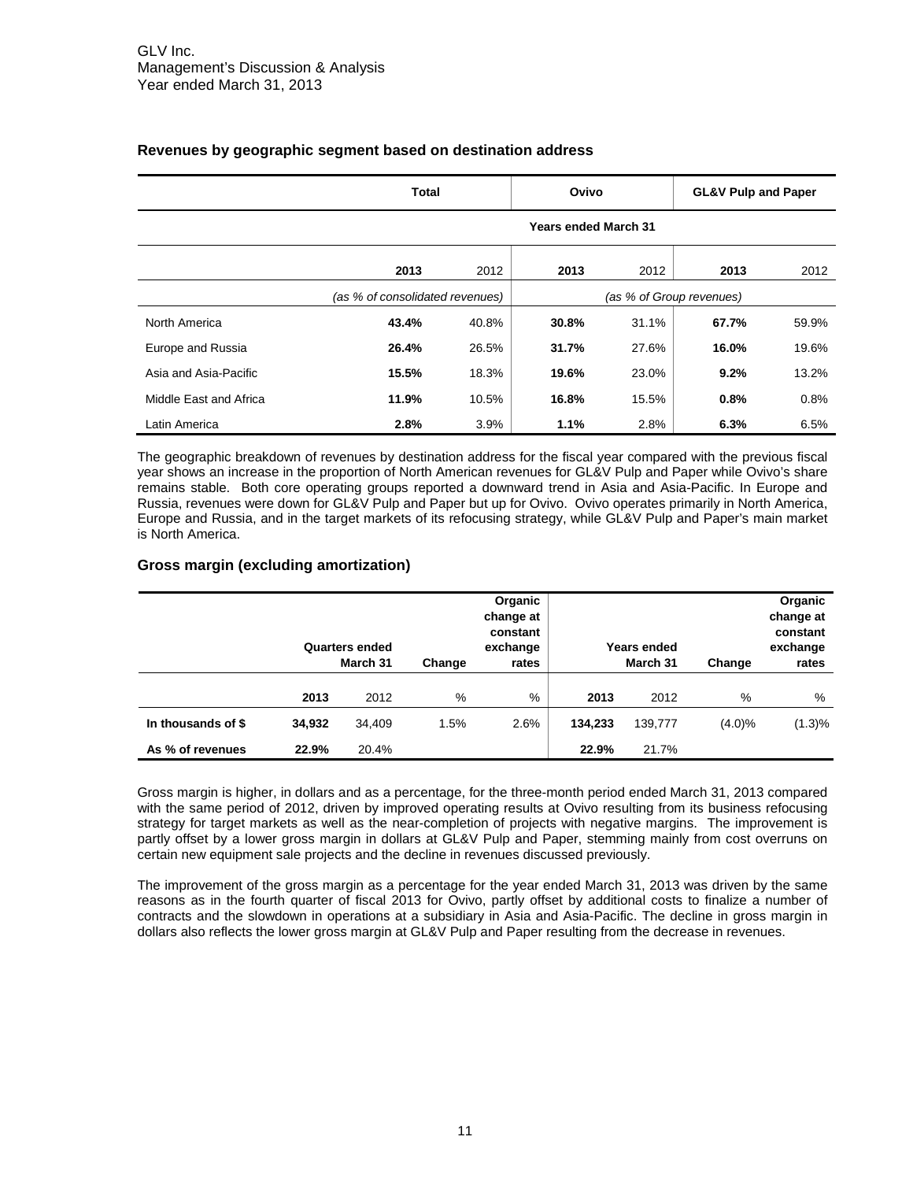|                        | <b>Total</b> |                                 | Ovivo                       |       | <b>GL&amp;V Pulp and Paper</b> |       |  |  |  |
|------------------------|--------------|---------------------------------|-----------------------------|-------|--------------------------------|-------|--|--|--|
|                        |              |                                 | <b>Years ended March 31</b> |       |                                |       |  |  |  |
|                        | 2013         | 2012                            | 2013                        | 2012  | 2013                           | 2012  |  |  |  |
|                        |              | (as % of consolidated revenues) |                             |       | (as % of Group revenues)       |       |  |  |  |
| North America          | 43.4%        | 40.8%                           | 30.8%                       | 31.1% | 67.7%                          | 59.9% |  |  |  |
| Europe and Russia      | 26.4%        | 26.5%                           | 31.7%                       | 27.6% | 16.0%                          | 19.6% |  |  |  |
| Asia and Asia-Pacific  | 15.5%        | 18.3%                           | 19.6%                       | 23.0% | 9.2%                           | 13.2% |  |  |  |
| Middle East and Africa | 11.9%        | 10.5%                           | 16.8%                       | 15.5% | 0.8%                           | 0.8%  |  |  |  |
| Latin America          | 2.8%         | 3.9%                            | 1.1%                        | 2.8%  | 6.3%                           | 6.5%  |  |  |  |

# **Revenues by geographic segment based on destination address**

The geographic breakdown of revenues by destination address for the fiscal year compared with the previous fiscal year shows an increase in the proportion of North American revenues for GL&V Pulp and Paper while Ovivo's share remains stable. Both core operating groups reported a downward trend in Asia and Asia-Pacific. In Europe and Russia, revenues were down for GL&V Pulp and Paper but up for Ovivo. Ovivo operates primarily in North America, Europe and Russia, and in the target markets of its refocusing strategy, while GL&V Pulp and Paper's main market is North America.

# **Gross margin (excluding amortization)**

|                    |        | <b>Quarters ended</b><br>March 31 | Change | Organic<br>change at<br>constant<br>exchange<br>rates |         | Years ended<br>March 31 | Change    | Organic<br>change at<br>constant<br>exchange<br>rates |
|--------------------|--------|-----------------------------------|--------|-------------------------------------------------------|---------|-------------------------|-----------|-------------------------------------------------------|
|                    | 2013   | 2012                              | %      | %                                                     | 2013    | 2012                    | %         | %                                                     |
| In thousands of \$ | 34,932 | 34.409                            | 1.5%   | 2.6%                                                  | 134.233 | 139,777                 | $(4.0)\%$ | (1.3)%                                                |
| As % of revenues   | 22.9%  | 20.4%                             |        |                                                       | 22.9%   | 21.7%                   |           |                                                       |

Gross margin is higher, in dollars and as a percentage, for the three-month period ended March 31, 2013 compared with the same period of 2012, driven by improved operating results at Ovivo resulting from its business refocusing strategy for target markets as well as the near-completion of projects with negative margins. The improvement is partly offset by a lower gross margin in dollars at GL&V Pulp and Paper, stemming mainly from cost overruns on certain new equipment sale projects and the decline in revenues discussed previously.

The improvement of the gross margin as a percentage for the year ended March 31, 2013 was driven by the same reasons as in the fourth quarter of fiscal 2013 for Ovivo, partly offset by additional costs to finalize a number of contracts and the slowdown in operations at a subsidiary in Asia and Asia-Pacific. The decline in gross margin in dollars also reflects the lower gross margin at GL&V Pulp and Paper resulting from the decrease in revenues.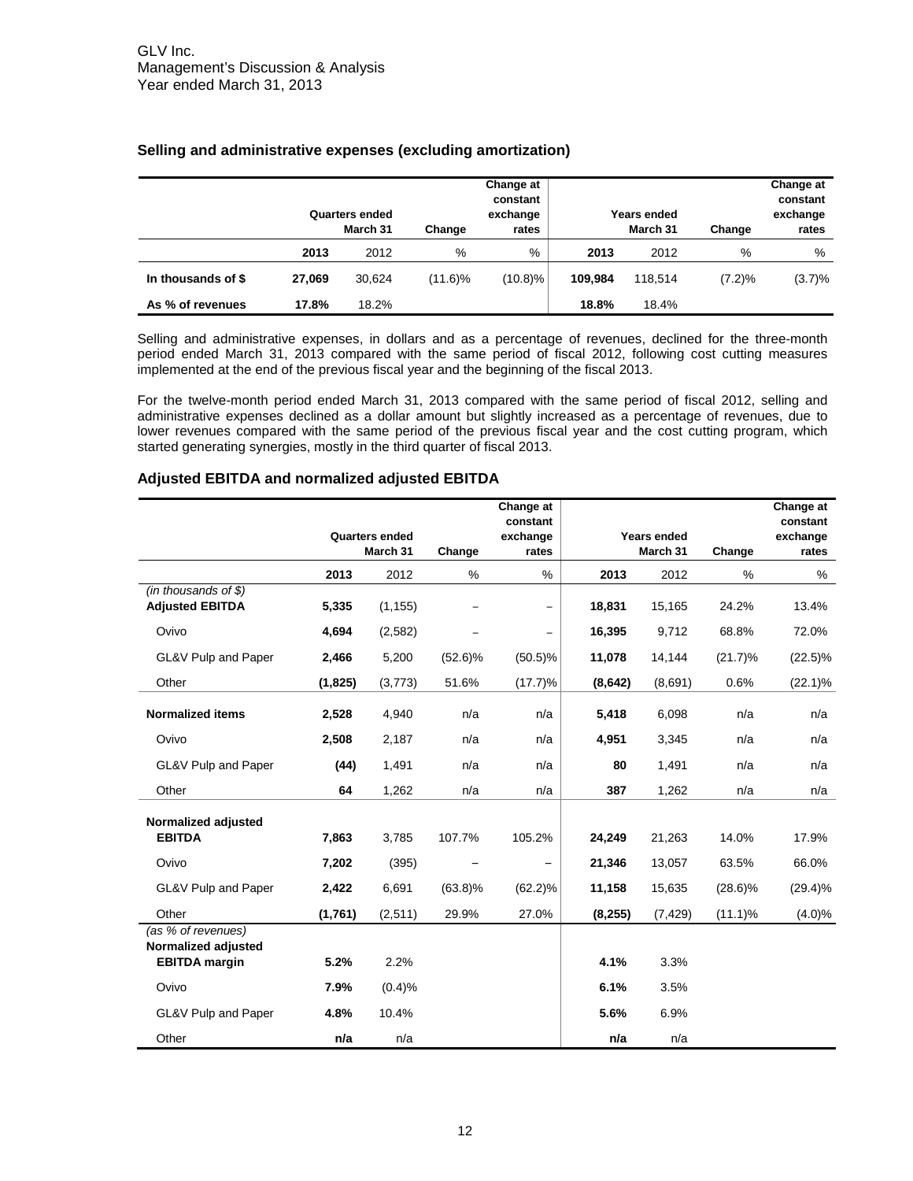|                    |        | <b>Quarters ended</b> |            | Change at<br>constant<br>exchange |         | <b>Years ended</b> |        | Change at<br>constant<br>exchange |
|--------------------|--------|-----------------------|------------|-----------------------------------|---------|--------------------|--------|-----------------------------------|
|                    |        | March 31              | Change     | rates                             |         | March 31           | Change | rates                             |
|                    | 2013   | 2012                  | %          | %                                 | 2013    | 2012               | %      | %                                 |
| In thousands of \$ | 27.069 | 30.624                | $(11.6)\%$ | $(10.8)\%$                        | 109.984 | 118.514            | (7.2)% | (3.7)%                            |
| As % of revenues   | 17.8%  | 18.2%                 |            |                                   | 18.8%   | 18.4%              |        |                                   |

# **Selling and administrative expenses (excluding amortization)**

Selling and administrative expenses, in dollars and as a percentage of revenues, declined for the three-month period ended March 31, 2013 compared with the same period of fiscal 2012, following cost cutting measures implemented at the end of the previous fiscal year and the beginning of the fiscal 2013.

For the twelve-month period ended March 31, 2013 compared with the same period of fiscal 2012, selling and administrative expenses declined as a dollar amount but slightly increased as a percentage of revenues, due to lower revenues compared with the same period of the previous fiscal year and the cost cutting program, which started generating synergies, mostly in the third quarter of fiscal 2013.

#### **Quarters ended March 31 Change Change at constant exchange rates Years ended March 31 Change Change at constant exchange rates 2013** 2012 % % **2013** 2012 % % *(in thousands of \$)* **Adjusted EBITDA 5,335** (1,155) ‒ ‒ **18,831** 15,165 24.2% 13.4% Ovivo **4,694** (2,582) ‒ ‒ **16,395** 9,712 68.8% 72.0% GL&V Pulp and Paper **2,466** 5,200 (52.6)% (50.5)% **11,078** 14,144 (21.7)% (22.5)% Other **(1,825)** (3,773) 51.6% (17.7)% **(8,642)** (8,691) 0.6% (22.1)% **Normalized items 2,528** 4,940 n/a n/a **5,418** 6,098 n/a n/a Ovivo **2,508** 2,187 n/a n/a **4,951** 3,345 n/a n/a GL&V Pulp and Paper **(44)** 1,491 n/a n/a **80** 1,491 n/a n/a Other **64** 1,262 n/a n/a **387** 1,262 n/a n/a **Normalized adjusted EBITDA 7,863** 3,785 107.7% 105.2% **24,249** 21,263 14.0% 17.9% Ovivo **7,202** (395) ‒ ‒ **21,346** 13,057 63.5% 66.0% GL&V Pulp and Paper **2,422** 6,691 (63.8)% (62.2)% **11,158** 15,635 (28.6)% (29.4)% Other **(1,761)** (2,511) 29.9% 27.0% **(8,255)** (7,429) (11.1)% (4.0)% *(as % of revenues)* **Normalized adjusted EBITDA margin 5.2%** 2.2% **4.1%** 3.3% Ovivo **7.9%** (0.4)% **6.1%** 3.5% GL&V Pulp and Paper **4.8%** 10.4% **5.6%** 6.9% Other **n/a** n/a **n/a** n/a

#### **Adjusted EBITDA and normalized adjusted EBITDA**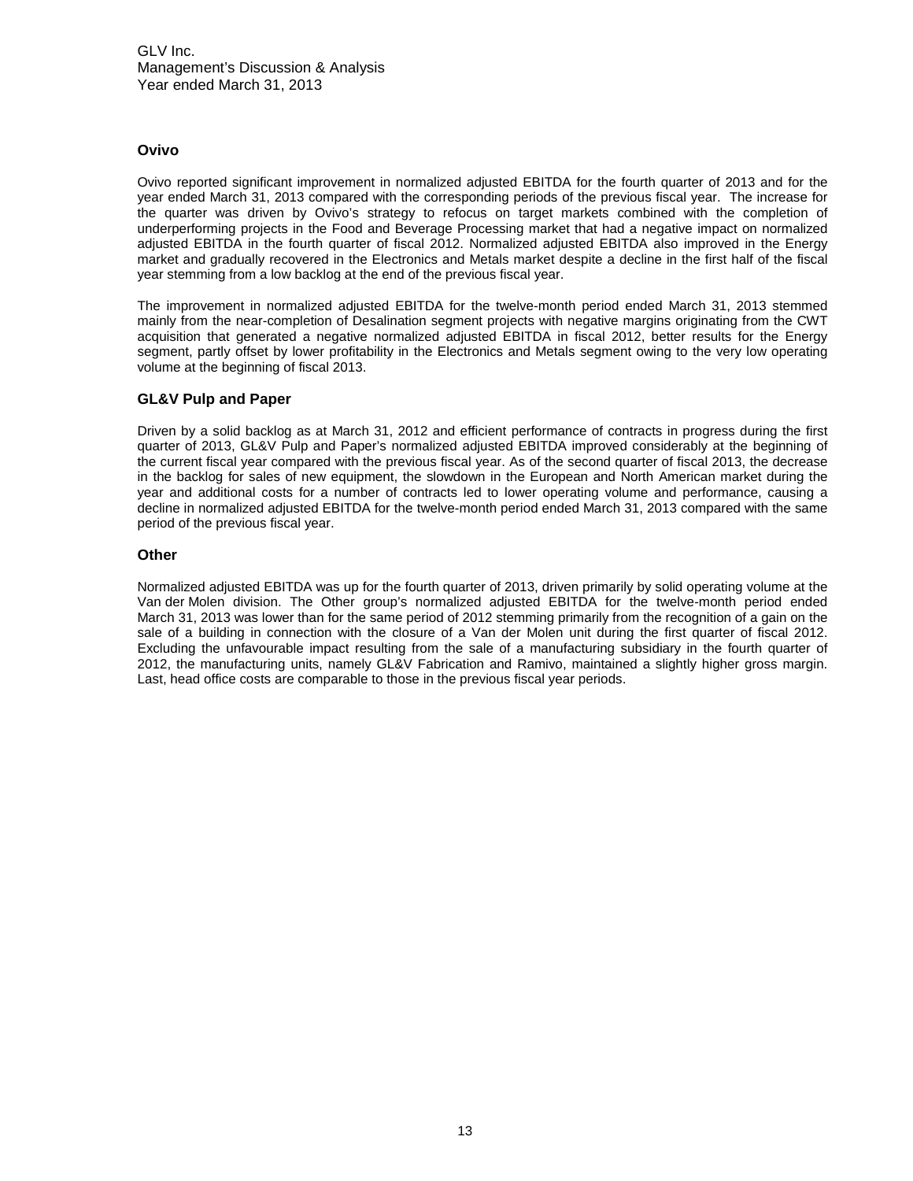# **Ovivo**

Ovivo reported significant improvement in normalized adjusted EBITDA for the fourth quarter of 2013 and for the year ended March 31, 2013 compared with the corresponding periods of the previous fiscal year. The increase for the quarter was driven by Ovivo's strategy to refocus on target markets combined with the completion of underperforming projects in the Food and Beverage Processing market that had a negative impact on normalized adjusted EBITDA in the fourth quarter of fiscal 2012. Normalized adjusted EBITDA also improved in the Energy market and gradually recovered in the Electronics and Metals market despite a decline in the first half of the fiscal year stemming from a low backlog at the end of the previous fiscal year.

The improvement in normalized adjusted EBITDA for the twelve-month period ended March 31, 2013 stemmed mainly from the near-completion of Desalination segment projects with negative margins originating from the CWT acquisition that generated a negative normalized adjusted EBITDA in fiscal 2012, better results for the Energy segment, partly offset by lower profitability in the Electronics and Metals segment owing to the very low operating volume at the beginning of fiscal 2013.

# **GL&V Pulp and Paper**

Driven by a solid backlog as at March 31, 2012 and efficient performance of contracts in progress during the first quarter of 2013, GL&V Pulp and Paper's normalized adjusted EBITDA improved considerably at the beginning of the current fiscal year compared with the previous fiscal year. As of the second quarter of fiscal 2013, the decrease in the backlog for sales of new equipment, the slowdown in the European and North American market during the year and additional costs for a number of contracts led to lower operating volume and performance, causing a decline in normalized adjusted EBITDA for the twelve-month period ended March 31, 2013 compared with the same period of the previous fiscal year.

# **Other**

Normalized adjusted EBITDA was up for the fourth quarter of 2013, driven primarily by solid operating volume at the Van der Molen division. The Other group's normalized adjusted EBITDA for the twelve-month period ended March 31, 2013 was lower than for the same period of 2012 stemming primarily from the recognition of a gain on the sale of a building in connection with the closure of a Van der Molen unit during the first quarter of fiscal 2012. Excluding the unfavourable impact resulting from the sale of a manufacturing subsidiary in the fourth quarter of 2012, the manufacturing units, namely GL&V Fabrication and Ramivo, maintained a slightly higher gross margin. Last, head office costs are comparable to those in the previous fiscal year periods.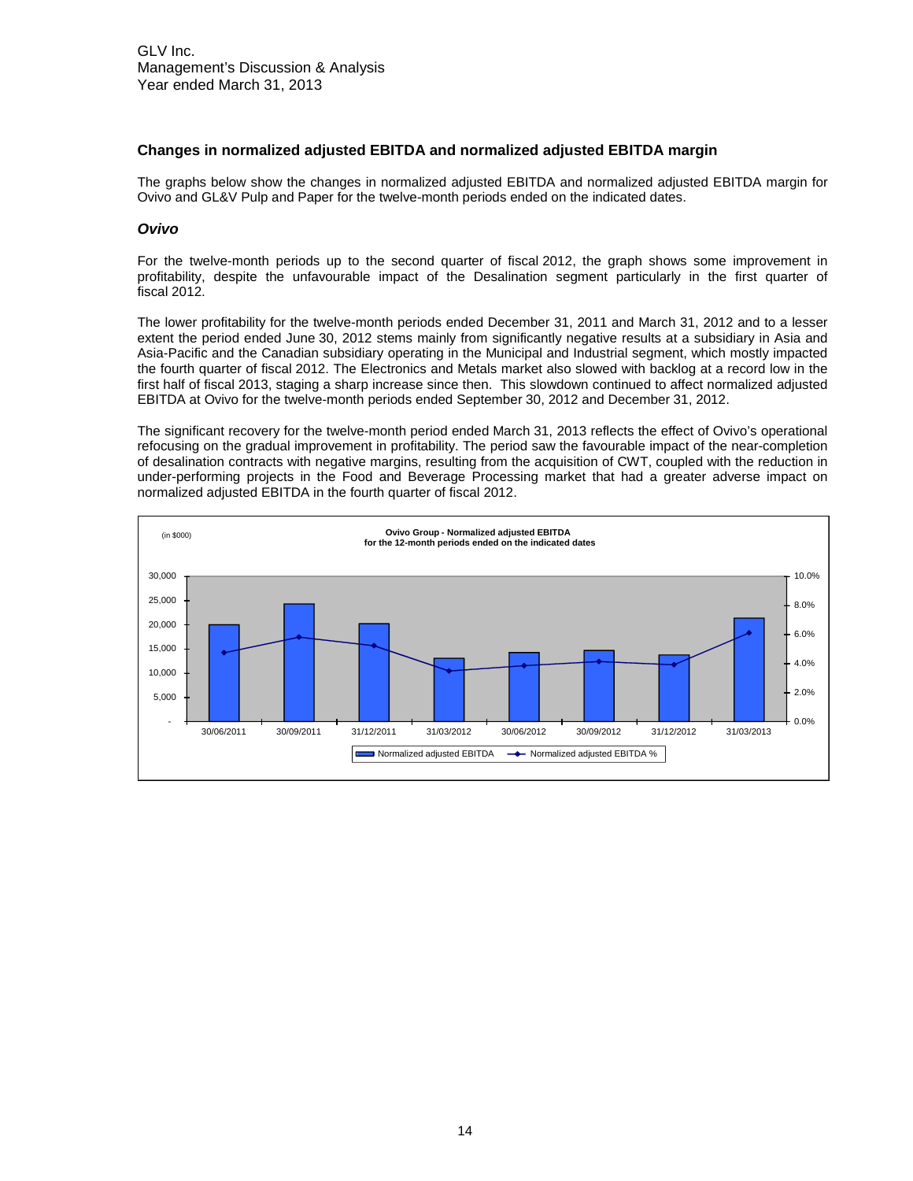### **Changes in normalized adjusted EBITDA and normalized adjusted EBITDA margin**

The graphs below show the changes in normalized adjusted EBITDA and normalized adjusted EBITDA margin for Ovivo and GL&V Pulp and Paper for the twelve-month periods ended on the indicated dates.

#### *Ovivo*

For the twelve-month periods up to the second quarter of fiscal 2012, the graph shows some improvement in profitability, despite the unfavourable impact of the Desalination segment particularly in the first quarter of fiscal 2012.

The lower profitability for the twelve-month periods ended December 31, 2011 and March 31, 2012 and to a lesser extent the period ended June 30, 2012 stems mainly from significantly negative results at a subsidiary in Asia and Asia-Pacific and the Canadian subsidiary operating in the Municipal and Industrial segment, which mostly impacted the fourth quarter of fiscal 2012. The Electronics and Metals market also slowed with backlog at a record low in the first half of fiscal 2013, staging a sharp increase since then. This slowdown continued to affect normalized adjusted EBITDA at Ovivo for the twelve-month periods ended September 30, 2012 and December 31, 2012.

The significant recovery for the twelve-month period ended March 31, 2013 reflects the effect of Ovivo's operational refocusing on the gradual improvement in profitability. The period saw the favourable impact of the near-completion of desalination contracts with negative margins, resulting from the acquisition of CWT, coupled with the reduction in under-performing projects in the Food and Beverage Processing market that had a greater adverse impact on normalized adjusted EBITDA in the fourth quarter of fiscal 2012.

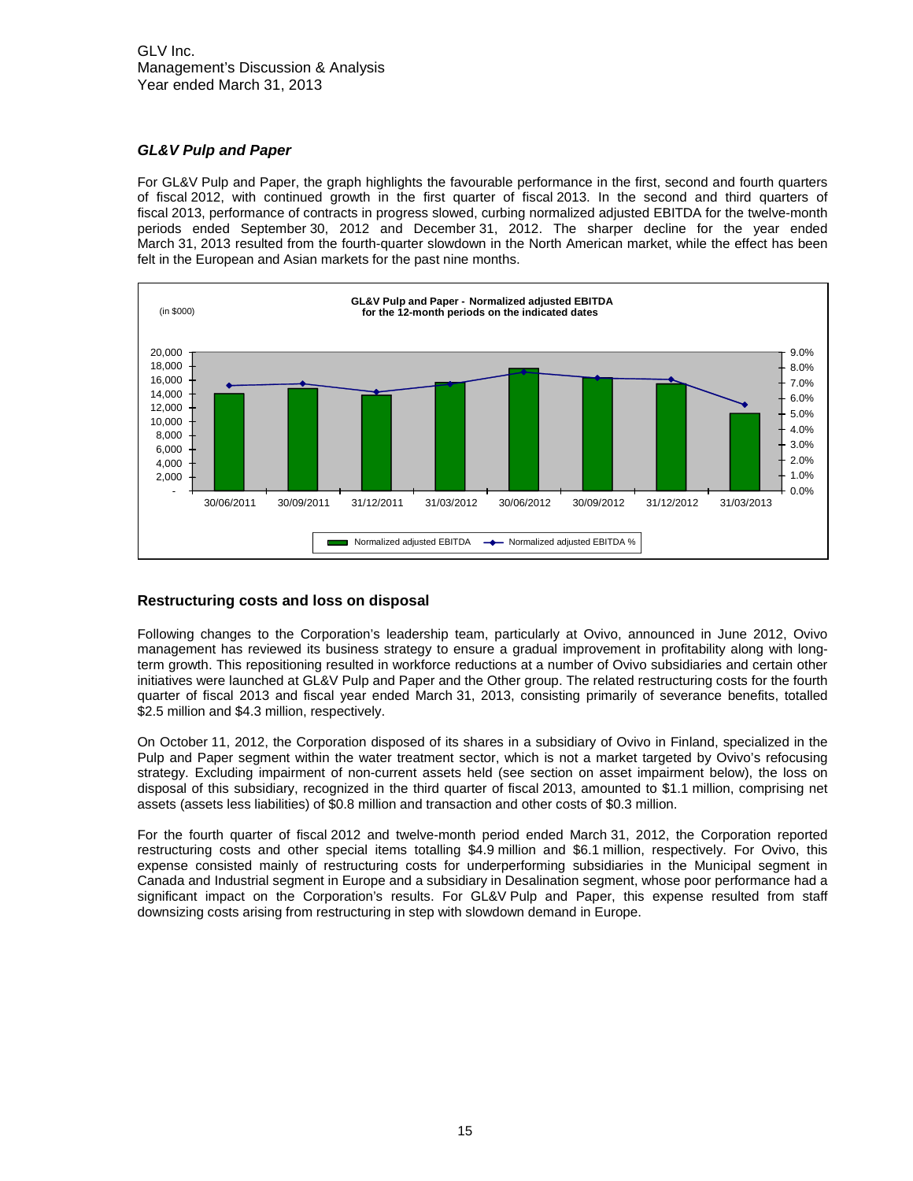# GLV Inc. Management's Discussion & Analysis Year ended March 31, 2013

# *GL&V Pulp and Paper*

For GL&V Pulp and Paper, the graph highlights the favourable performance in the first, second and fourth quarters of fiscal 2012, with continued growth in the first quarter of fiscal 2013. In the second and third quarters of fiscal 2013, performance of contracts in progress slowed, curbing normalized adjusted EBITDA for the twelve-month periods ended September 30, 2012 and December 31, 2012. The sharper decline for the year ended March 31, 2013 resulted from the fourth-quarter slowdown in the North American market, while the effect has been felt in the European and Asian markets for the past nine months.



# **Restructuring costs and loss on disposal**

Following changes to the Corporation's leadership team, particularly at Ovivo, announced in June 2012, Ovivo management has reviewed its business strategy to ensure a gradual improvement in profitability along with longterm growth. This repositioning resulted in workforce reductions at a number of Ovivo subsidiaries and certain other initiatives were launched at GL&V Pulp and Paper and the Other group. The related restructuring costs for the fourth quarter of fiscal 2013 and fiscal year ended March 31, 2013, consisting primarily of severance benefits, totalled \$2.5 million and \$4.3 million, respectively.

On October 11, 2012, the Corporation disposed of its shares in a subsidiary of Ovivo in Finland, specialized in the Pulp and Paper segment within the water treatment sector, which is not a market targeted by Ovivo's refocusing strategy. Excluding impairment of non-current assets held (see section on asset impairment below), the loss on disposal of this subsidiary, recognized in the third quarter of fiscal 2013, amounted to \$1.1 million, comprising net assets (assets less liabilities) of \$0.8 million and transaction and other costs of \$0.3 million.

For the fourth quarter of fiscal 2012 and twelve-month period ended March 31, 2012, the Corporation reported restructuring costs and other special items totalling \$4.9 million and \$6.1 million, respectively. For Ovivo, this expense consisted mainly of restructuring costs for underperforming subsidiaries in the Municipal segment in Canada and Industrial segment in Europe and a subsidiary in Desalination segment, whose poor performance had a significant impact on the Corporation's results. For GL&V Pulp and Paper, this expense resulted from staff downsizing costs arising from restructuring in step with slowdown demand in Europe.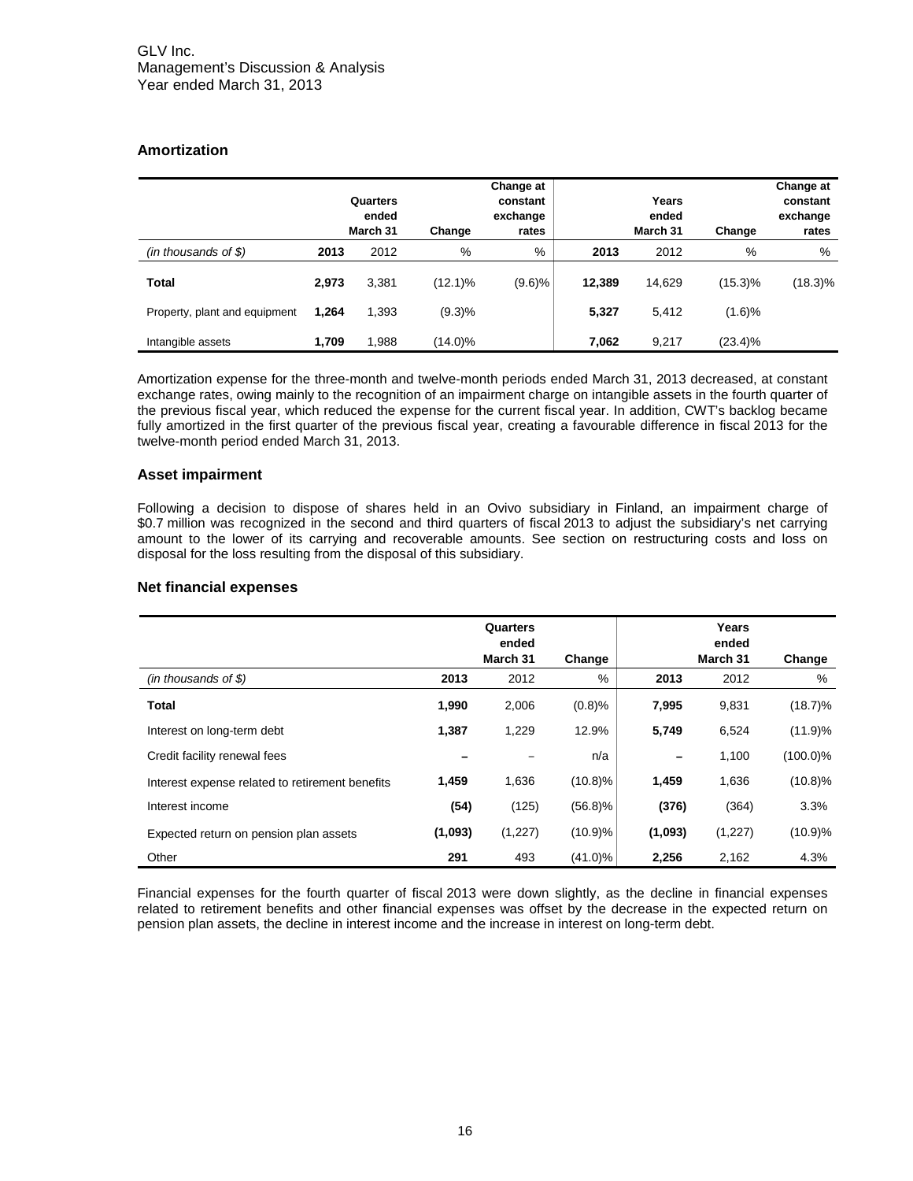# **Amortization**

|                               |       | Quarters<br>ended<br>March 31 | Change     | Change at<br>constant<br>exchange<br>rates |        | Years<br>ended<br>March 31 | Change     | Change at<br>constant<br>exchange<br>rates |
|-------------------------------|-------|-------------------------------|------------|--------------------------------------------|--------|----------------------------|------------|--------------------------------------------|
| $(in$ thousands of \$)        | 2013  | 2012                          | %          | %                                          | 2013   | 2012                       | %          | %                                          |
| <b>Total</b>                  | 2,973 | 3,381                         | (12.1)%    | (9.6)%                                     | 12,389 | 14,629                     | $(15.3)\%$ | $(18.3)\%$                                 |
| Property, plant and equipment | 1.264 | 1,393                         | (9.3)%     |                                            | 5,327  | 5.412                      | (1.6)%     |                                            |
| Intangible assets             | 1,709 | 1,988                         | $(14.0)\%$ |                                            | 7,062  | 9.217                      | $(23.4)\%$ |                                            |

Amortization expense for the three-month and twelve-month periods ended March 31, 2013 decreased, at constant exchange rates, owing mainly to the recognition of an impairment charge on intangible assets in the fourth quarter of the previous fiscal year, which reduced the expense for the current fiscal year. In addition, CWT's backlog became fully amortized in the first quarter of the previous fiscal year, creating a favourable difference in fiscal 2013 for the twelve-month period ended March 31, 2013.

# **Asset impairment**

Following a decision to dispose of shares held in an Ovivo subsidiary in Finland, an impairment charge of \$0.7 million was recognized in the second and third quarters of fiscal 2013 to adjust the subsidiary's net carrying amount to the lower of its carrying and recoverable amounts. See section on restructuring costs and loss on disposal for the loss resulting from the disposal of this subsidiary.

# **Net financial expenses**

|                                                 |         | Quarters<br>ended<br>March 31 | Change     |         | Years<br>ended<br>March 31 | Change      |
|-------------------------------------------------|---------|-------------------------------|------------|---------|----------------------------|-------------|
| $(in$ thousands of \$)                          | 2013    | 2012                          | %          | 2013    | 2012                       | %           |
| <b>Total</b>                                    | 1,990   | 2,006                         | (0.8)%     | 7,995   | 9,831                      | $(18.7)\%$  |
| Interest on long-term debt                      | 1,387   | 1,229                         | 12.9%      | 5,749   | 6,524                      | (11.9)%     |
| Credit facility renewal fees                    |         |                               | n/a        |         | 1,100                      | $(100.0)\%$ |
| Interest expense related to retirement benefits | 1,459   | 1,636                         | $(10.8)\%$ | 1,459   | 1,636                      | $(10.8)\%$  |
| Interest income                                 | (54)    | (125)                         | (56.8)%    | (376)   | (364)                      | 3.3%        |
| Expected return on pension plan assets          | (1,093) | (1,227)                       | (10.9)%    | (1,093) | (1,227)                    | (10.9)%     |
| Other                                           | 291     | 493                           | (41.0)%    | 2,256   | 2,162                      | 4.3%        |

Financial expenses for the fourth quarter of fiscal 2013 were down slightly, as the decline in financial expenses related to retirement benefits and other financial expenses was offset by the decrease in the expected return on pension plan assets, the decline in interest income and the increase in interest on long-term debt.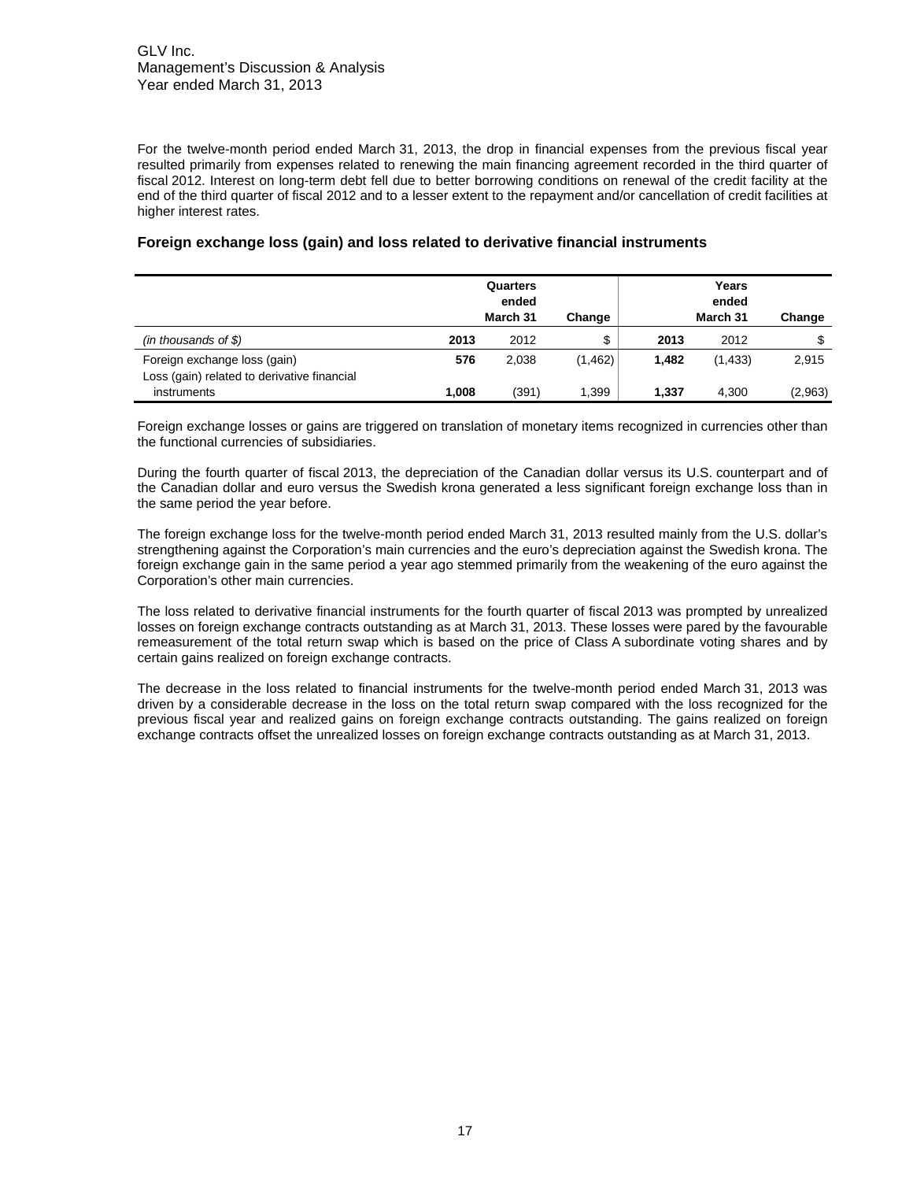For the twelve-month period ended March 31, 2013, the drop in financial expenses from the previous fiscal year resulted primarily from expenses related to renewing the main financing agreement recorded in the third quarter of fiscal 2012. Interest on long-term debt fell due to better borrowing conditions on renewal of the credit facility at the end of the third quarter of fiscal 2012 and to a lesser extent to the repayment and/or cancellation of credit facilities at higher interest rates.

|                                                                             |       | Quarters<br>ended<br>March 31 | Change   |       | Years<br>ended<br>March 31 | Change  |
|-----------------------------------------------------------------------------|-------|-------------------------------|----------|-------|----------------------------|---------|
| $(in$ thousands of \$)                                                      | 2013  | 2012                          | \$       | 2013  | 2012                       | \$      |
| Foreign exchange loss (gain)<br>Loss (gain) related to derivative financial | 576   | 2.038                         | (1, 462) | 1,482 | (1, 433)                   | 2,915   |
| instruments                                                                 | 1,008 | (391)                         | 1,399    | 1.337 | 4,300                      | (2,963) |

# **Foreign exchange loss (gain) and loss related to derivative financial instruments**

Foreign exchange losses or gains are triggered on translation of monetary items recognized in currencies other than the functional currencies of subsidiaries.

During the fourth quarter of fiscal 2013, the depreciation of the Canadian dollar versus its U.S. counterpart and of the Canadian dollar and euro versus the Swedish krona generated a less significant foreign exchange loss than in the same period the year before.

The foreign exchange loss for the twelve-month period ended March 31, 2013 resulted mainly from the U.S. dollar's strengthening against the Corporation's main currencies and the euro's depreciation against the Swedish krona. The foreign exchange gain in the same period a year ago stemmed primarily from the weakening of the euro against the Corporation's other main currencies.

The loss related to derivative financial instruments for the fourth quarter of fiscal 2013 was prompted by unrealized losses on foreign exchange contracts outstanding as at March 31, 2013. These losses were pared by the favourable remeasurement of the total return swap which is based on the price of Class A subordinate voting shares and by certain gains realized on foreign exchange contracts.

The decrease in the loss related to financial instruments for the twelve-month period ended March 31, 2013 was driven by a considerable decrease in the loss on the total return swap compared with the loss recognized for the previous fiscal year and realized gains on foreign exchange contracts outstanding. The gains realized on foreign exchange contracts offset the unrealized losses on foreign exchange contracts outstanding as at March 31, 2013.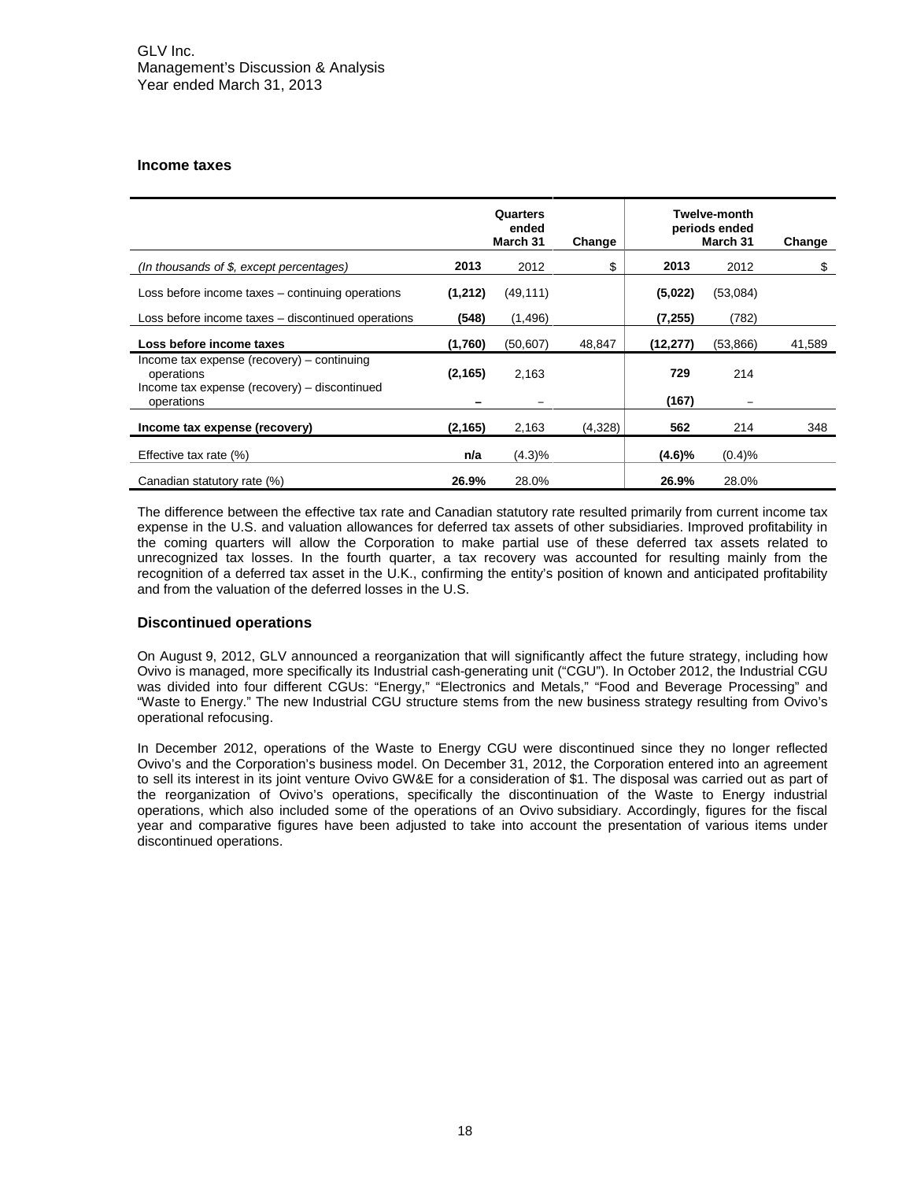#### **Income taxes**

|                                                            |          | Quarters<br>ended<br>March 31 | Change  |           | <b>Twelve-month</b><br>periods ended<br>March 31 | Change |
|------------------------------------------------------------|----------|-------------------------------|---------|-----------|--------------------------------------------------|--------|
| (In thousands of $$$ , except percentages)                 | 2013     | 2012                          | \$      | 2013      | 2012                                             | \$     |
| Loss before income taxes - continuing operations           | (1,212)  | (49, 111)                     |         | (5,022)   | (53,084)                                         |        |
| Loss before income taxes – discontinued operations         | (548)    | (1, 496)                      |         | (7, 255)  | (782)                                            |        |
| Loss before income taxes                                   | (1,760)  | (50, 607)                     | 48,847  | (12, 277) | (53,866)                                         | 41,589 |
| Income tax expense (recovery) – continuing<br>operations   | (2, 165) | 2,163                         |         | 729       | 214                                              |        |
| Income tax expense (recovery) – discontinued<br>operations |          |                               |         | (167)     |                                                  |        |
| Income tax expense (recovery)                              | (2, 165) | 2,163                         | (4,328) | 562       | 214                                              | 348    |
| Effective tax rate $(\%)$                                  | n/a      | (4.3)%                        |         | (4.6)%    | (0.4)%                                           |        |
| Canadian statutory rate (%)                                | 26.9%    | 28.0%                         |         | 26.9%     | 28.0%                                            |        |

The difference between the effective tax rate and Canadian statutory rate resulted primarily from current income tax expense in the U.S. and valuation allowances for deferred tax assets of other subsidiaries. Improved profitability in the coming quarters will allow the Corporation to make partial use of these deferred tax assets related to unrecognized tax losses. In the fourth quarter, a tax recovery was accounted for resulting mainly from the recognition of a deferred tax asset in the U.K., confirming the entity's position of known and anticipated profitability and from the valuation of the deferred losses in the U.S.

# **Discontinued operations**

On August 9, 2012, GLV announced a reorganization that will significantly affect the future strategy, including how Ovivo is managed, more specifically its Industrial cash-generating unit ("CGU"). In October 2012, the Industrial CGU was divided into four different CGUs: "Energy," "Electronics and Metals," "Food and Beverage Processing" and "Waste to Energy." The new Industrial CGU structure stems from the new business strategy resulting from Ovivo's operational refocusing.

In December 2012, operations of the Waste to Energy CGU were discontinued since they no longer reflected Ovivo's and the Corporation's business model. On December 31, 2012, the Corporation entered into an agreement to sell its interest in its joint venture Ovivo GW&E for a consideration of \$1. The disposal was carried out as part of the reorganization of Ovivo's operations, specifically the discontinuation of the Waste to Energy industrial operations, which also included some of the operations of an Ovivo subsidiary. Accordingly, figures for the fiscal year and comparative figures have been adjusted to take into account the presentation of various items under discontinued operations.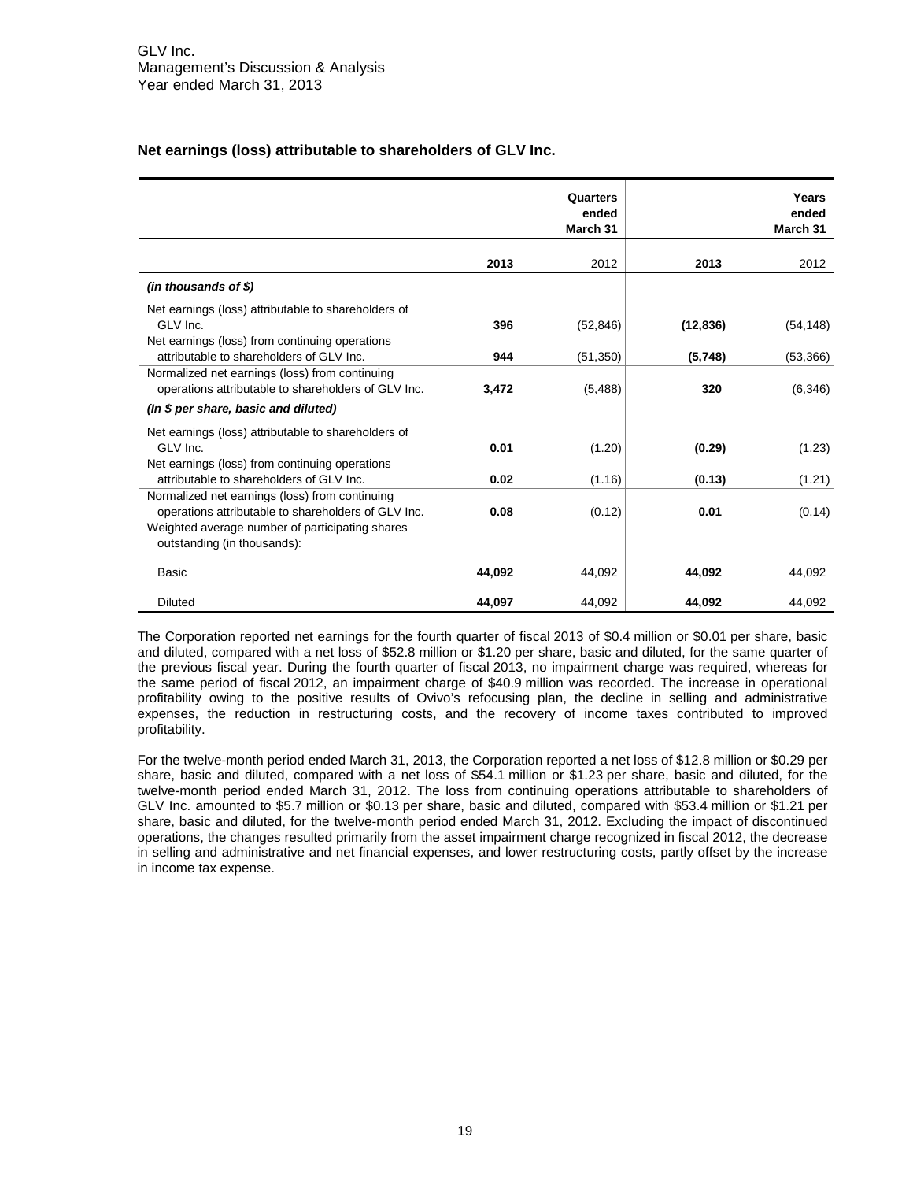# **Net earnings (loss) attributable to shareholders of GLV Inc.**

|                                                                                                                                                                                         |        | Quarters<br>ended<br>March 31 |           | Years<br>ended<br>March 31 |
|-----------------------------------------------------------------------------------------------------------------------------------------------------------------------------------------|--------|-------------------------------|-----------|----------------------------|
|                                                                                                                                                                                         | 2013   | 2012                          | 2013      | 2012                       |
| $(in$ thousands of \$)                                                                                                                                                                  |        |                               |           |                            |
| Net earnings (loss) attributable to shareholders of<br>GLV Inc.<br>Net earnings (loss) from continuing operations                                                                       | 396    | (52, 846)                     | (12, 836) | (54, 148)                  |
| attributable to shareholders of GLV Inc.                                                                                                                                                | 944    | (51, 350)                     | (5,748)   | (53, 366)                  |
| Normalized net earnings (loss) from continuing<br>operations attributable to shareholders of GLV Inc.                                                                                   | 3,472  | (5, 488)                      | 320       | (6, 346)                   |
| (In \$ per share, basic and diluted)                                                                                                                                                    |        |                               |           |                            |
| Net earnings (loss) attributable to shareholders of<br>GLV Inc.<br>Net earnings (loss) from continuing operations                                                                       | 0.01   | (1.20)                        | (0.29)    | (1.23)                     |
| attributable to shareholders of GLV Inc.                                                                                                                                                | 0.02   | (1.16)                        | (0.13)    | (1.21)                     |
| Normalized net earnings (loss) from continuing<br>operations attributable to shareholders of GLV Inc.<br>Weighted average number of participating shares<br>outstanding (in thousands): | 0.08   | (0.12)                        | 0.01      | (0.14)                     |
| <b>Basic</b>                                                                                                                                                                            | 44,092 | 44,092                        | 44,092    | 44,092                     |
| <b>Diluted</b>                                                                                                                                                                          | 44,097 | 44.092                        | 44,092    | 44.092                     |

The Corporation reported net earnings for the fourth quarter of fiscal 2013 of \$0.4 million or \$0.01 per share, basic and diluted, compared with a net loss of \$52.8 million or \$1.20 per share, basic and diluted, for the same quarter of the previous fiscal year. During the fourth quarter of fiscal 2013, no impairment charge was required, whereas for the same period of fiscal 2012, an impairment charge of \$40.9 million was recorded. The increase in operational profitability owing to the positive results of Ovivo's refocusing plan, the decline in selling and administrative expenses, the reduction in restructuring costs, and the recovery of income taxes contributed to improved profitability.

For the twelve-month period ended March 31, 2013, the Corporation reported a net loss of \$12.8 million or \$0.29 per share, basic and diluted, compared with a net loss of \$54.1 million or \$1.23 per share, basic and diluted, for the twelve-month period ended March 31, 2012. The loss from continuing operations attributable to shareholders of GLV Inc. amounted to \$5.7 million or \$0.13 per share, basic and diluted, compared with \$53.4 million or \$1.21 per share, basic and diluted, for the twelve-month period ended March 31, 2012. Excluding the impact of discontinued operations, the changes resulted primarily from the asset impairment charge recognized in fiscal 2012, the decrease in selling and administrative and net financial expenses, and lower restructuring costs, partly offset by the increase in income tax expense.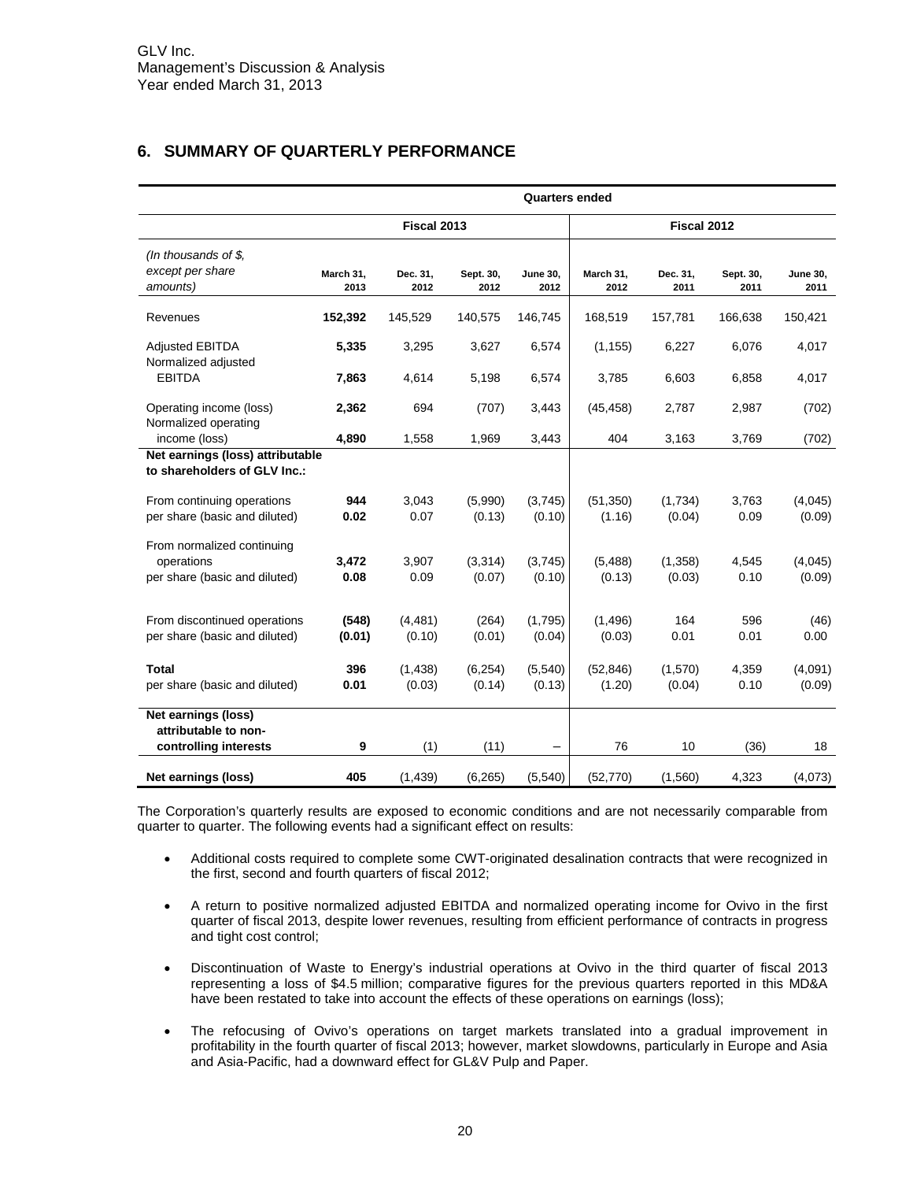# <span id="page-19-0"></span>**6. SUMMARY OF QUARTERLY PERFORMANCE**

|                                                                           | <b>Quarters ended</b> |                            |                    |                         |                     |                   |                   |                         |
|---------------------------------------------------------------------------|-----------------------|----------------------------|--------------------|-------------------------|---------------------|-------------------|-------------------|-------------------------|
|                                                                           |                       | Fiscal 2013<br>Fiscal 2012 |                    |                         |                     |                   |                   |                         |
| (In thousands of $$$ ,<br>except per share<br>amounts)                    | March 31,<br>2013     | Dec. 31,<br>2012           | Sept. 30,<br>2012  | <b>June 30,</b><br>2012 | March 31,<br>2012   | Dec. 31,<br>2011  | Sept. 30,<br>2011 | <b>June 30,</b><br>2011 |
| Revenues                                                                  | 152,392               | 145,529                    | 140,575            | 146,745                 | 168,519             | 157,781           | 166,638           | 150,421                 |
| <b>Adjusted EBITDA</b><br>Normalized adjusted                             | 5,335                 | 3,295                      | 3,627              | 6,574                   | (1, 155)            | 6,227             | 6,076             | 4,017                   |
| <b>EBITDA</b>                                                             | 7,863                 | 4,614                      | 5,198              | 6,574                   | 3,785               | 6,603             | 6,858             | 4,017                   |
| Operating income (loss)<br>Normalized operating                           | 2,362                 | 694                        | (707)              | 3,443                   | (45, 458)           | 2,787             | 2,987             | (702)                   |
| income (loss)                                                             | 4,890                 | 1,558                      | 1,969              | 3,443                   | 404                 | 3,163             | 3,769             | (702)                   |
| Net earnings (loss) attributable<br>to shareholders of GLV Inc.:          |                       |                            |                    |                         |                     |                   |                   |                         |
| From continuing operations<br>per share (basic and diluted)               | 944<br>0.02           | 3,043<br>0.07              | (5,990)<br>(0.13)  | (3,745)<br>(0.10)       | (51, 350)<br>(1.16) | (1,734)<br>(0.04) | 3,763<br>0.09     | (4,045)<br>(0.09)       |
| From normalized continuing<br>operations<br>per share (basic and diluted) | 3,472<br>0.08         | 3,907<br>0.09              | (3,314)<br>(0.07)  | (3,745)<br>(0.10)       | (5, 488)<br>(0.13)  | (1,358)<br>(0.03) | 4,545<br>0.10     | (4,045)<br>(0.09)       |
| From discontinued operations<br>per share (basic and diluted)             | (548)<br>(0.01)       | (4, 481)<br>(0.10)         | (264)<br>(0.01)    | (1,795)<br>(0.04)       | (1, 496)<br>(0.03)  | 164<br>0.01       | 596<br>0.01       | (46)<br>0.00            |
| Total<br>per share (basic and diluted)                                    | 396<br>0.01           | (1, 438)<br>(0.03)         | (6, 254)<br>(0.14) | (5,540)<br>(0.13)       | (52, 846)<br>(1.20) | (1,570)<br>(0.04) | 4,359<br>0.10     | (4,091)<br>(0.09)       |
| Net earnings (loss)<br>attributable to non-<br>controlling interests      | 9                     | (1)                        | (11)               |                         | 76                  | 10                | (36)              | 18                      |
| Net earnings (loss)                                                       | 405                   | (1, 439)                   | (6, 265)           | (5,540)                 | (52, 770)           | (1,560)           | 4,323             | (4,073)                 |

The Corporation's quarterly results are exposed to economic conditions and are not necessarily comparable from quarter to quarter. The following events had a significant effect on results:

- Additional costs required to complete some CWT-originated desalination contracts that were recognized in the first, second and fourth quarters of fiscal 2012;
- A return to positive normalized adjusted EBITDA and normalized operating income for Ovivo in the first quarter of fiscal 2013, despite lower revenues, resulting from efficient performance of contracts in progress and tight cost control;
- Discontinuation of Waste to Energy's industrial operations at Ovivo in the third quarter of fiscal 2013 representing a loss of \$4.5 million; comparative figures for the previous quarters reported in this MD&A have been restated to take into account the effects of these operations on earnings (loss);
- The refocusing of Ovivo's operations on target markets translated into a gradual improvement in profitability in the fourth quarter of fiscal 2013; however, market slowdowns, particularly in Europe and Asia and Asia-Pacific, had a downward effect for GL&V Pulp and Paper.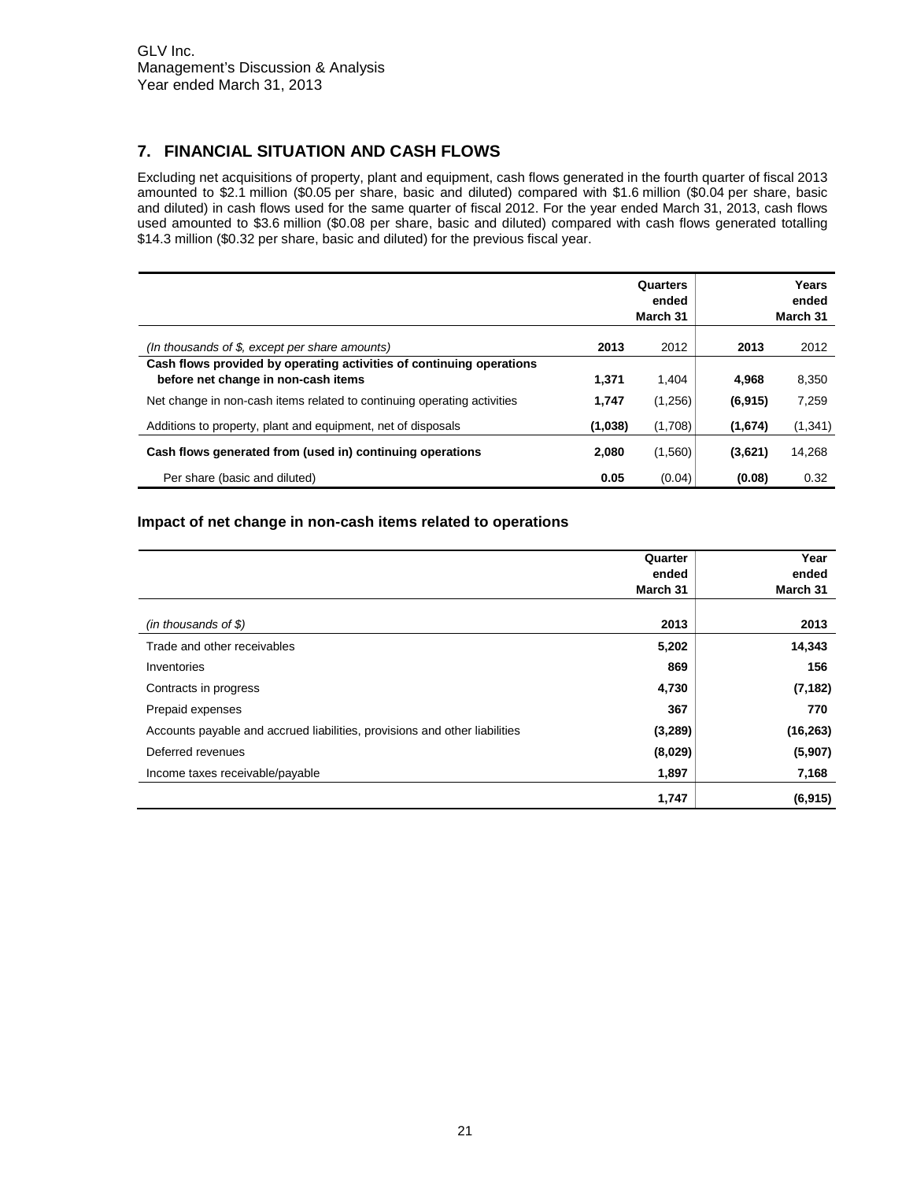# <span id="page-20-0"></span>**7. FINANCIAL SITUATION AND CASH FLOWS**

Excluding net acquisitions of property, plant and equipment, cash flows generated in the fourth quarter of fiscal 2013 amounted to \$2.1 million (\$0.05 per share, basic and diluted) compared with \$1.6 million (\$0.04 per share, basic and diluted) in cash flows used for the same quarter of fiscal 2012. For the year ended March 31, 2013, cash flows used amounted to \$3.6 million (\$0.08 per share, basic and diluted) compared with cash flows generated totalling \$14.3 million (\$0.32 per share, basic and diluted) for the previous fiscal year.

|                                                                                                             |         | Quarters<br>ended<br>March 31 |          | Years<br>ended<br>March 31 |
|-------------------------------------------------------------------------------------------------------------|---------|-------------------------------|----------|----------------------------|
| (In thousands of $$$ , except per share amounts)                                                            | 2013    | 2012                          | 2013     | 2012                       |
| Cash flows provided by operating activities of continuing operations<br>before net change in non-cash items | 1.371   | 1.404                         | 4.968    | 8,350                      |
| Net change in non-cash items related to continuing operating activities                                     | 1,747   | (1,256)                       | (6, 915) | 7,259                      |
| Additions to property, plant and equipment, net of disposals                                                | (1,038) | (1,708)                       | (1,674)  | (1, 341)                   |
| Cash flows generated from (used in) continuing operations                                                   | 2.080   | (1,560)                       | (3,621)  | 14,268                     |
| Per share (basic and diluted)                                                                               | 0.05    | (0.04)                        | (0.08)   | 0.32                       |

# **Impact of net change in non-cash items related to operations**

|                                                                            | Quarter  | Year      |
|----------------------------------------------------------------------------|----------|-----------|
|                                                                            | ended    | ended     |
|                                                                            | March 31 | March 31  |
|                                                                            | 2013     | 2013      |
| $(in$ thousands of \$)                                                     |          |           |
| Trade and other receivables                                                | 5,202    | 14,343    |
| Inventories                                                                | 869      | 156       |
| Contracts in progress                                                      | 4,730    | (7, 182)  |
| Prepaid expenses                                                           | 367      | 770       |
| Accounts payable and accrued liabilities, provisions and other liabilities | (3,289)  | (16, 263) |
| Deferred revenues                                                          | (8,029)  | (5,907)   |
| Income taxes receivable/payable                                            | 1,897    | 7,168     |
|                                                                            | 1,747    | (6, 915)  |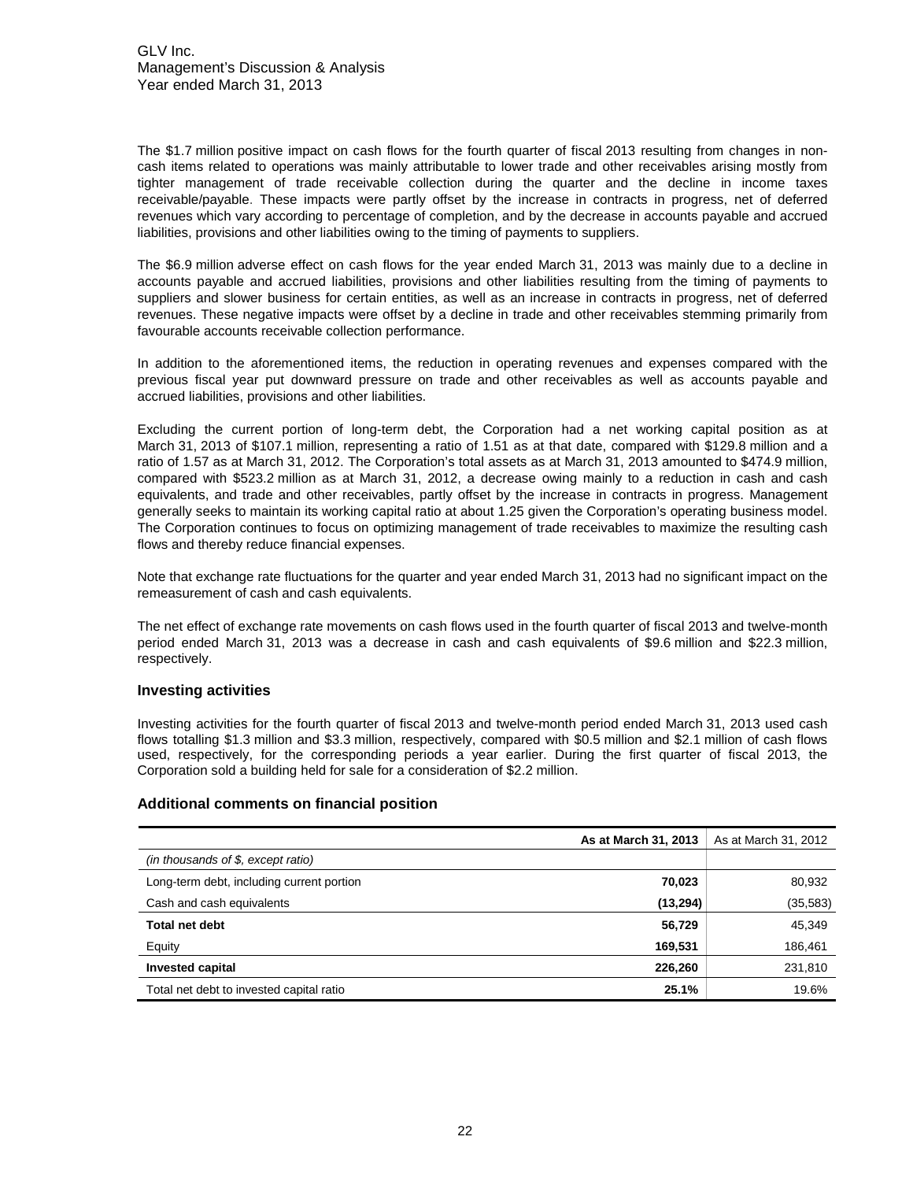The \$1.7 million positive impact on cash flows for the fourth quarter of fiscal 2013 resulting from changes in noncash items related to operations was mainly attributable to lower trade and other receivables arising mostly from tighter management of trade receivable collection during the quarter and the decline in income taxes receivable/payable. These impacts were partly offset by the increase in contracts in progress, net of deferred revenues which vary according to percentage of completion, and by the decrease in accounts payable and accrued liabilities, provisions and other liabilities owing to the timing of payments to suppliers.

The \$6.9 million adverse effect on cash flows for the year ended March 31, 2013 was mainly due to a decline in accounts payable and accrued liabilities, provisions and other liabilities resulting from the timing of payments to suppliers and slower business for certain entities, as well as an increase in contracts in progress, net of deferred revenues. These negative impacts were offset by a decline in trade and other receivables stemming primarily from favourable accounts receivable collection performance.

In addition to the aforementioned items, the reduction in operating revenues and expenses compared with the previous fiscal year put downward pressure on trade and other receivables as well as accounts payable and accrued liabilities, provisions and other liabilities.

Excluding the current portion of long-term debt, the Corporation had a net working capital position as at March 31, 2013 of \$107.1 million, representing a ratio of 1.51 as at that date, compared with \$129.8 million and a ratio of 1.57 as at March 31, 2012. The Corporation's total assets as at March 31, 2013 amounted to \$474.9 million, compared with \$523.2 million as at March 31, 2012, a decrease owing mainly to a reduction in cash and cash equivalents, and trade and other receivables, partly offset by the increase in contracts in progress. Management generally seeks to maintain its working capital ratio at about 1.25 given the Corporation's operating business model. The Corporation continues to focus on optimizing management of trade receivables to maximize the resulting cash flows and thereby reduce financial expenses.

Note that exchange rate fluctuations for the quarter and year ended March 31, 2013 had no significant impact on the remeasurement of cash and cash equivalents.

The net effect of exchange rate movements on cash flows used in the fourth quarter of fiscal 2013 and twelve-month period ended March 31, 2013 was a decrease in cash and cash equivalents of \$9.6 million and \$22.3 million, respectively.

#### **Investing activities**

Investing activities for the fourth quarter of fiscal 2013 and twelve-month period ended March 31, 2013 used cash flows totalling \$1.3 million and \$3.3 million, respectively, compared with \$0.5 million and \$2.1 million of cash flows used, respectively, for the corresponding periods a year earlier. During the first quarter of fiscal 2013, the Corporation sold a building held for sale for a consideration of \$2.2 million.

#### **Additional comments on financial position**

|                                           | As at March 31, 2013 | As at March 31, 2012 |
|-------------------------------------------|----------------------|----------------------|
| (in thousands of \$, except ratio)        |                      |                      |
| Long-term debt, including current portion | 70,023               | 80,932               |
| Cash and cash equivalents                 | (13, 294)            | (35, 583)            |
| <b>Total net debt</b>                     | 56,729               | 45,349               |
| Equity                                    | 169,531              | 186,461              |
| <b>Invested capital</b>                   | 226,260              | 231,810              |
| Total net debt to invested capital ratio  | 25.1%                | 19.6%                |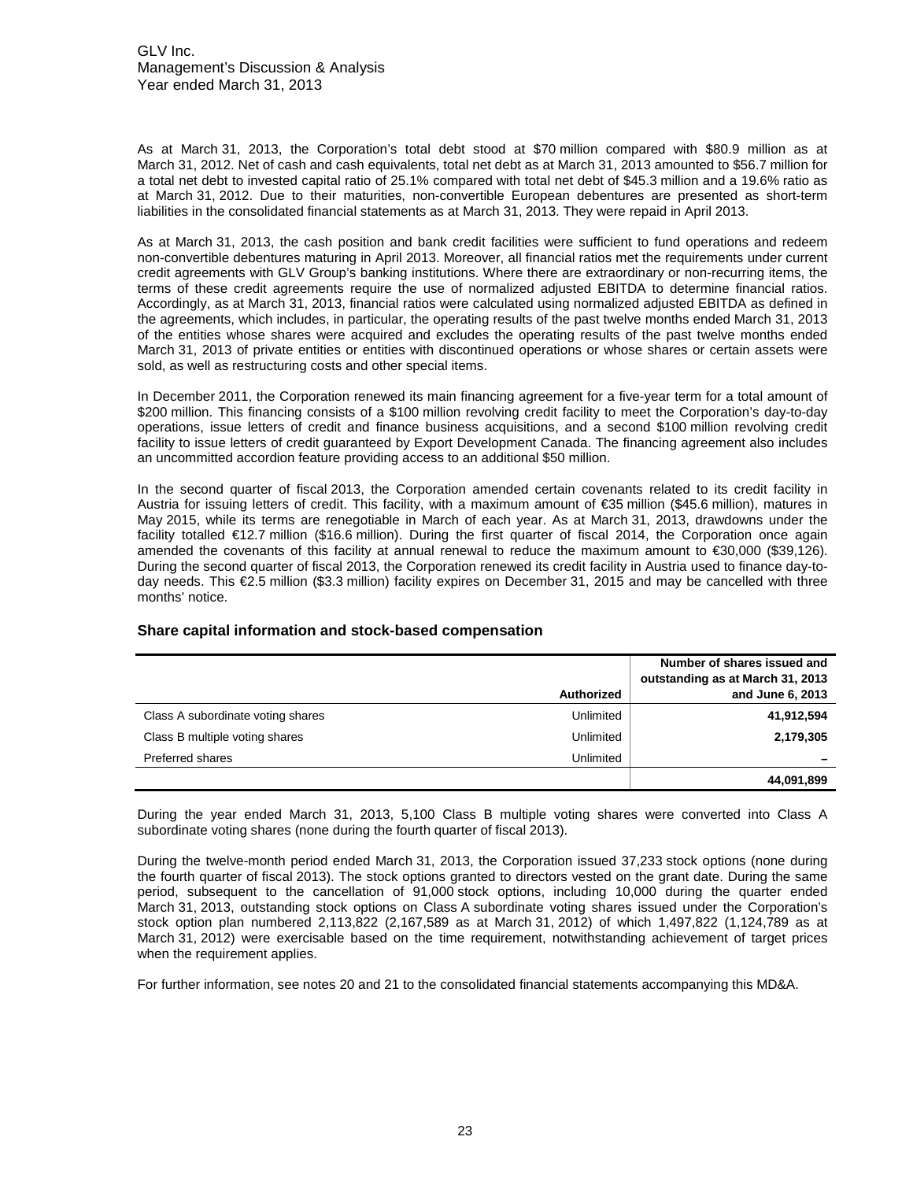GLV Inc. Management's Discussion & Analysis Year ended March 31, 2013

As at March 31, 2013, the Corporation's total debt stood at \$70 million compared with \$80.9 million as at March 31, 2012. Net of cash and cash equivalents, total net debt as at March 31, 2013 amounted to \$56.7 million for a total net debt to invested capital ratio of 25.1% compared with total net debt of \$45.3 million and a 19.6% ratio as at March 31, 2012. Due to their maturities, non-convertible European debentures are presented as short-term liabilities in the consolidated financial statements as at March 31, 2013. They were repaid in April 2013.

As at March 31, 2013, the cash position and bank credit facilities were sufficient to fund operations and redeem non-convertible debentures maturing in April 2013. Moreover, all financial ratios met the requirements under current credit agreements with GLV Group's banking institutions. Where there are extraordinary or non-recurring items, the terms of these credit agreements require the use of normalized adjusted EBITDA to determine financial ratios. Accordingly, as at March 31, 2013, financial ratios were calculated using normalized adjusted EBITDA as defined in the agreements, which includes, in particular, the operating results of the past twelve months ended March 31, 2013 of the entities whose shares were acquired and excludes the operating results of the past twelve months ended March 31, 2013 of private entities or entities with discontinued operations or whose shares or certain assets were sold, as well as restructuring costs and other special items.

In December 2011, the Corporation renewed its main financing agreement for a five-year term for a total amount of \$200 million. This financing consists of a \$100 million revolving credit facility to meet the Corporation's day-to-day operations, issue letters of credit and finance business acquisitions, and a second \$100 million revolving credit facility to issue letters of credit guaranteed by Export Development Canada. The financing agreement also includes an uncommitted accordion feature providing access to an additional \$50 million.

In the second quarter of fiscal 2013, the Corporation amended certain covenants related to its credit facility in Austria for issuing letters of credit. This facility, with a maximum amount of €35 million (\$45.6 million), matures in May 2015, while its terms are renegotiable in March of each year. As at March 31, 2013, drawdowns under the facility totalled €12.7 million (\$16.6 million). During the first quarter of fiscal 2014, the Corporation once again amended the covenants of this facility at annual renewal to reduce the maximum amount to €30,000 (\$39,126). During the second quarter of fiscal 2013, the Corporation renewed its credit facility in Austria used to finance day-today needs. This €2.5 million (\$3.3 million) facility expires on December 31, 2015 and may be cancelled with three months' notice.

|                                   | <b>Authorized</b> | Number of shares issued and<br>outstanding as at March 31, 2013<br>and June 6, 2013 |
|-----------------------------------|-------------------|-------------------------------------------------------------------------------------|
| Class A subordinate voting shares | Unlimited         | 41,912,594                                                                          |
| Class B multiple voting shares    | Unlimited         | 2,179,305                                                                           |
| Preferred shares                  | Unlimited         |                                                                                     |
|                                   |                   | 44,091,899                                                                          |

#### **Share capital information and stock-based compensation**

During the year ended March 31, 2013, 5,100 Class B multiple voting shares were converted into Class A subordinate voting shares (none during the fourth quarter of fiscal 2013).

During the twelve-month period ended March 31, 2013, the Corporation issued 37,233 stock options (none during the fourth quarter of fiscal 2013). The stock options granted to directors vested on the grant date. During the same period, subsequent to the cancellation of 91,000 stock options, including 10,000 during the quarter ended March 31, 2013, outstanding stock options on Class A subordinate voting shares issued under the Corporation's stock option plan numbered 2,113,822 (2,167,589 as at March 31, 2012) of which 1,497,822 (1,124,789 as at March 31, 2012) were exercisable based on the time requirement, notwithstanding achievement of target prices when the requirement applies.

For further information, see notes 20 and 21 to the consolidated financial statements accompanying this MD&A.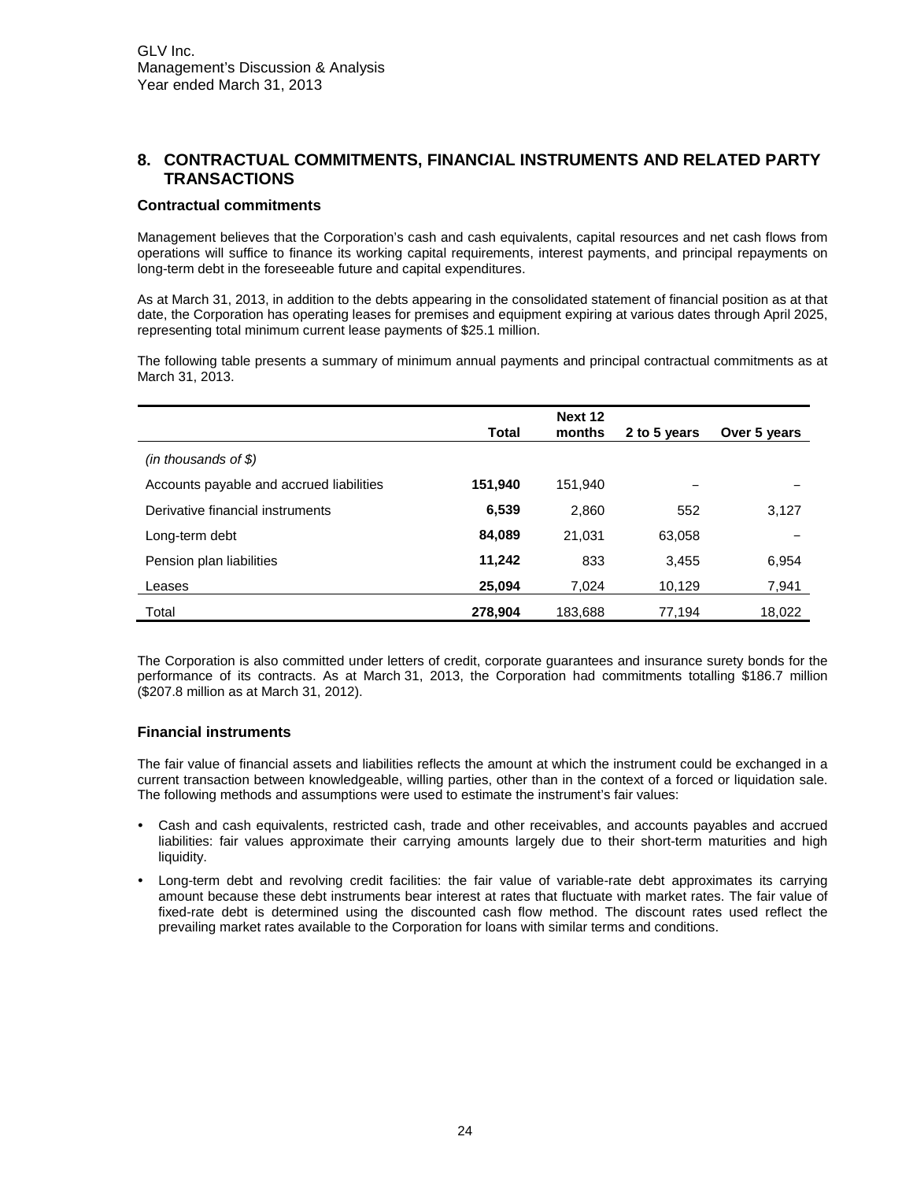# <span id="page-23-0"></span>**8. CONTRACTUAL COMMITMENTS, FINANCIAL INSTRUMENTS AND RELATED PARTY TRANSACTIONS**

#### **Contractual commitments**

Management believes that the Corporation's cash and cash equivalents, capital resources and net cash flows from operations will suffice to finance its working capital requirements, interest payments, and principal repayments on long-term debt in the foreseeable future and capital expenditures.

As at March 31, 2013, in addition to the debts appearing in the consolidated statement of financial position as at that date, the Corporation has operating leases for premises and equipment expiring at various dates through April 2025, representing total minimum current lease payments of \$25.1 million.

The following table presents a summary of minimum annual payments and principal contractual commitments as at March 31, 2013.

|                                          | Total   | Next 12<br>months | 2 to 5 years | Over 5 years |
|------------------------------------------|---------|-------------------|--------------|--------------|
| $(in$ thousands of \$)                   |         |                   |              |              |
| Accounts payable and accrued liabilities | 151,940 | 151.940           |              |              |
| Derivative financial instruments         | 6,539   | 2,860             | 552          | 3,127        |
| Long-term debt                           | 84,089  | 21.031            | 63.058       |              |
| Pension plan liabilities                 | 11,242  | 833               | 3,455        | 6,954        |
| Leases                                   | 25,094  | 7.024             | 10,129       | 7,941        |
| Total                                    | 278,904 | 183,688           | 77,194       | 18,022       |

The Corporation is also committed under letters of credit, corporate guarantees and insurance surety bonds for the performance of its contracts. As at March 31, 2013, the Corporation had commitments totalling \$186.7 million (\$207.8 million as at March 31, 2012).

# **Financial instruments**

The fair value of financial assets and liabilities reflects the amount at which the instrument could be exchanged in a current transaction between knowledgeable, willing parties, other than in the context of a forced or liquidation sale. The following methods and assumptions were used to estimate the instrument's fair values:

- *•* Cash and cash equivalents, restricted cash, trade and other receivables, and accounts payables and accrued liabilities: fair values approximate their carrying amounts largely due to their short-term maturities and high liquidity.
- *•* Long-term debt and revolving credit facilities: the fair value of variable-rate debt approximates its carrying amount because these debt instruments bear interest at rates that fluctuate with market rates. The fair value of fixed-rate debt is determined using the discounted cash flow method. The discount rates used reflect the prevailing market rates available to the Corporation for loans with similar terms and conditions.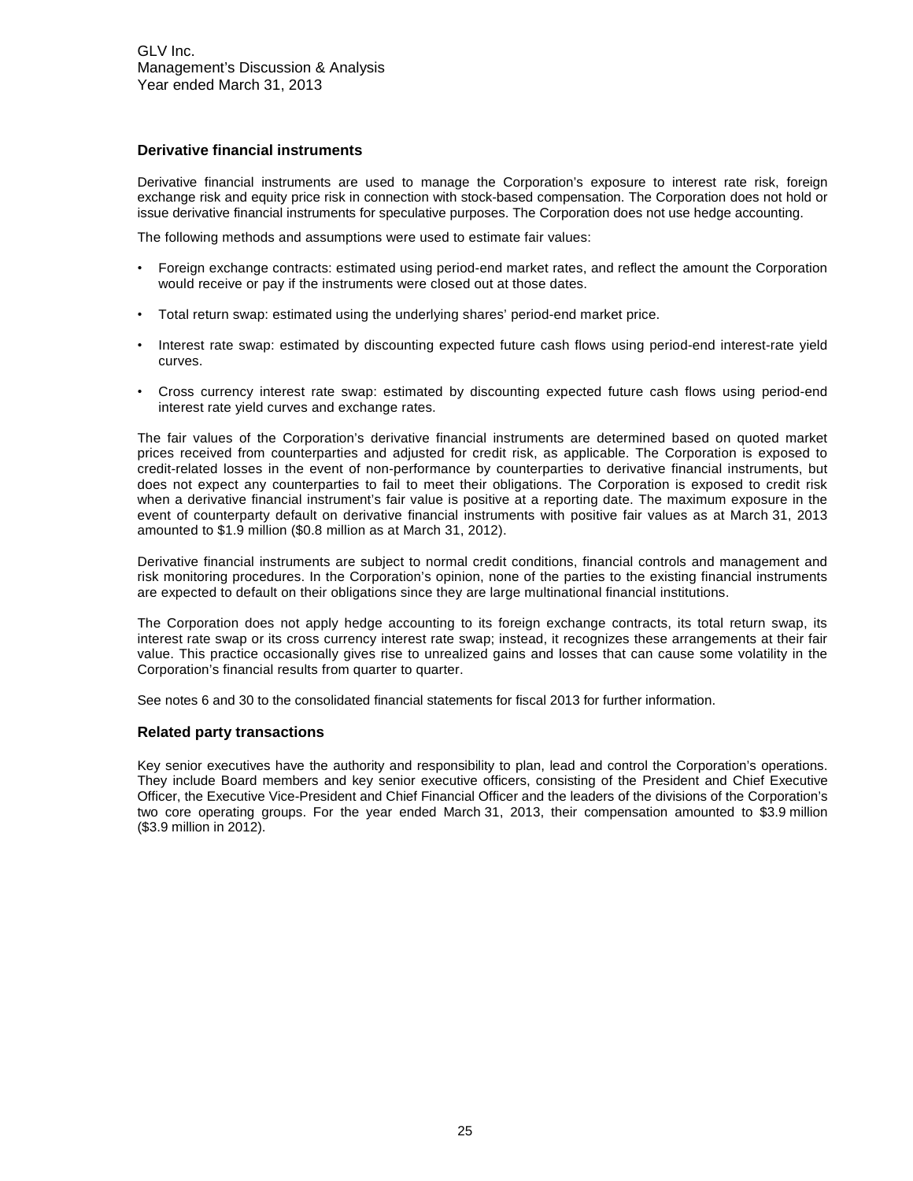#### **Derivative financial instruments**

Derivative financial instruments are used to manage the Corporation's exposure to interest rate risk, foreign exchange risk and equity price risk in connection with stock-based compensation. The Corporation does not hold or issue derivative financial instruments for speculative purposes. The Corporation does not use hedge accounting.

The following methods and assumptions were used to estimate fair values:

- Foreign exchange contracts: estimated using period-end market rates, and reflect the amount the Corporation would receive or pay if the instruments were closed out at those dates.
- Total return swap: estimated using the underlying shares' period-end market price.
- Interest rate swap: estimated by discounting expected future cash flows using period-end interest-rate yield curves.
- Cross currency interest rate swap: estimated by discounting expected future cash flows using period-end interest rate yield curves and exchange rates.

The fair values of the Corporation's derivative financial instruments are determined based on quoted market prices received from counterparties and adjusted for credit risk, as applicable. The Corporation is exposed to credit-related losses in the event of non-performance by counterparties to derivative financial instruments, but does not expect any counterparties to fail to meet their obligations. The Corporation is exposed to credit risk when a derivative financial instrument's fair value is positive at a reporting date. The maximum exposure in the event of counterparty default on derivative financial instruments with positive fair values as at March 31, 2013 amounted to \$1.9 million (\$0.8 million as at March 31, 2012).

Derivative financial instruments are subject to normal credit conditions, financial controls and management and risk monitoring procedures. In the Corporation's opinion, none of the parties to the existing financial instruments are expected to default on their obligations since they are large multinational financial institutions.

The Corporation does not apply hedge accounting to its foreign exchange contracts, its total return swap, its interest rate swap or its cross currency interest rate swap; instead, it recognizes these arrangements at their fair value. This practice occasionally gives rise to unrealized gains and losses that can cause some volatility in the Corporation's financial results from quarter to quarter.

See notes 6 and 30 to the consolidated financial statements for fiscal 2013 for further information.

#### **Related party transactions**

Key senior executives have the authority and responsibility to plan, lead and control the Corporation's operations. They include Board members and key senior executive officers, consisting of the President and Chief Executive Officer, the Executive Vice-President and Chief Financial Officer and the leaders of the divisions of the Corporation's two core operating groups. For the year ended March 31, 2013, their compensation amounted to \$3.9 million (\$3.9 million in 2012).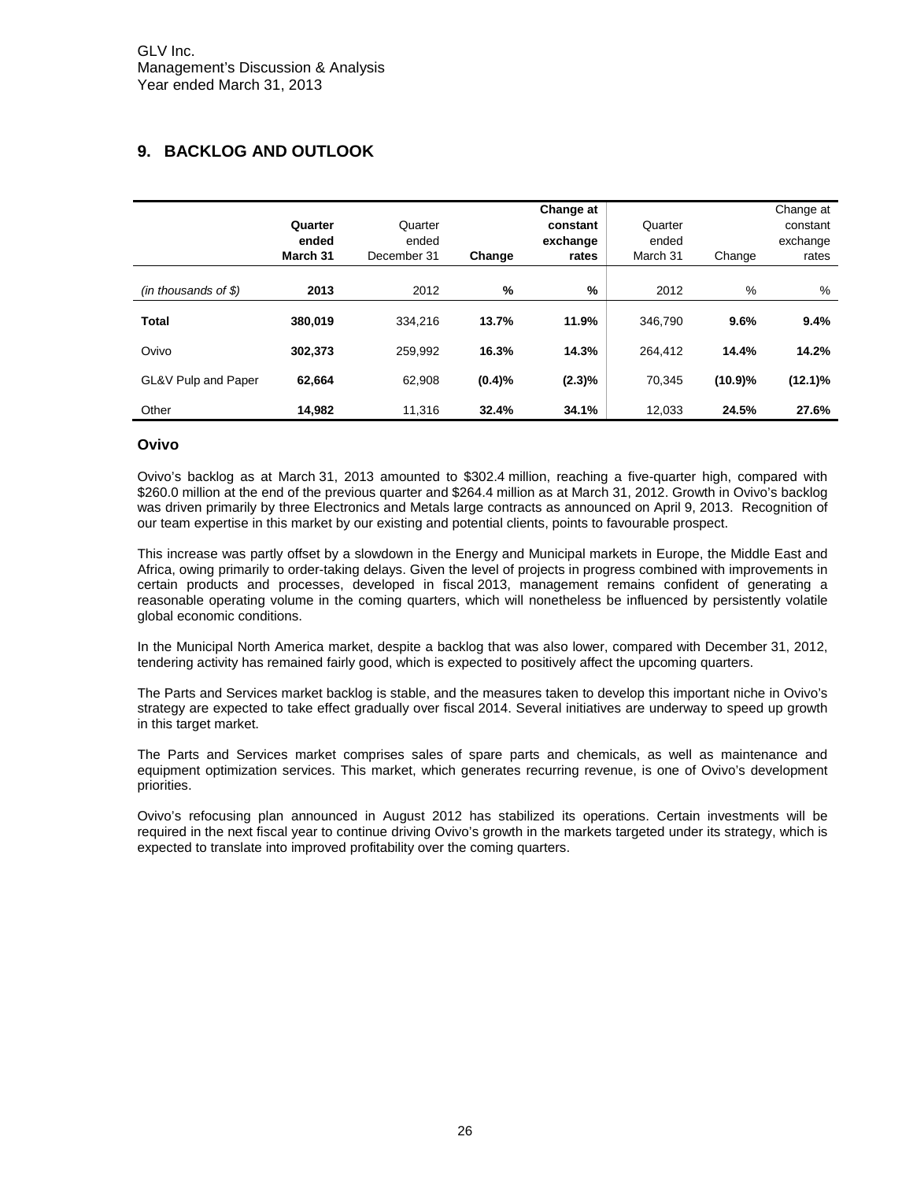# <span id="page-25-0"></span>**9. BACKLOG AND OUTLOOK**

|                        | Quarter<br>ended<br>March 31 | Quarter<br>ended<br>December 31 | Change | Change at<br>constant<br>exchange<br>rates | Quarter<br>ended<br>March 31 | Change  | Change at<br>constant<br>exchange<br>rates |
|------------------------|------------------------------|---------------------------------|--------|--------------------------------------------|------------------------------|---------|--------------------------------------------|
| $(in$ thousands of \$) | 2013                         | 2012                            | %      | %                                          | 2012                         | %       | %                                          |
| <b>Total</b>           | 380,019                      | 334.216                         | 13.7%  | 11.9%                                      | 346.790                      | 9.6%    | 9.4%                                       |
| Ovivo                  | 302.373                      | 259.992                         | 16.3%  | 14.3%                                      | 264.412                      | 14.4%   | 14.2%                                      |
| GL&V Pulp and Paper    | 62.664                       | 62.908                          | (0.4)% | $(2.3)\%$                                  | 70.345                       | (10.9)% | $(12.1)\%$                                 |
| Other                  | 14.982                       | 11.316                          | 32.4%  | 34.1%                                      | 12.033                       | 24.5%   | 27.6%                                      |

#### **Ovivo**

Ovivo's backlog as at March 31, 2013 amounted to \$302.4 million, reaching a five-quarter high, compared with \$260.0 million at the end of the previous quarter and \$264.4 million as at March 31, 2012. Growth in Ovivo's backlog was driven primarily by three Electronics and Metals large contracts as announced on April 9, 2013. Recognition of our team expertise in this market by our existing and potential clients, points to favourable prospect.

This increase was partly offset by a slowdown in the Energy and Municipal markets in Europe, the Middle East and Africa, owing primarily to order-taking delays. Given the level of projects in progress combined with improvements in certain products and processes, developed in fiscal 2013, management remains confident of generating a reasonable operating volume in the coming quarters, which will nonetheless be influenced by persistently volatile global economic conditions.

In the Municipal North America market, despite a backlog that was also lower, compared with December 31, 2012, tendering activity has remained fairly good, which is expected to positively affect the upcoming quarters.

The Parts and Services market backlog is stable, and the measures taken to develop this important niche in Ovivo's strategy are expected to take effect gradually over fiscal 2014. Several initiatives are underway to speed up growth in this target market.

The Parts and Services market comprises sales of spare parts and chemicals, as well as maintenance and equipment optimization services. This market, which generates recurring revenue, is one of Ovivo's development priorities.

Ovivo's refocusing plan announced in August 2012 has stabilized its operations. Certain investments will be required in the next fiscal year to continue driving Ovivo's growth in the markets targeted under its strategy, which is expected to translate into improved profitability over the coming quarters.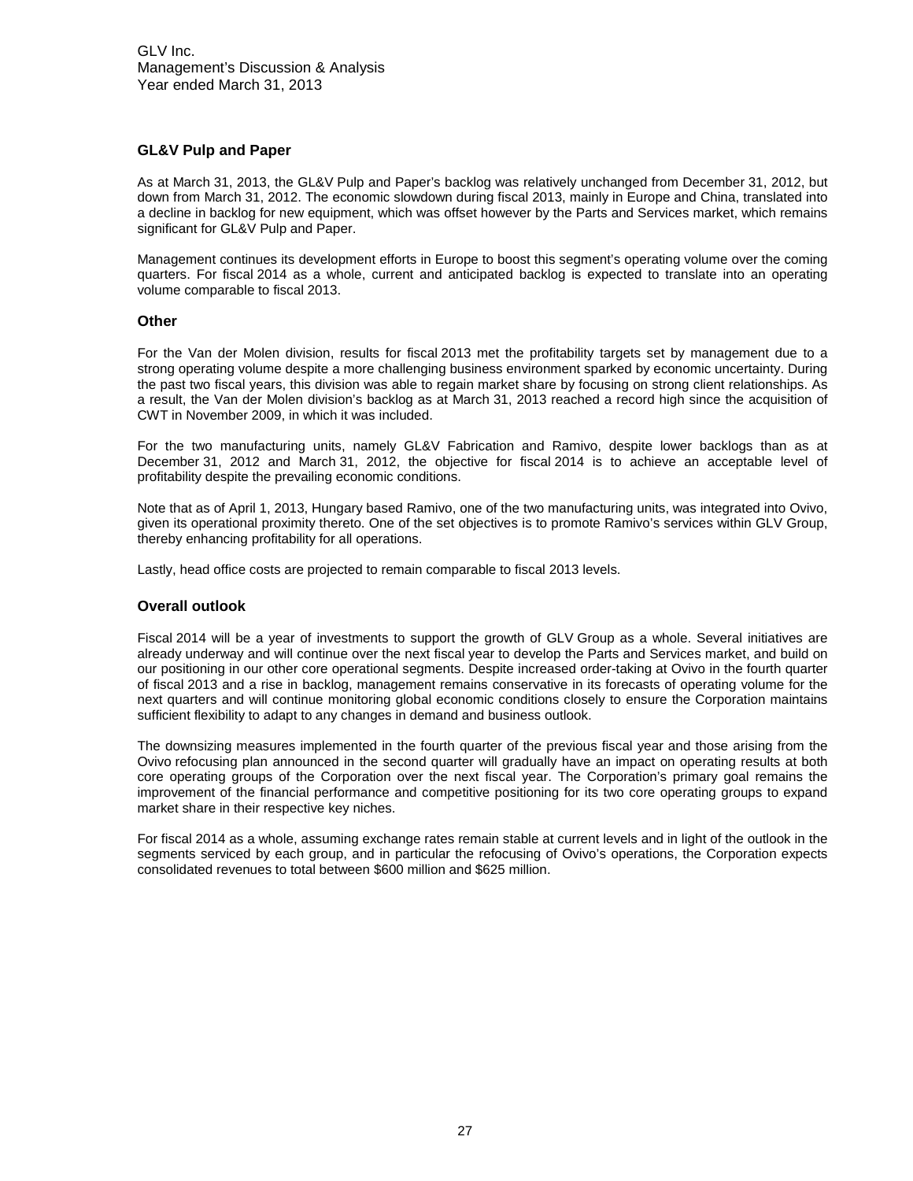### **GL&V Pulp and Paper**

As at March 31, 2013, the GL&V Pulp and Paper's backlog was relatively unchanged from December 31, 2012, but down from March 31, 2012. The economic slowdown during fiscal 2013, mainly in Europe and China, translated into a decline in backlog for new equipment, which was offset however by the Parts and Services market, which remains significant for GL&V Pulp and Paper.

Management continues its development efforts in Europe to boost this segment's operating volume over the coming quarters. For fiscal 2014 as a whole, current and anticipated backlog is expected to translate into an operating volume comparable to fiscal 2013.

#### **Other**

For the Van der Molen division, results for fiscal 2013 met the profitability targets set by management due to a strong operating volume despite a more challenging business environment sparked by economic uncertainty. During the past two fiscal years, this division was able to regain market share by focusing on strong client relationships. As a result, the Van der Molen division's backlog as at March 31, 2013 reached a record high since the acquisition of CWT in November 2009, in which it was included.

For the two manufacturing units, namely GL&V Fabrication and Ramivo, despite lower backlogs than as at December 31, 2012 and March 31, 2012, the objective for fiscal 2014 is to achieve an acceptable level of profitability despite the prevailing economic conditions.

Note that as of April 1, 2013, Hungary based Ramivo, one of the two manufacturing units, was integrated into Ovivo, given its operational proximity thereto. One of the set objectives is to promote Ramivo's services within GLV Group, thereby enhancing profitability for all operations.

Lastly, head office costs are projected to remain comparable to fiscal 2013 levels.

#### **Overall outlook**

Fiscal 2014 will be a year of investments to support the growth of GLV Group as a whole. Several initiatives are already underway and will continue over the next fiscal year to develop the Parts and Services market, and build on our positioning in our other core operational segments. Despite increased order-taking at Ovivo in the fourth quarter of fiscal 2013 and a rise in backlog, management remains conservative in its forecasts of operating volume for the next quarters and will continue monitoring global economic conditions closely to ensure the Corporation maintains sufficient flexibility to adapt to any changes in demand and business outlook.

The downsizing measures implemented in the fourth quarter of the previous fiscal year and those arising from the Ovivo refocusing plan announced in the second quarter will gradually have an impact on operating results at both core operating groups of the Corporation over the next fiscal year. The Corporation's primary goal remains the improvement of the financial performance and competitive positioning for its two core operating groups to expand market share in their respective key niches.

For fiscal 2014 as a whole, assuming exchange rates remain stable at current levels and in light of the outlook in the segments serviced by each group, and in particular the refocusing of Ovivo's operations, the Corporation expects consolidated revenues to total between \$600 million and \$625 million.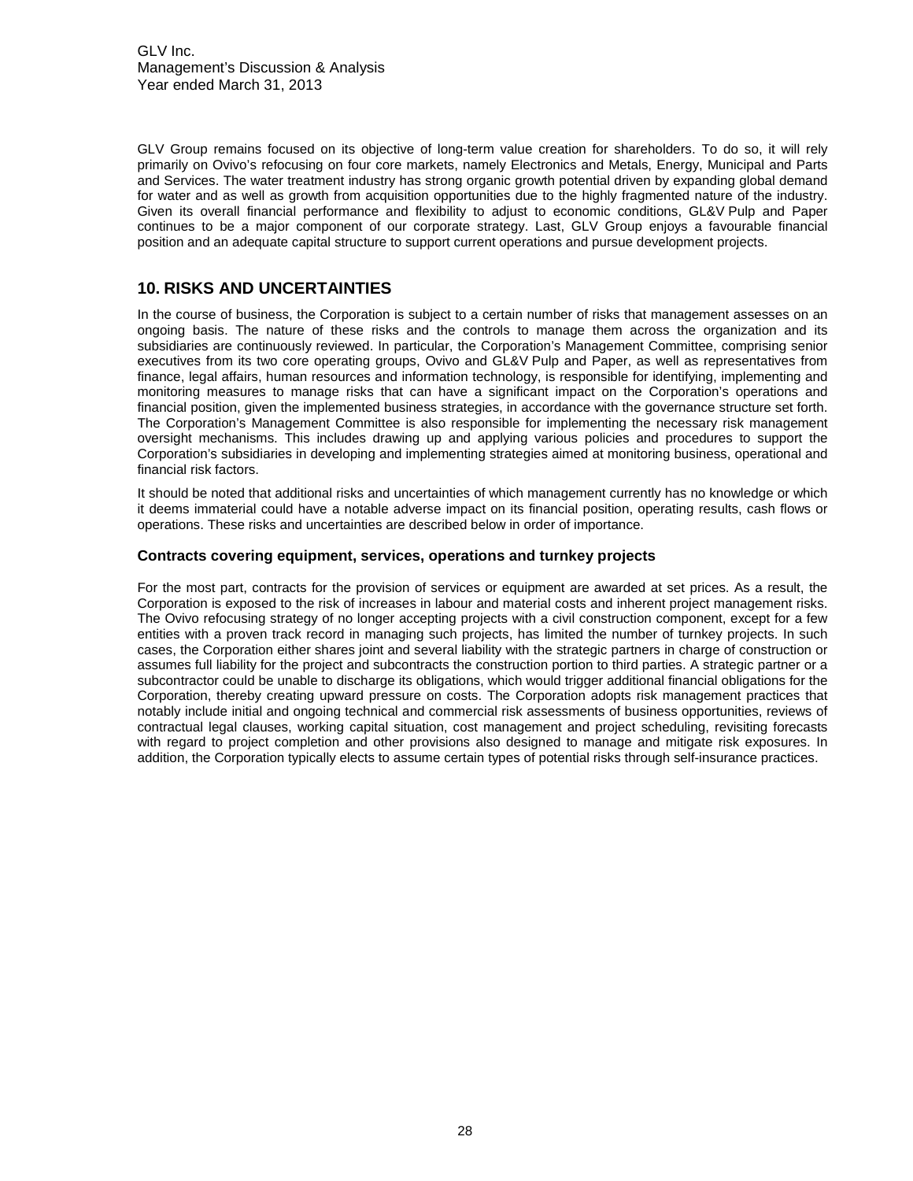GLV Inc. Management's Discussion & Analysis Year ended March 31, 2013

GLV Group remains focused on its objective of long-term value creation for shareholders. To do so, it will rely primarily on Ovivo's refocusing on four core markets, namely Electronics and Metals, Energy, Municipal and Parts and Services. The water treatment industry has strong organic growth potential driven by expanding global demand for water and as well as growth from acquisition opportunities due to the highly fragmented nature of the industry. Given its overall financial performance and flexibility to adjust to economic conditions, GL&V Pulp and Paper continues to be a major component of our corporate strategy. Last, GLV Group enjoys a favourable financial position and an adequate capital structure to support current operations and pursue development projects.

# <span id="page-27-0"></span>**10. RISKS AND UNCERTAINTIES**

In the course of business, the Corporation is subject to a certain number of risks that management assesses on an ongoing basis. The nature of these risks and the controls to manage them across the organization and its subsidiaries are continuously reviewed. In particular, the Corporation's Management Committee, comprising senior executives from its two core operating groups, Ovivo and GL&V Pulp and Paper, as well as representatives from finance, legal affairs, human resources and information technology, is responsible for identifying, implementing and monitoring measures to manage risks that can have a significant impact on the Corporation's operations and financial position, given the implemented business strategies, in accordance with the governance structure set forth. The Corporation's Management Committee is also responsible for implementing the necessary risk management oversight mechanisms. This includes drawing up and applying various policies and procedures to support the Corporation's subsidiaries in developing and implementing strategies aimed at monitoring business, operational and financial risk factors.

It should be noted that additional risks and uncertainties of which management currently has no knowledge or which it deems immaterial could have a notable adverse impact on its financial position, operating results, cash flows or operations. These risks and uncertainties are described below in order of importance.

#### **Contracts covering equipment, services, operations and turnkey projects**

For the most part, contracts for the provision of services or equipment are awarded at set prices. As a result, the Corporation is exposed to the risk of increases in labour and material costs and inherent project management risks. The Ovivo refocusing strategy of no longer accepting projects with a civil construction component, except for a few entities with a proven track record in managing such projects, has limited the number of turnkey projects. In such cases, the Corporation either shares joint and several liability with the strategic partners in charge of construction or assumes full liability for the project and subcontracts the construction portion to third parties. A strategic partner or a subcontractor could be unable to discharge its obligations, which would trigger additional financial obligations for the Corporation, thereby creating upward pressure on costs. The Corporation adopts risk management practices that notably include initial and ongoing technical and commercial risk assessments of business opportunities, reviews of contractual legal clauses, working capital situation, cost management and project scheduling, revisiting forecasts with regard to project completion and other provisions also designed to manage and mitigate risk exposures. In addition, the Corporation typically elects to assume certain types of potential risks through self-insurance practices.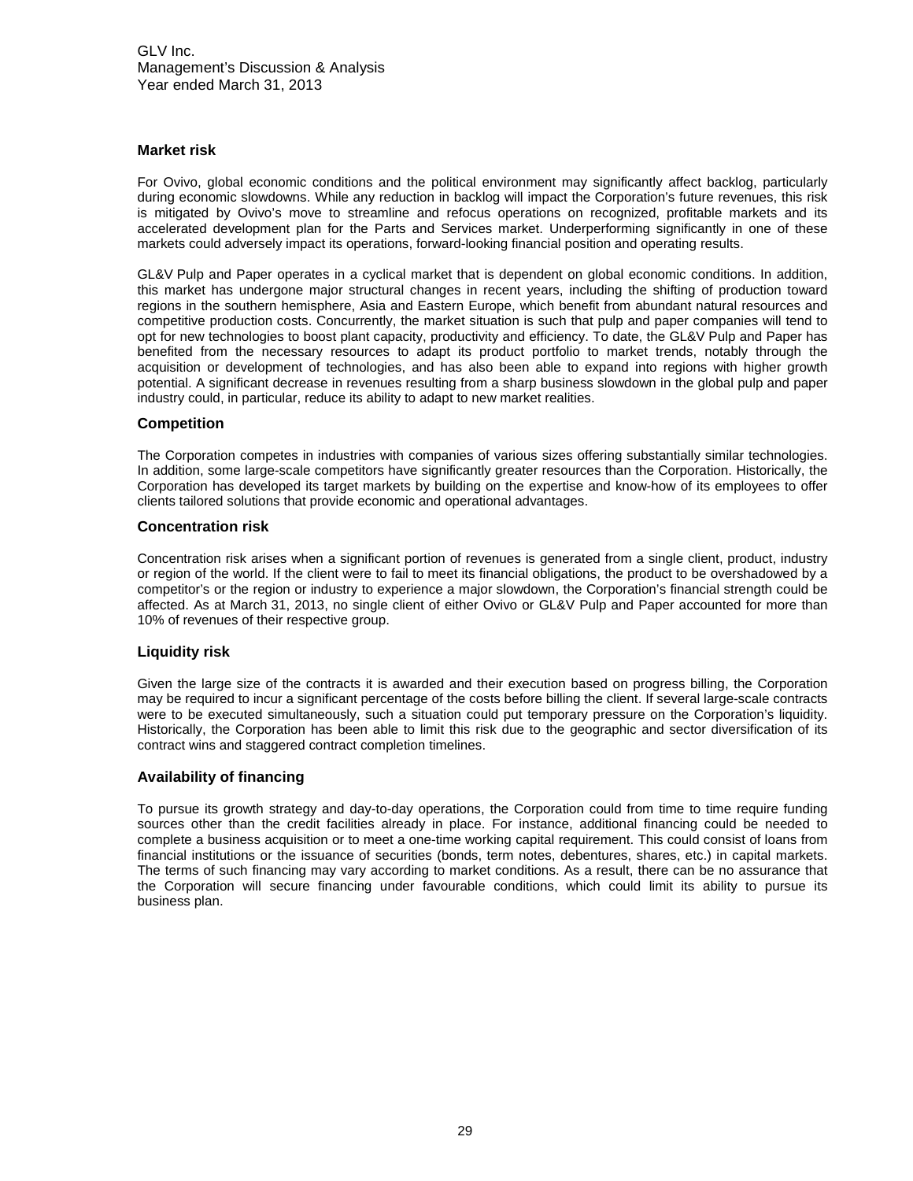#### **Market risk**

For Ovivo, global economic conditions and the political environment may significantly affect backlog, particularly during economic slowdowns. While any reduction in backlog will impact the Corporation's future revenues, this risk is mitigated by Ovivo's move to streamline and refocus operations on recognized, profitable markets and its accelerated development plan for the Parts and Services market. Underperforming significantly in one of these markets could adversely impact its operations, forward-looking financial position and operating results.

GL&V Pulp and Paper operates in a cyclical market that is dependent on global economic conditions. In addition, this market has undergone major structural changes in recent years, including the shifting of production toward regions in the southern hemisphere, Asia and Eastern Europe, which benefit from abundant natural resources and competitive production costs. Concurrently, the market situation is such that pulp and paper companies will tend to opt for new technologies to boost plant capacity, productivity and efficiency. To date, the GL&V Pulp and Paper has benefited from the necessary resources to adapt its product portfolio to market trends, notably through the acquisition or development of technologies, and has also been able to expand into regions with higher growth potential. A significant decrease in revenues resulting from a sharp business slowdown in the global pulp and paper industry could, in particular, reduce its ability to adapt to new market realities.

# **Competition**

The Corporation competes in industries with companies of various sizes offering substantially similar technologies. In addition, some large-scale competitors have significantly greater resources than the Corporation. Historically, the Corporation has developed its target markets by building on the expertise and know-how of its employees to offer clients tailored solutions that provide economic and operational advantages.

#### **Concentration risk**

Concentration risk arises when a significant portion of revenues is generated from a single client, product, industry or region of the world. If the client were to fail to meet its financial obligations, the product to be overshadowed by a competitor's or the region or industry to experience a major slowdown, the Corporation's financial strength could be affected. As at March 31, 2013, no single client of either Ovivo or GL&V Pulp and Paper accounted for more than 10% of revenues of their respective group.

#### **Liquidity risk**

Given the large size of the contracts it is awarded and their execution based on progress billing, the Corporation may be required to incur a significant percentage of the costs before billing the client. If several large-scale contracts were to be executed simultaneously, such a situation could put temporary pressure on the Corporation's liquidity. Historically, the Corporation has been able to limit this risk due to the geographic and sector diversification of its contract wins and staggered contract completion timelines.

#### **Availability of financing**

To pursue its growth strategy and day-to-day operations, the Corporation could from time to time require funding sources other than the credit facilities already in place. For instance, additional financing could be needed to complete a business acquisition or to meet a one-time working capital requirement. This could consist of loans from financial institutions or the issuance of securities (bonds, term notes, debentures, shares, etc.) in capital markets. The terms of such financing may vary according to market conditions. As a result, there can be no assurance that the Corporation will secure financing under favourable conditions, which could limit its ability to pursue its business plan.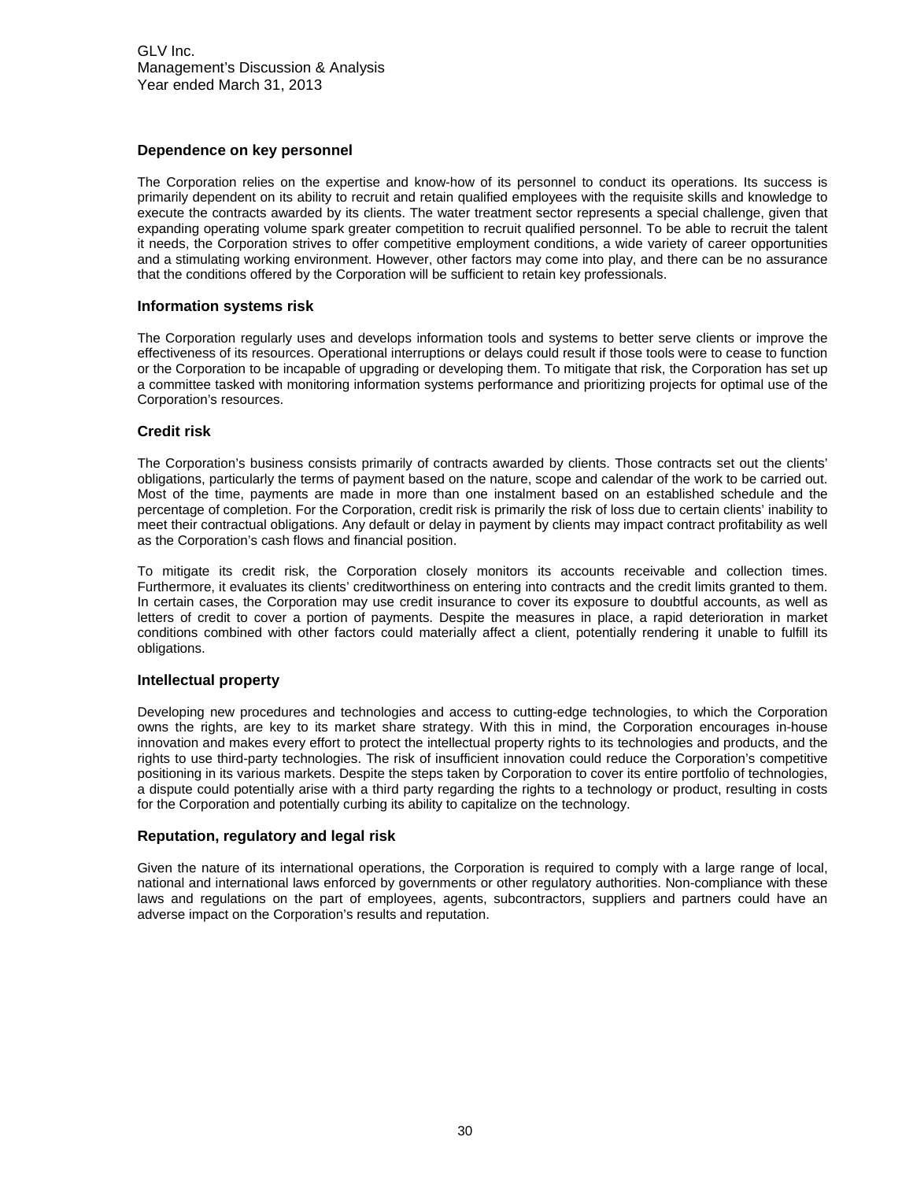GLV Inc. Management's Discussion & Analysis Year ended March 31, 2013

#### **Dependence on key personnel**

The Corporation relies on the expertise and know-how of its personnel to conduct its operations. Its success is primarily dependent on its ability to recruit and retain qualified employees with the requisite skills and knowledge to execute the contracts awarded by its clients. The water treatment sector represents a special challenge, given that expanding operating volume spark greater competition to recruit qualified personnel. To be able to recruit the talent it needs, the Corporation strives to offer competitive employment conditions, a wide variety of career opportunities and a stimulating working environment. However, other factors may come into play, and there can be no assurance that the conditions offered by the Corporation will be sufficient to retain key professionals.

#### **Information systems risk**

The Corporation regularly uses and develops information tools and systems to better serve clients or improve the effectiveness of its resources. Operational interruptions or delays could result if those tools were to cease to function or the Corporation to be incapable of upgrading or developing them. To mitigate that risk, the Corporation has set up a committee tasked with monitoring information systems performance and prioritizing projects for optimal use of the Corporation's resources.

#### **Credit risk**

The Corporation's business consists primarily of contracts awarded by clients. Those contracts set out the clients' obligations, particularly the terms of payment based on the nature, scope and calendar of the work to be carried out. Most of the time, payments are made in more than one instalment based on an established schedule and the percentage of completion. For the Corporation, credit risk is primarily the risk of loss due to certain clients' inability to meet their contractual obligations. Any default or delay in payment by clients may impact contract profitability as well as the Corporation's cash flows and financial position.

To mitigate its credit risk, the Corporation closely monitors its accounts receivable and collection times. Furthermore, it evaluates its clients' creditworthiness on entering into contracts and the credit limits granted to them. In certain cases, the Corporation may use credit insurance to cover its exposure to doubtful accounts, as well as letters of credit to cover a portion of payments. Despite the measures in place, a rapid deterioration in market conditions combined with other factors could materially affect a client, potentially rendering it unable to fulfill its obligations.

#### **Intellectual property**

Developing new procedures and technologies and access to cutting-edge technologies, to which the Corporation owns the rights, are key to its market share strategy. With this in mind, the Corporation encourages in-house innovation and makes every effort to protect the intellectual property rights to its technologies and products, and the rights to use third-party technologies. The risk of insufficient innovation could reduce the Corporation's competitive positioning in its various markets. Despite the steps taken by Corporation to cover its entire portfolio of technologies, a dispute could potentially arise with a third party regarding the rights to a technology or product, resulting in costs for the Corporation and potentially curbing its ability to capitalize on the technology.

#### **Reputation, regulatory and legal risk**

Given the nature of its international operations, the Corporation is required to comply with a large range of local, national and international laws enforced by governments or other regulatory authorities. Non-compliance with these laws and regulations on the part of employees, agents, subcontractors, suppliers and partners could have an adverse impact on the Corporation's results and reputation.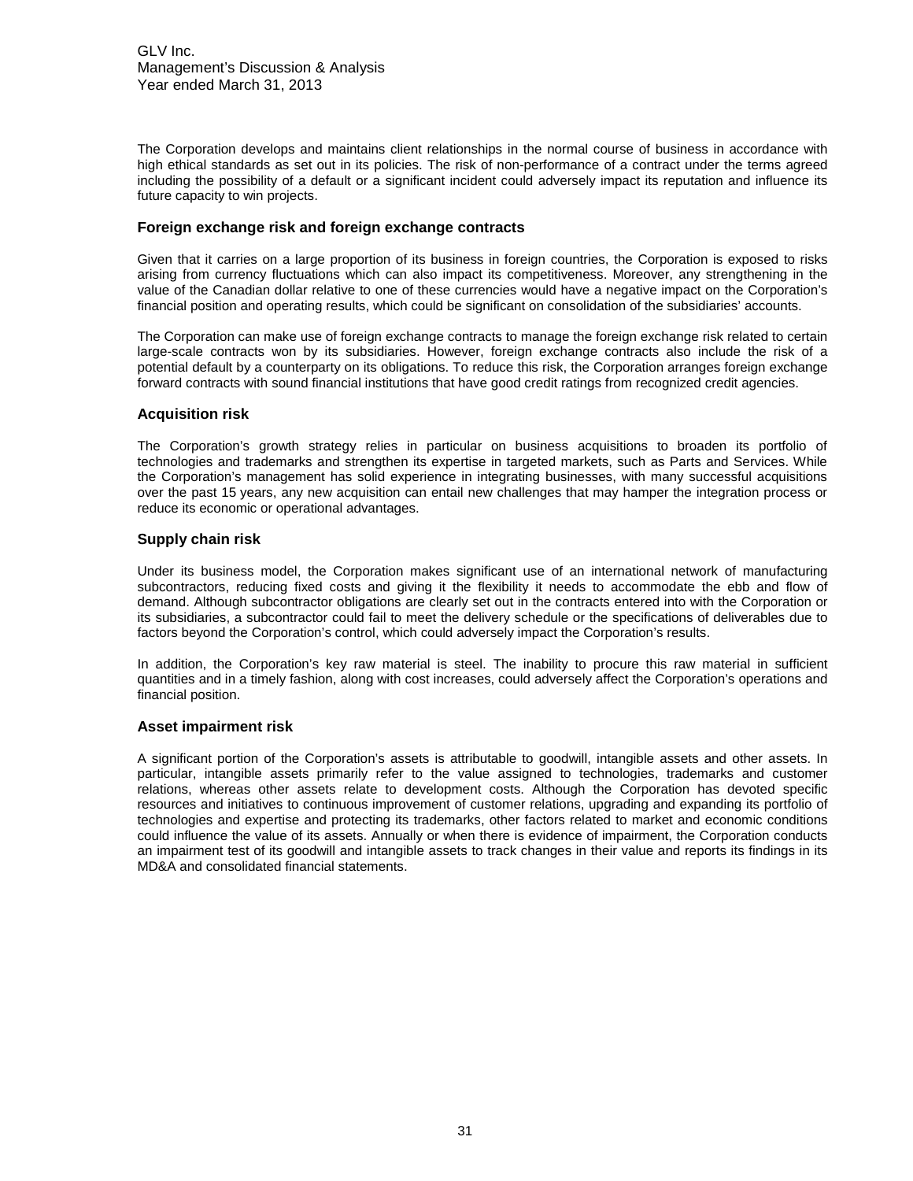GLV Inc. Management's Discussion & Analysis Year ended March 31, 2013

The Corporation develops and maintains client relationships in the normal course of business in accordance with high ethical standards as set out in its policies. The risk of non-performance of a contract under the terms agreed including the possibility of a default or a significant incident could adversely impact its reputation and influence its future capacity to win projects.

#### **Foreign exchange risk and foreign exchange contracts**

Given that it carries on a large proportion of its business in foreign countries, the Corporation is exposed to risks arising from currency fluctuations which can also impact its competitiveness. Moreover, any strengthening in the value of the Canadian dollar relative to one of these currencies would have a negative impact on the Corporation's financial position and operating results, which could be significant on consolidation of the subsidiaries' accounts.

The Corporation can make use of foreign exchange contracts to manage the foreign exchange risk related to certain large-scale contracts won by its subsidiaries. However, foreign exchange contracts also include the risk of a potential default by a counterparty on its obligations. To reduce this risk, the Corporation arranges foreign exchange forward contracts with sound financial institutions that have good credit ratings from recognized credit agencies.

#### **Acquisition risk**

The Corporation's growth strategy relies in particular on business acquisitions to broaden its portfolio of technologies and trademarks and strengthen its expertise in targeted markets, such as Parts and Services. While the Corporation's management has solid experience in integrating businesses, with many successful acquisitions over the past 15 years, any new acquisition can entail new challenges that may hamper the integration process or reduce its economic or operational advantages.

#### **Supply chain risk**

Under its business model, the Corporation makes significant use of an international network of manufacturing subcontractors, reducing fixed costs and giving it the flexibility it needs to accommodate the ebb and flow of demand. Although subcontractor obligations are clearly set out in the contracts entered into with the Corporation or its subsidiaries, a subcontractor could fail to meet the delivery schedule or the specifications of deliverables due to factors beyond the Corporation's control, which could adversely impact the Corporation's results.

In addition, the Corporation's key raw material is steel. The inability to procure this raw material in sufficient quantities and in a timely fashion, along with cost increases, could adversely affect the Corporation's operations and financial position.

# **Asset impairment risk**

A significant portion of the Corporation's assets is attributable to goodwill, intangible assets and other assets. In particular, intangible assets primarily refer to the value assigned to technologies, trademarks and customer relations, whereas other assets relate to development costs. Although the Corporation has devoted specific resources and initiatives to continuous improvement of customer relations, upgrading and expanding its portfolio of technologies and expertise and protecting its trademarks, other factors related to market and economic conditions could influence the value of its assets. Annually or when there is evidence of impairment, the Corporation conducts an impairment test of its goodwill and intangible assets to track changes in their value and reports its findings in its MD&A and consolidated financial statements.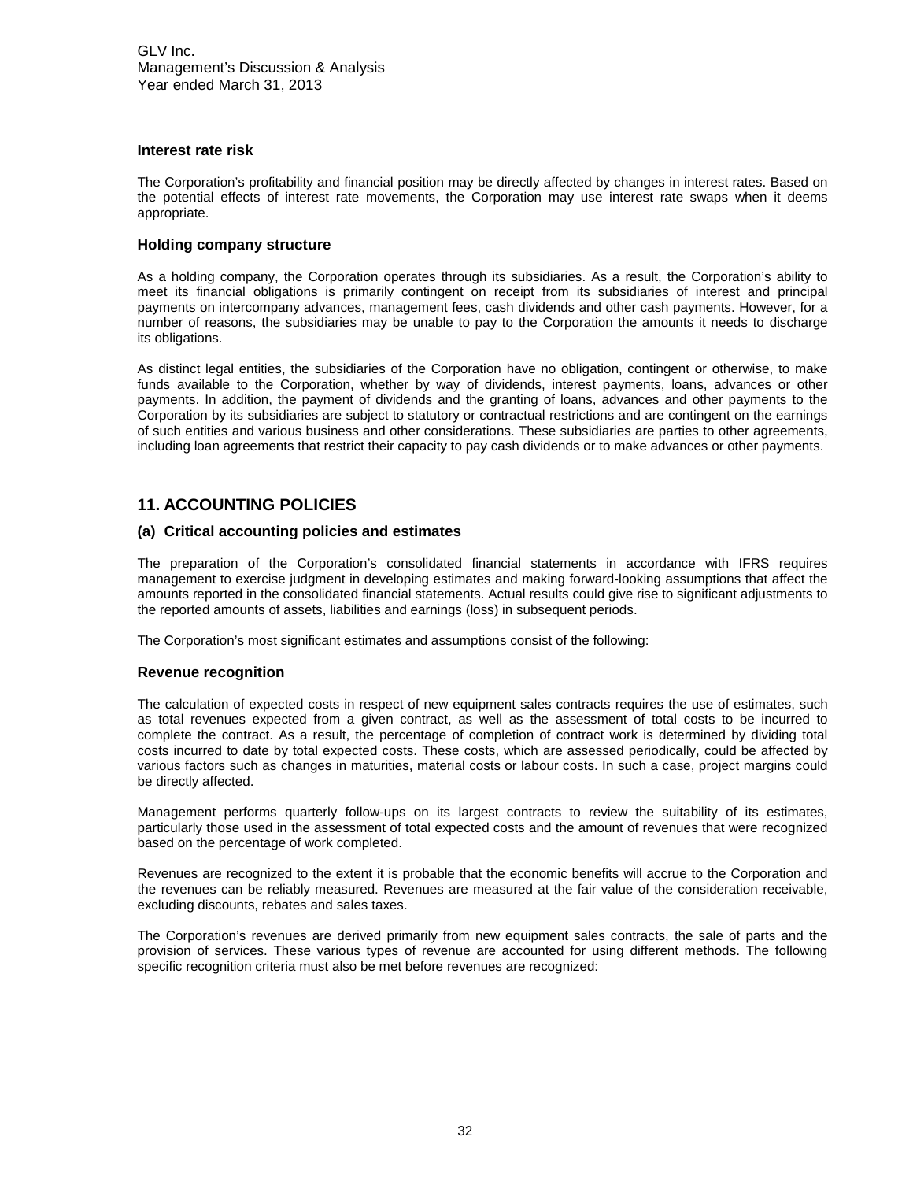#### **Interest rate risk**

The Corporation's profitability and financial position may be directly affected by changes in interest rates. Based on the potential effects of interest rate movements, the Corporation may use interest rate swaps when it deems appropriate.

#### **Holding company structure**

As a holding company, the Corporation operates through its subsidiaries. As a result, the Corporation's ability to meet its financial obligations is primarily contingent on receipt from its subsidiaries of interest and principal payments on intercompany advances, management fees, cash dividends and other cash payments. However, for a number of reasons, the subsidiaries may be unable to pay to the Corporation the amounts it needs to discharge its obligations.

As distinct legal entities, the subsidiaries of the Corporation have no obligation, contingent or otherwise, to make funds available to the Corporation, whether by way of dividends, interest payments, loans, advances or other payments. In addition, the payment of dividends and the granting of loans, advances and other payments to the Corporation by its subsidiaries are subject to statutory or contractual restrictions and are contingent on the earnings of such entities and various business and other considerations. These subsidiaries are parties to other agreements, including loan agreements that restrict their capacity to pay cash dividends or to make advances or other payments.

# <span id="page-31-0"></span>**11. ACCOUNTING POLICIES**

#### **(a) Critical accounting policies and estimates**

The preparation of the Corporation's consolidated financial statements in accordance with IFRS requires management to exercise judgment in developing estimates and making forward-looking assumptions that affect the amounts reported in the consolidated financial statements. Actual results could give rise to significant adjustments to the reported amounts of assets, liabilities and earnings (loss) in subsequent periods.

The Corporation's most significant estimates and assumptions consist of the following:

#### **Revenue recognition**

The calculation of expected costs in respect of new equipment sales contracts requires the use of estimates, such as total revenues expected from a given contract, as well as the assessment of total costs to be incurred to complete the contract. As a result, the percentage of completion of contract work is determined by dividing total costs incurred to date by total expected costs. These costs, which are assessed periodically, could be affected by various factors such as changes in maturities, material costs or labour costs. In such a case, project margins could be directly affected.

Management performs quarterly follow-ups on its largest contracts to review the suitability of its estimates, particularly those used in the assessment of total expected costs and the amount of revenues that were recognized based on the percentage of work completed.

Revenues are recognized to the extent it is probable that the economic benefits will accrue to the Corporation and the revenues can be reliably measured. Revenues are measured at the fair value of the consideration receivable, excluding discounts, rebates and sales taxes.

The Corporation's revenues are derived primarily from new equipment sales contracts, the sale of parts and the provision of services. These various types of revenue are accounted for using different methods. The following specific recognition criteria must also be met before revenues are recognized: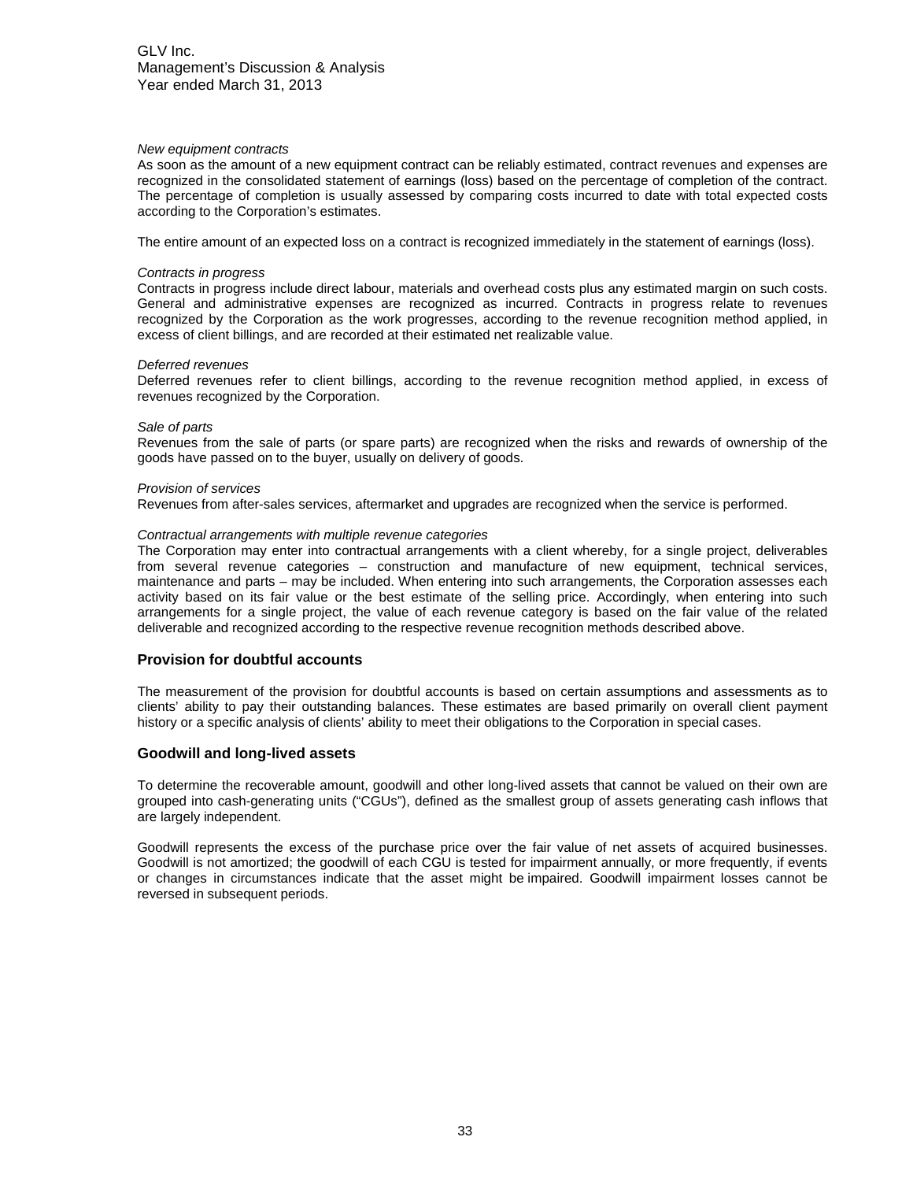#### *New equipment contracts*

As soon as the amount of a new equipment contract can be reliably estimated, contract revenues and expenses are recognized in the consolidated statement of earnings (loss) based on the percentage of completion of the contract. The percentage of completion is usually assessed by comparing costs incurred to date with total expected costs according to the Corporation's estimates.

The entire amount of an expected loss on a contract is recognized immediately in the statement of earnings (loss).

#### *Contracts in progress*

Contracts in progress include direct labour, materials and overhead costs plus any estimated margin on such costs. General and administrative expenses are recognized as incurred. Contracts in progress relate to revenues recognized by the Corporation as the work progresses, according to the revenue recognition method applied, in excess of client billings, and are recorded at their estimated net realizable value.

#### *Deferred revenues*

Deferred revenues refer to client billings, according to the revenue recognition method applied, in excess of revenues recognized by the Corporation.

#### *Sale of parts*

Revenues from the sale of parts (or spare parts) are recognized when the risks and rewards of ownership of the goods have passed on to the buyer, usually on delivery of goods.

#### *Provision of services*

Revenues from after-sales services, aftermarket and upgrades are recognized when the service is performed.

#### *Contractual arrangements with multiple revenue categories*

The Corporation may enter into contractual arrangements with a client whereby, for a single project, deliverables from several revenue categories – construction and manufacture of new equipment, technical services, maintenance and parts – may be included. When entering into such arrangements, the Corporation assesses each activity based on its fair value or the best estimate of the selling price. Accordingly, when entering into such arrangements for a single project, the value of each revenue category is based on the fair value of the related deliverable and recognized according to the respective revenue recognition methods described above.

#### **Provision for doubtful accounts**

The measurement of the provision for doubtful accounts is based on certain assumptions and assessments as to clients' ability to pay their outstanding balances. These estimates are based primarily on overall client payment history or a specific analysis of clients' ability to meet their obligations to the Corporation in special cases.

#### **Goodwill and long-lived assets**

To determine the recoverable amount, goodwill and other long-lived assets that cannot be valued on their own are grouped into cash-generating units ("CGUs"), defined as the smallest group of assets generating cash inflows that are largely independent.

Goodwill represents the excess of the purchase price over the fair value of net assets of acquired businesses. Goodwill is not amortized; the goodwill of each CGU is tested for impairment annually, or more frequently, if events or changes in circumstances indicate that the asset might be impaired. Goodwill impairment losses cannot be reversed in subsequent periods.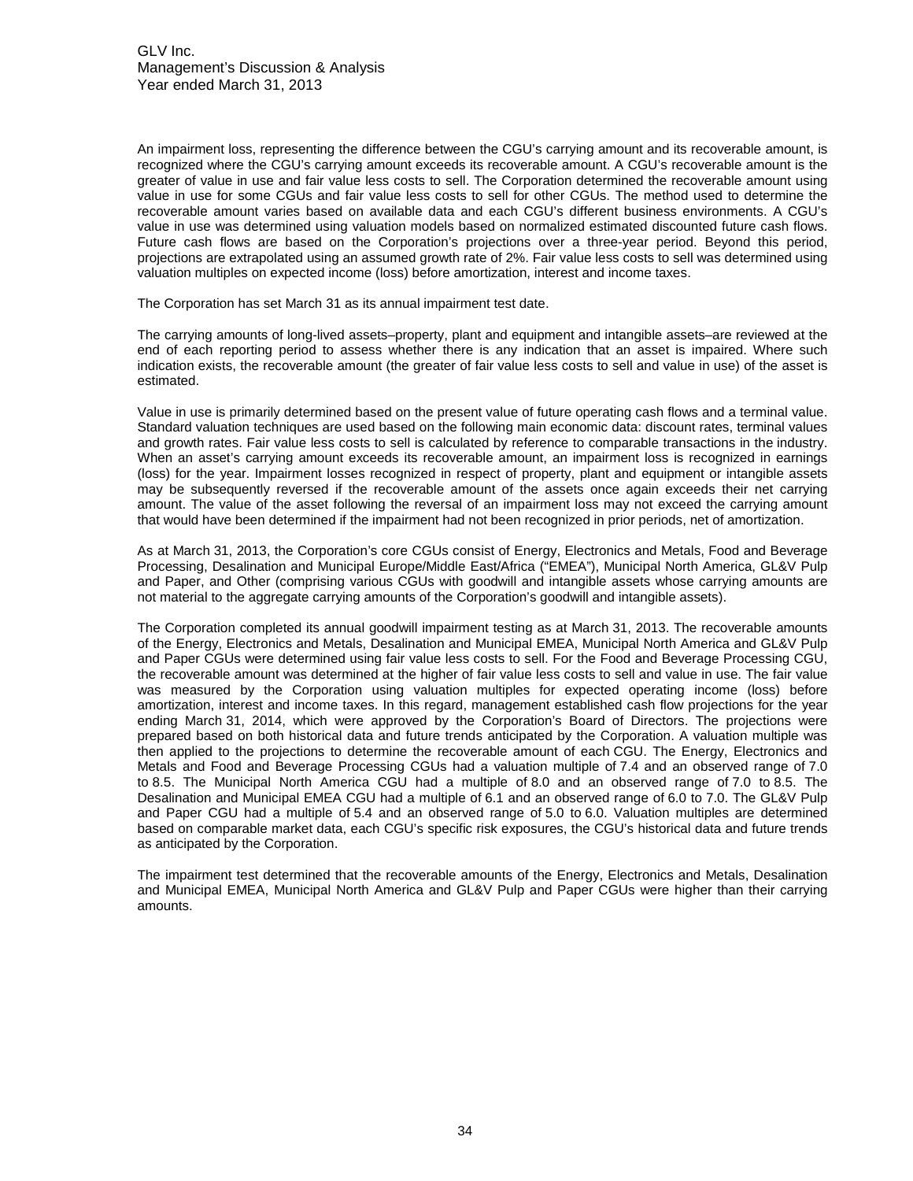An impairment loss, representing the difference between the CGU's carrying amount and its recoverable amount, is recognized where the CGU's carrying amount exceeds its recoverable amount. A CGU's recoverable amount is the greater of value in use and fair value less costs to sell. The Corporation determined the recoverable amount using value in use for some CGUs and fair value less costs to sell for other CGUs. The method used to determine the recoverable amount varies based on available data and each CGU's different business environments. A CGU's value in use was determined using valuation models based on normalized estimated discounted future cash flows. Future cash flows are based on the Corporation's projections over a three-year period. Beyond this period, projections are extrapolated using an assumed growth rate of 2%. Fair value less costs to sell was determined using valuation multiples on expected income (loss) before amortization, interest and income taxes.

The Corporation has set March 31 as its annual impairment test date.

The carrying amounts of long-lived assets–property, plant and equipment and intangible assets–are reviewed at the end of each reporting period to assess whether there is any indication that an asset is impaired. Where such indication exists, the recoverable amount (the greater of fair value less costs to sell and value in use) of the asset is estimated.

Value in use is primarily determined based on the present value of future operating cash flows and a terminal value. Standard valuation techniques are used based on the following main economic data: discount rates, terminal values and growth rates. Fair value less costs to sell is calculated by reference to comparable transactions in the industry. When an asset's carrying amount exceeds its recoverable amount, an impairment loss is recognized in earnings (loss) for the year. Impairment losses recognized in respect of property, plant and equipment or intangible assets may be subsequently reversed if the recoverable amount of the assets once again exceeds their net carrying amount. The value of the asset following the reversal of an impairment loss may not exceed the carrying amount that would have been determined if the impairment had not been recognized in prior periods, net of amortization.

As at March 31, 2013, the Corporation's core CGUs consist of Energy, Electronics and Metals, Food and Beverage Processing, Desalination and Municipal Europe/Middle East/Africa ("EMEA"), Municipal North America, GL&V Pulp and Paper, and Other (comprising various CGUs with goodwill and intangible assets whose carrying amounts are not material to the aggregate carrying amounts of the Corporation's goodwill and intangible assets).

The Corporation completed its annual goodwill impairment testing as at March 31, 2013. The recoverable amounts of the Energy, Electronics and Metals, Desalination and Municipal EMEA, Municipal North America and GL&V Pulp and Paper CGUs were determined using fair value less costs to sell. For the Food and Beverage Processing CGU, the recoverable amount was determined at the higher of fair value less costs to sell and value in use. The fair value was measured by the Corporation using valuation multiples for expected operating income (loss) before amortization, interest and income taxes. In this regard, management established cash flow projections for the year ending March 31, 2014, which were approved by the Corporation's Board of Directors. The projections were prepared based on both historical data and future trends anticipated by the Corporation. A valuation multiple was then applied to the projections to determine the recoverable amount of each CGU. The Energy, Electronics and Metals and Food and Beverage Processing CGUs had a valuation multiple of 7.4 and an observed range of 7.0 to 8.5. The Municipal North America CGU had a multiple of 8.0 and an observed range of 7.0 to 8.5. The Desalination and Municipal EMEA CGU had a multiple of 6.1 and an observed range of 6.0 to 7.0. The GL&V Pulp and Paper CGU had a multiple of 5.4 and an observed range of 5.0 to 6.0. Valuation multiples are determined based on comparable market data, each CGU's specific risk exposures, the CGU's historical data and future trends as anticipated by the Corporation.

The impairment test determined that the recoverable amounts of the Energy, Electronics and Metals, Desalination and Municipal EMEA, Municipal North America and GL&V Pulp and Paper CGUs were higher than their carrying amounts.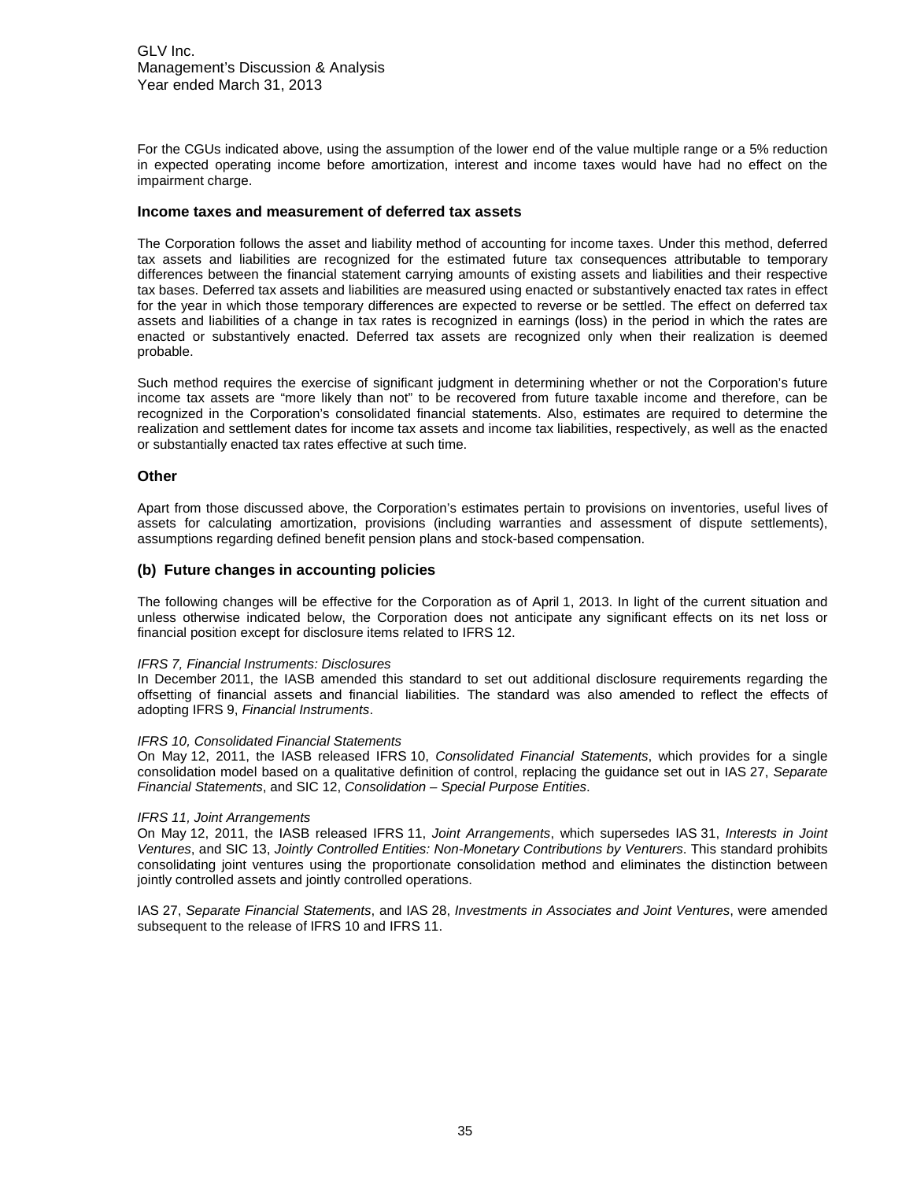GLV Inc. Management's Discussion & Analysis Year ended March 31, 2013

For the CGUs indicated above, using the assumption of the lower end of the value multiple range or a 5% reduction in expected operating income before amortization, interest and income taxes would have had no effect on the impairment charge.

#### **Income taxes and measurement of deferred tax assets**

The Corporation follows the asset and liability method of accounting for income taxes. Under this method, deferred tax assets and liabilities are recognized for the estimated future tax consequences attributable to temporary differences between the financial statement carrying amounts of existing assets and liabilities and their respective tax bases. Deferred tax assets and liabilities are measured using enacted or substantively enacted tax rates in effect for the year in which those temporary differences are expected to reverse or be settled. The effect on deferred tax assets and liabilities of a change in tax rates is recognized in earnings (loss) in the period in which the rates are enacted or substantively enacted. Deferred tax assets are recognized only when their realization is deemed probable.

Such method requires the exercise of significant judgment in determining whether or not the Corporation's future income tax assets are "more likely than not" to be recovered from future taxable income and therefore, can be recognized in the Corporation's consolidated financial statements. Also, estimates are required to determine the realization and settlement dates for income tax assets and income tax liabilities, respectively, as well as the enacted or substantially enacted tax rates effective at such time.

#### **Other**

Apart from those discussed above, the Corporation's estimates pertain to provisions on inventories, useful lives of assets for calculating amortization, provisions (including warranties and assessment of dispute settlements), assumptions regarding defined benefit pension plans and stock-based compensation.

#### **(b) Future changes in accounting policies**

The following changes will be effective for the Corporation as of April 1, 2013. In light of the current situation and unless otherwise indicated below, the Corporation does not anticipate any significant effects on its net loss or financial position except for disclosure items related to IFRS 12.

#### *IFRS 7, Financial Instruments: Disclosures*

In December 2011, the IASB amended this standard to set out additional disclosure requirements regarding the offsetting of financial assets and financial liabilities. The standard was also amended to reflect the effects of adopting IFRS 9, *Financial Instruments*.

#### *IFRS 10, Consolidated Financial Statements*

On May 12, 2011, the IASB released IFRS 10, *Consolidated Financial Statements*, which provides for a single consolidation model based on a qualitative definition of control, replacing the guidance set out in IAS 27, *Separate Financial Statements*, and SIC 12, *Consolidation – Special Purpose Entities*.

#### *IFRS 11, Joint Arrangements*

On May 12, 2011, the IASB released IFRS 11, *Joint Arrangements*, which supersedes IAS 31, *Interests in Joint Ventures*, and SIC 13, *Jointly Controlled Entities: Non-Monetary Contributions by Venturers*. This standard prohibits consolidating joint ventures using the proportionate consolidation method and eliminates the distinction between jointly controlled assets and jointly controlled operations.

IAS 27, *Separate Financial Statements*, and IAS 28, *Investments in Associates and Joint Ventures*, were amended subsequent to the release of IFRS 10 and IFRS 11.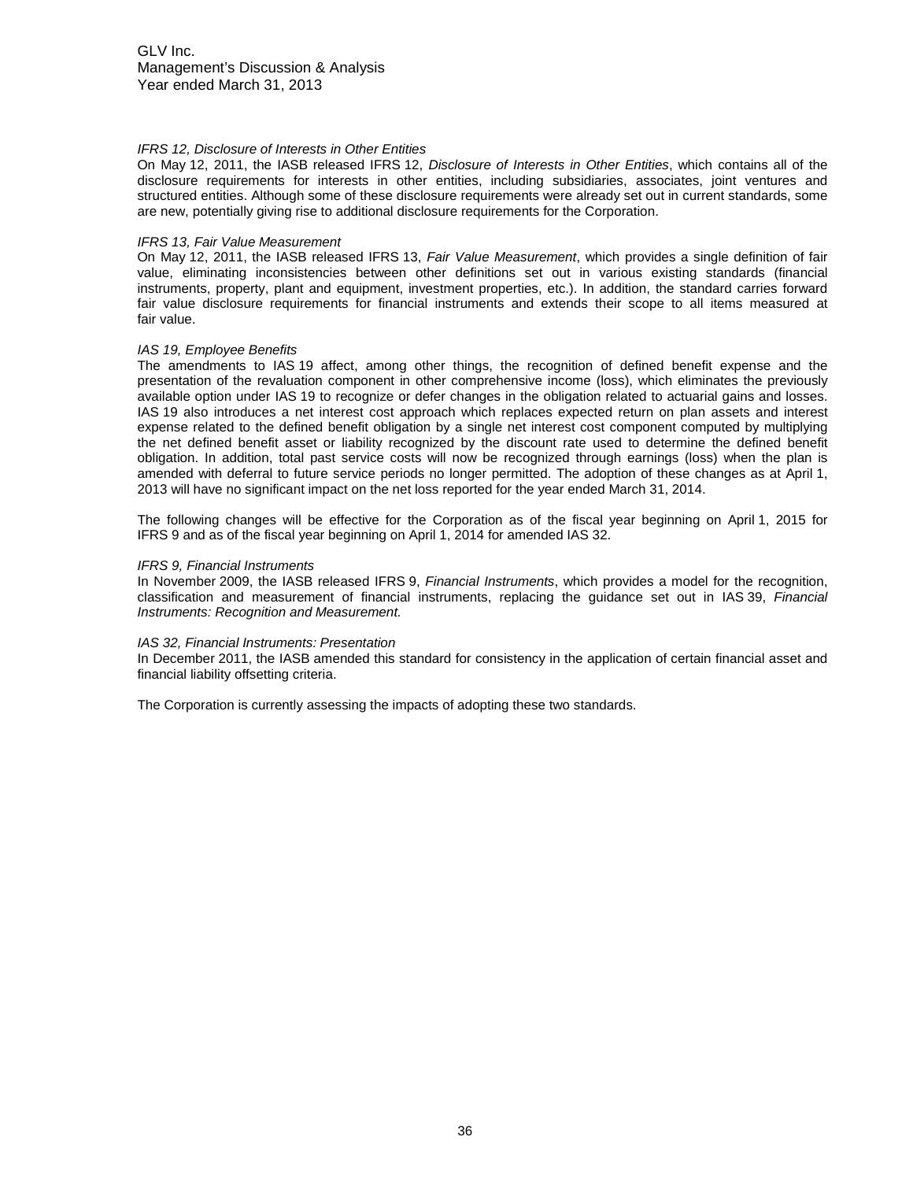#### *IFRS 12, Disclosure of Interests in Other Entities*

On May 12, 2011, the IASB released IFRS 12, *Disclosure of Interests in Other Entities*, which contains all of the disclosure requirements for interests in other entities, including subsidiaries, associates, joint ventures and structured entities. Although some of these disclosure requirements were already set out in current standards, some are new, potentially giving rise to additional disclosure requirements for the Corporation.

#### *IFRS 13, Fair Value Measurement*

On May 12, 2011, the IASB released IFRS 13, *Fair Value Measurement*, which provides a single definition of fair value, eliminating inconsistencies between other definitions set out in various existing standards (financial instruments, property, plant and equipment, investment properties, etc.). In addition, the standard carries forward fair value disclosure requirements for financial instruments and extends their scope to all items measured at fair value.

#### *IAS 19, Employee Benefits*

The amendments to IAS 19 affect, among other things, the recognition of defined benefit expense and the presentation of the revaluation component in other comprehensive income (loss), which eliminates the previously available option under IAS 19 to recognize or defer changes in the obligation related to actuarial gains and losses. IAS 19 also introduces a net interest cost approach which replaces expected return on plan assets and interest expense related to the defined benefit obligation by a single net interest cost component computed by multiplying the net defined benefit asset or liability recognized by the discount rate used to determine the defined benefit obligation. In addition, total past service costs will now be recognized through earnings (loss) when the plan is amended with deferral to future service periods no longer permitted. The adoption of these changes as at April 1, 2013 will have no significant impact on the net loss reported for the year ended March 31, 2014.

The following changes will be effective for the Corporation as of the fiscal year beginning on April 1, 2015 for IFRS 9 and as of the fiscal year beginning on April 1, 2014 for amended IAS 32.

#### *IFRS 9, Financial Instruments*

In November 2009, the IASB released IFRS 9, *Financial Instruments*, which provides a model for the recognition, classification and measurement of financial instruments, replacing the guidance set out in IAS 39, *Financial Instruments: Recognition and Measurement.*

#### *IAS 32, Financial Instruments: Presentation*

In December 2011, the IASB amended this standard for consistency in the application of certain financial asset and financial liability offsetting criteria.

The Corporation is currently assessing the impacts of adopting these two standards.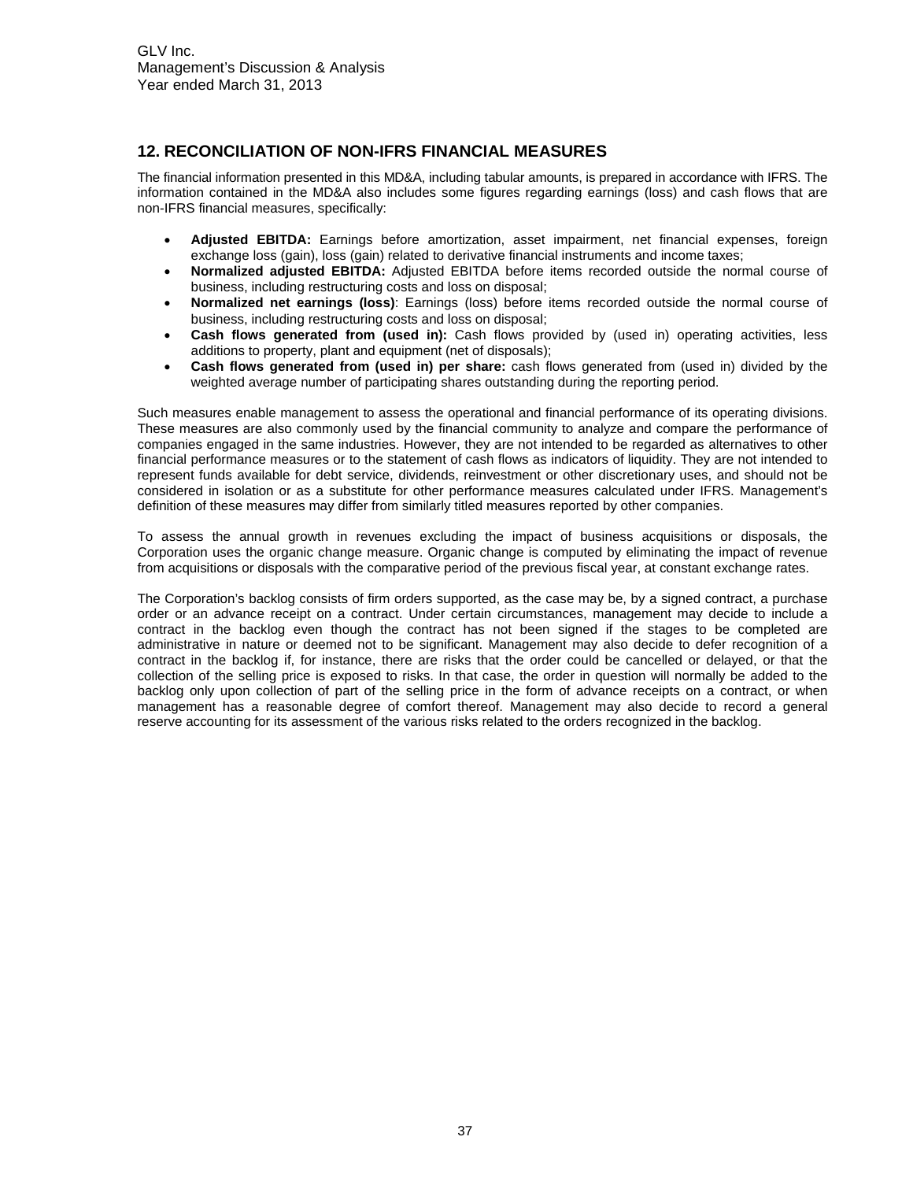# <span id="page-36-0"></span>**12. RECONCILIATION OF NON-IFRS FINANCIAL MEASURES**

The financial information presented in this MD&A, including tabular amounts, is prepared in accordance with IFRS. The information contained in the MD&A also includes some figures regarding earnings (loss) and cash flows that are non-IFRS financial measures, specifically:

- **Adjusted EBITDA:** Earnings before amortization, asset impairment, net financial expenses, foreign exchange loss (gain), loss (gain) related to derivative financial instruments and income taxes;
- **Normalized adjusted EBITDA:** Adjusted EBITDA before items recorded outside the normal course of business, including restructuring costs and loss on disposal;
- **Normalized net earnings (loss)**: Earnings (loss) before items recorded outside the normal course of business, including restructuring costs and loss on disposal;
- **Cash flows generated from (used in):** Cash flows provided by (used in) operating activities, less additions to property, plant and equipment (net of disposals);
- **Cash flows generated from (used in) per share:** cash flows generated from (used in) divided by the weighted average number of participating shares outstanding during the reporting period.

Such measures enable management to assess the operational and financial performance of its operating divisions. These measures are also commonly used by the financial community to analyze and compare the performance of companies engaged in the same industries. However, they are not intended to be regarded as alternatives to other financial performance measures or to the statement of cash flows as indicators of liquidity. They are not intended to represent funds available for debt service, dividends, reinvestment or other discretionary uses, and should not be considered in isolation or as a substitute for other performance measures calculated under IFRS. Management's definition of these measures may differ from similarly titled measures reported by other companies.

To assess the annual growth in revenues excluding the impact of business acquisitions or disposals, the Corporation uses the organic change measure. Organic change is computed by eliminating the impact of revenue from acquisitions or disposals with the comparative period of the previous fiscal year, at constant exchange rates.

The Corporation's backlog consists of firm orders supported, as the case may be, by a signed contract, a purchase order or an advance receipt on a contract. Under certain circumstances, management may decide to include a contract in the backlog even though the contract has not been signed if the stages to be completed are administrative in nature or deemed not to be significant. Management may also decide to defer recognition of a contract in the backlog if, for instance, there are risks that the order could be cancelled or delayed, or that the collection of the selling price is exposed to risks. In that case, the order in question will normally be added to the backlog only upon collection of part of the selling price in the form of advance receipts on a contract, or when management has a reasonable degree of comfort thereof. Management may also decide to record a general reserve accounting for its assessment of the various risks related to the orders recognized in the backlog.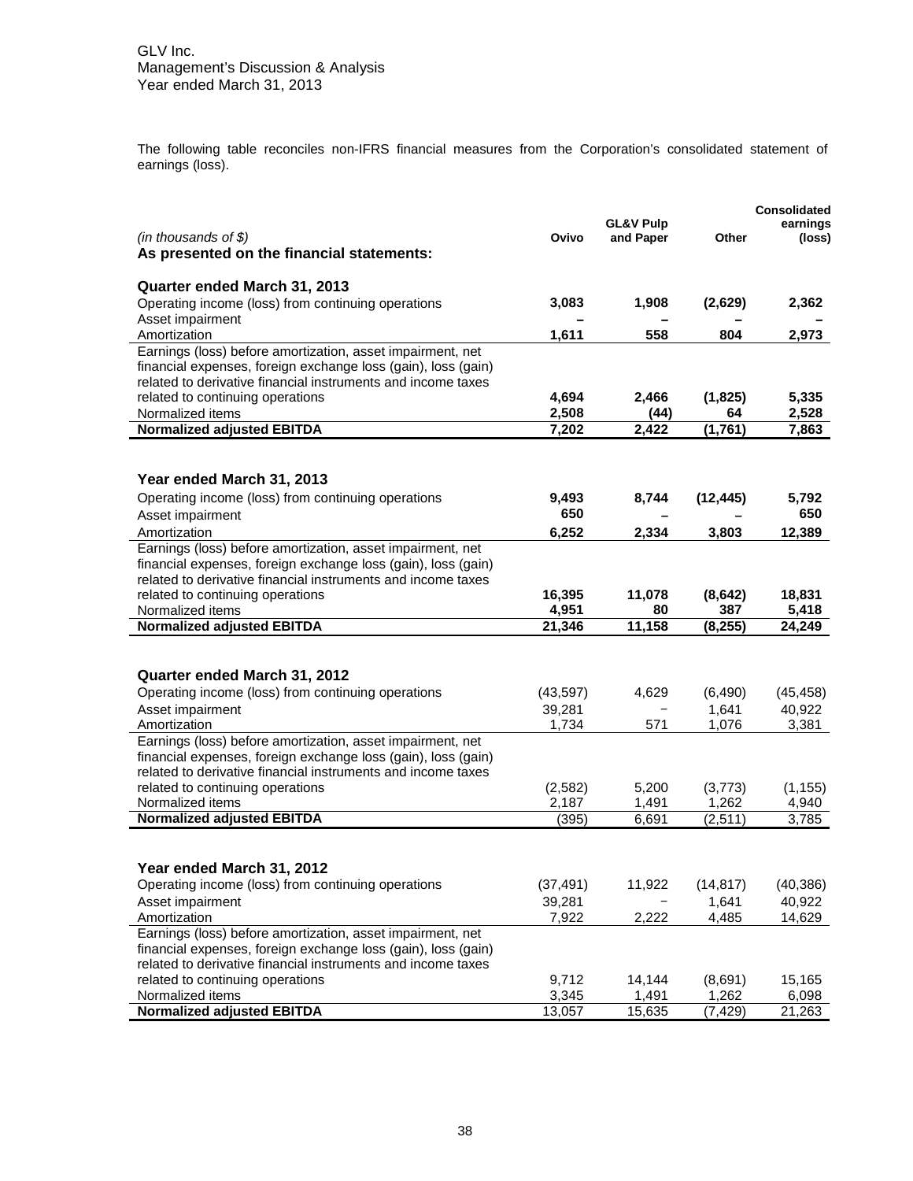The following table reconciles non-IFRS financial measures from the Corporation's consolidated statement of earnings (loss).

|                                                                                                                               |                 |                      |                 | Consolidated    |
|-------------------------------------------------------------------------------------------------------------------------------|-----------------|----------------------|-----------------|-----------------|
|                                                                                                                               |                 | <b>GL&amp;V Pulp</b> |                 | earnings        |
| (in thousands of $$$ )                                                                                                        | Ovivo           | and Paper            | Other           | (loss)          |
| As presented on the financial statements:                                                                                     |                 |                      |                 |                 |
|                                                                                                                               |                 |                      |                 |                 |
| Quarter ended March 31, 2013                                                                                                  |                 |                      |                 |                 |
| Operating income (loss) from continuing operations                                                                            | 3,083           | 1,908                | (2,629)         | 2,362           |
| Asset impairment                                                                                                              |                 |                      |                 |                 |
| Amortization                                                                                                                  | 1,611           | 558                  | 804             | 2,973           |
| Earnings (loss) before amortization, asset impairment, net                                                                    |                 |                      |                 |                 |
| financial expenses, foreign exchange loss (gain), loss (gain)<br>related to derivative financial instruments and income taxes |                 |                      |                 |                 |
|                                                                                                                               | 4,694           | 2,466                |                 | 5,335           |
| related to continuing operations<br>Normalized items                                                                          | 2,508           |                      | (1,825)<br>64   |                 |
| <b>Normalized adjusted EBITDA</b>                                                                                             | 7,202           | (44)                 |                 | 2,528           |
|                                                                                                                               |                 | 2,422                | (1,761)         | 7,863           |
|                                                                                                                               |                 |                      |                 |                 |
| Year ended March 31, 2013                                                                                                     |                 |                      |                 |                 |
|                                                                                                                               |                 |                      |                 |                 |
| Operating income (loss) from continuing operations                                                                            | 9,493<br>650    | 8,744                | (12, 445)       | 5,792<br>650    |
| Asset impairment                                                                                                              |                 |                      |                 |                 |
| Amortization                                                                                                                  | 6,252           | 2,334                | 3,803           | 12,389          |
| Earnings (loss) before amortization, asset impairment, net                                                                    |                 |                      |                 |                 |
| financial expenses, foreign exchange loss (gain), loss (gain)                                                                 |                 |                      |                 |                 |
| related to derivative financial instruments and income taxes                                                                  |                 |                      |                 |                 |
| related to continuing operations<br>Normalized items                                                                          | 16,395          | 11,078               | (8,642)         | 18,831          |
| <b>Normalized adjusted EBITDA</b>                                                                                             | 4,951<br>21,346 | 80<br>11,158         | 387<br>(8, 255) | 5,418<br>24,249 |
|                                                                                                                               |                 |                      |                 |                 |
|                                                                                                                               |                 |                      |                 |                 |
| Quarter ended March 31, 2012                                                                                                  |                 |                      |                 |                 |
| Operating income (loss) from continuing operations                                                                            | (43, 597)       | 4,629                | (6, 490)        | (45, 458)       |
| Asset impairment                                                                                                              | 39,281          |                      | 1,641           | 40,922          |
| Amortization                                                                                                                  | 1,734           | 571                  | 1,076           | 3,381           |
| Earnings (loss) before amortization, asset impairment, net                                                                    |                 |                      |                 |                 |
| financial expenses, foreign exchange loss (gain), loss (gain)                                                                 |                 |                      |                 |                 |
| related to derivative financial instruments and income taxes                                                                  |                 |                      |                 |                 |
| related to continuing operations                                                                                              | (2, 582)        | 5,200                | (3,773)         | (1, 155)        |
| Normalized items                                                                                                              | 2,187           | 1,491                | 1,262           | 4,940           |
| <b>Normalized adjusted EBITDA</b>                                                                                             | (395)           | 6,691                | (2, 511)        | 3,785           |
|                                                                                                                               |                 |                      |                 |                 |
|                                                                                                                               |                 |                      |                 |                 |
| Year ended March 31, 2012                                                                                                     |                 |                      |                 |                 |
| Operating income (loss) from continuing operations                                                                            | (37, 491)       | 11,922               | (14, 817)       | (40, 386)       |
| Asset impairment                                                                                                              | 39,281          |                      | 1,641           | 40,922          |
| Amortization                                                                                                                  | 7,922           | 2,222                | 4,485           | 14,629          |
| Earnings (loss) before amortization, asset impairment, net                                                                    |                 |                      |                 |                 |
| financial expenses, foreign exchange loss (gain), loss (gain)                                                                 |                 |                      |                 |                 |
| related to derivative financial instruments and income taxes                                                                  |                 |                      |                 |                 |
| related to continuing operations                                                                                              | 9,712           | 14,144               | (8,691)         | 15,165          |
| Normalized items                                                                                                              | 3,345           | 1,491                | 1,262           | 6,098           |
| <b>Normalized adjusted EBITDA</b>                                                                                             | 13,057          | 15,635               | (7, 429)        | 21,263          |